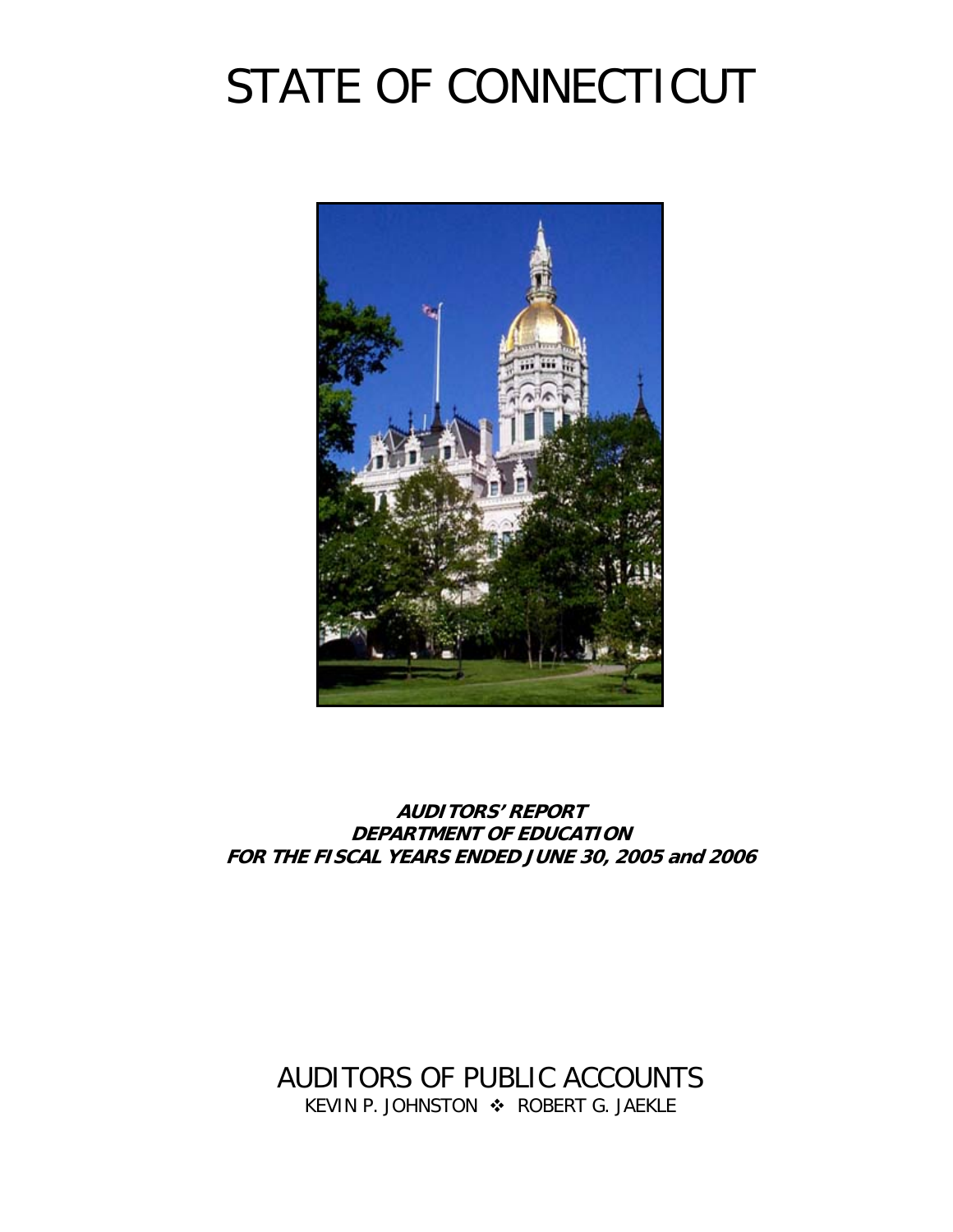# STATE OF CONNECTICUT



**AUDITORS' REPORT DEPARTMENT OF EDUCATION FOR THE FISCAL YEARS ENDED JUNE 30, 2005 and 2006** 

AUDITORS OF PUBLIC ACCOUNTS KEVIN P. JOHNSTON  $\cdot$  ROBERT G. JAEKLE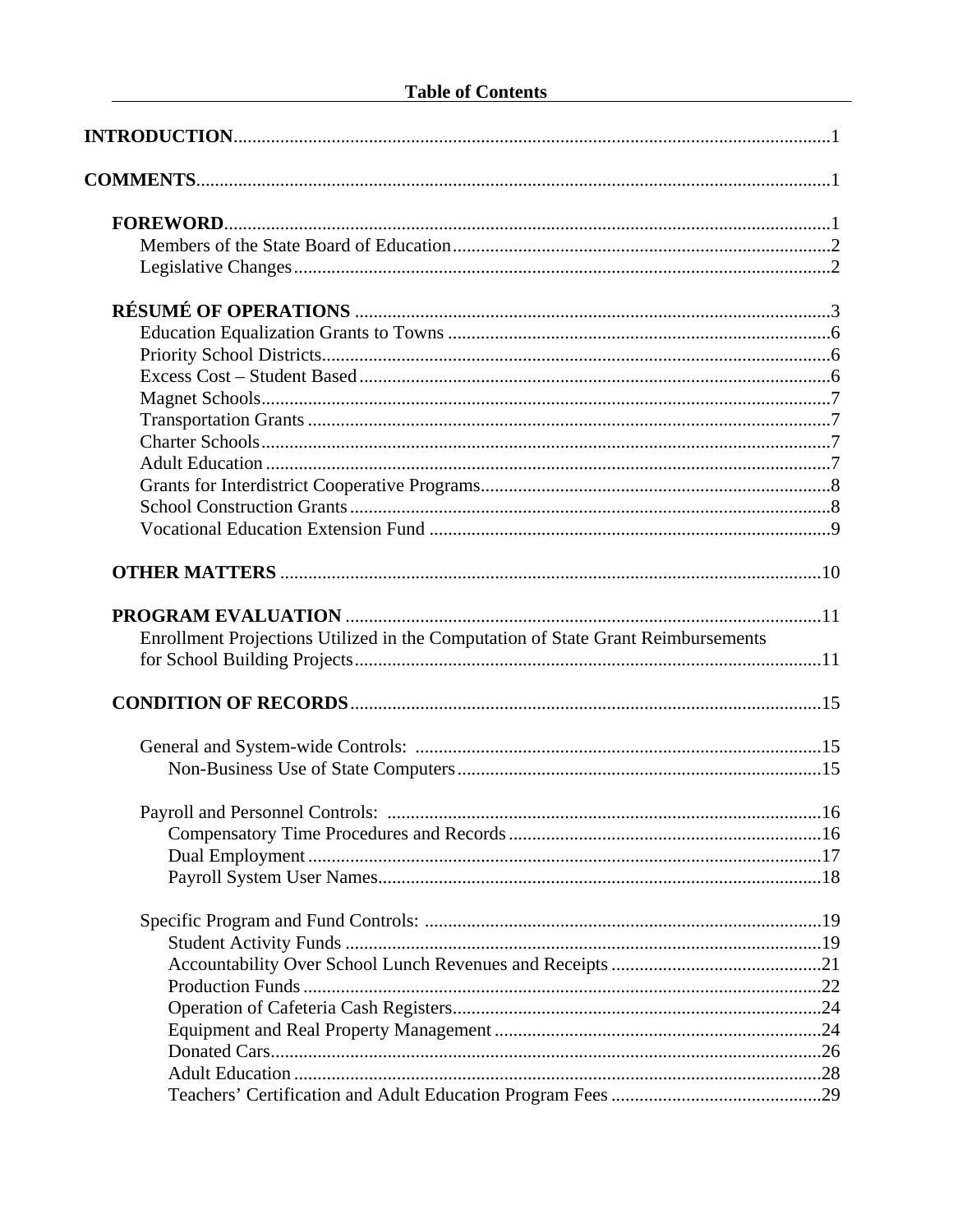| Enrollment Projections Utilized in the Computation of State Grant Reimbursements |  |
|----------------------------------------------------------------------------------|--|
|                                                                                  |  |
|                                                                                  |  |
|                                                                                  |  |
|                                                                                  |  |
|                                                                                  |  |
|                                                                                  |  |
|                                                                                  |  |
|                                                                                  |  |
|                                                                                  |  |
|                                                                                  |  |
|                                                                                  |  |
|                                                                                  |  |
|                                                                                  |  |
|                                                                                  |  |
|                                                                                  |  |
|                                                                                  |  |
|                                                                                  |  |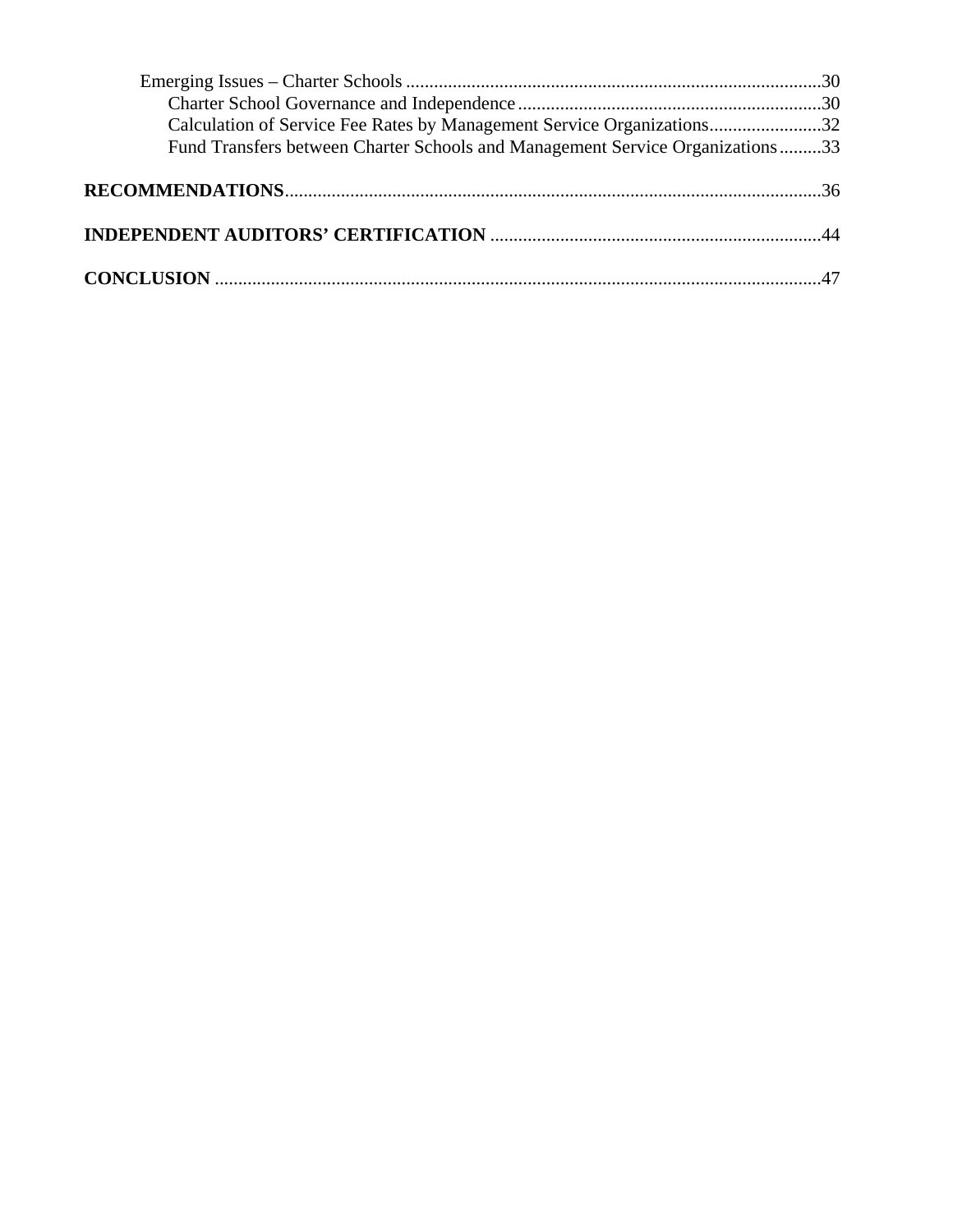| Calculation of Service Fee Rates by Management Service Organizations32        |  |
|-------------------------------------------------------------------------------|--|
| Fund Transfers between Charter Schools and Management Service Organizations33 |  |
|                                                                               |  |
|                                                                               |  |
|                                                                               |  |
|                                                                               |  |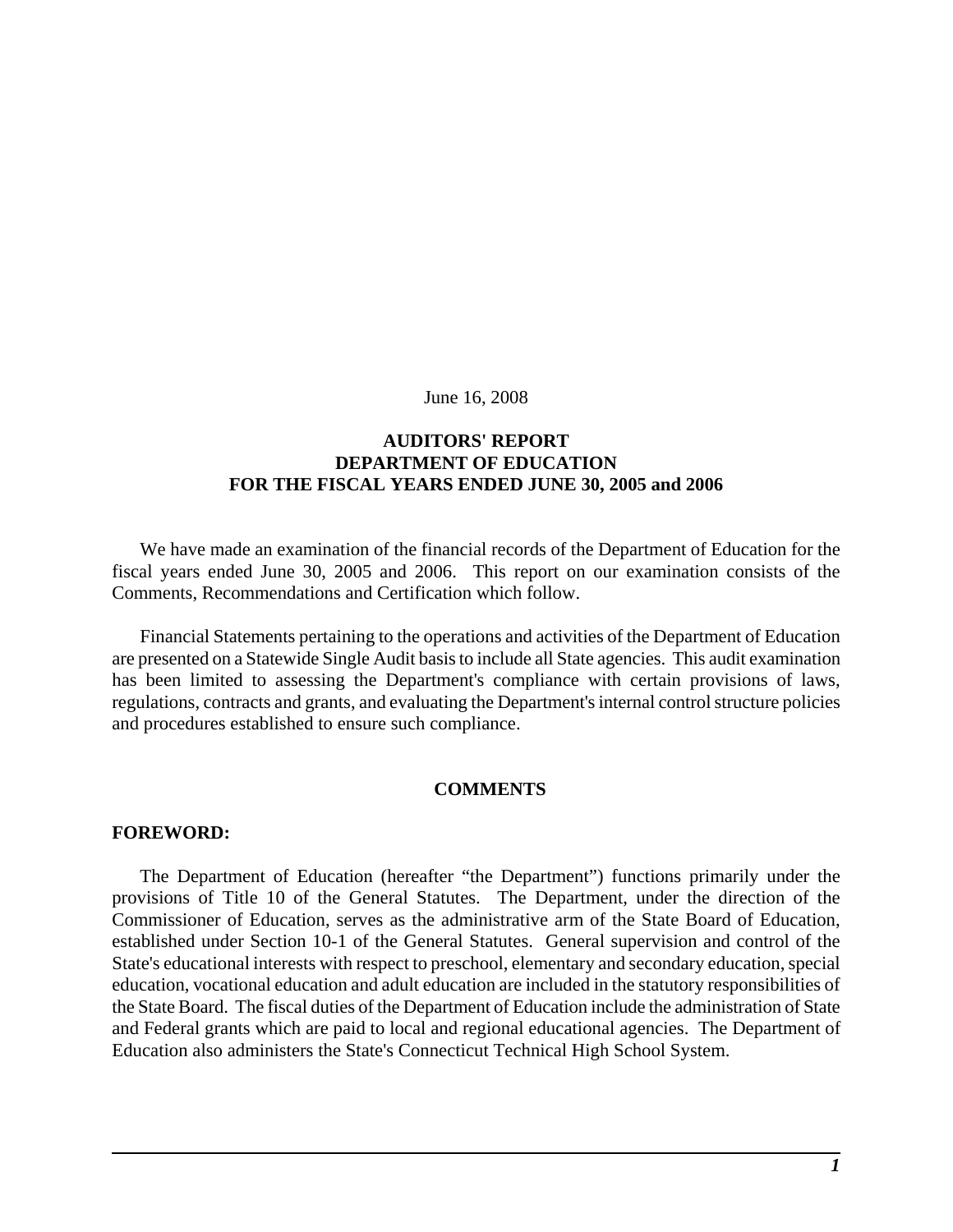June 16, 2008

### **AUDITORS' REPORT DEPARTMENT OF EDUCATION FOR THE FISCAL YEARS ENDED JUNE 30, 2005 and 2006**

We have made an examination of the financial records of the Department of Education for the fiscal years ended June 30, 2005 and 2006. This report on our examination consists of the Comments, Recommendations and Certification which follow.

Financial Statements pertaining to the operations and activities of the Department of Education are presented on a Statewide Single Audit basis to include all State agencies. This audit examination has been limited to assessing the Department's compliance with certain provisions of laws, regulations, contracts and grants, and evaluating the Department's internal control structure policies and procedures established to ensure such compliance.

#### **COMMENTS**

#### **FOREWORD:**

The Department of Education (hereafter "the Department") functions primarily under the provisions of Title 10 of the General Statutes. The Department, under the direction of the Commissioner of Education, serves as the administrative arm of the State Board of Education, established under Section 10-1 of the General Statutes. General supervision and control of the State's educational interests with respect to preschool, elementary and secondary education, special education, vocational education and adult education are included in the statutory responsibilities of the State Board. The fiscal duties of the Department of Education include the administration of State and Federal grants which are paid to local and regional educational agencies. The Department of Education also administers the State's Connecticut Technical High School System.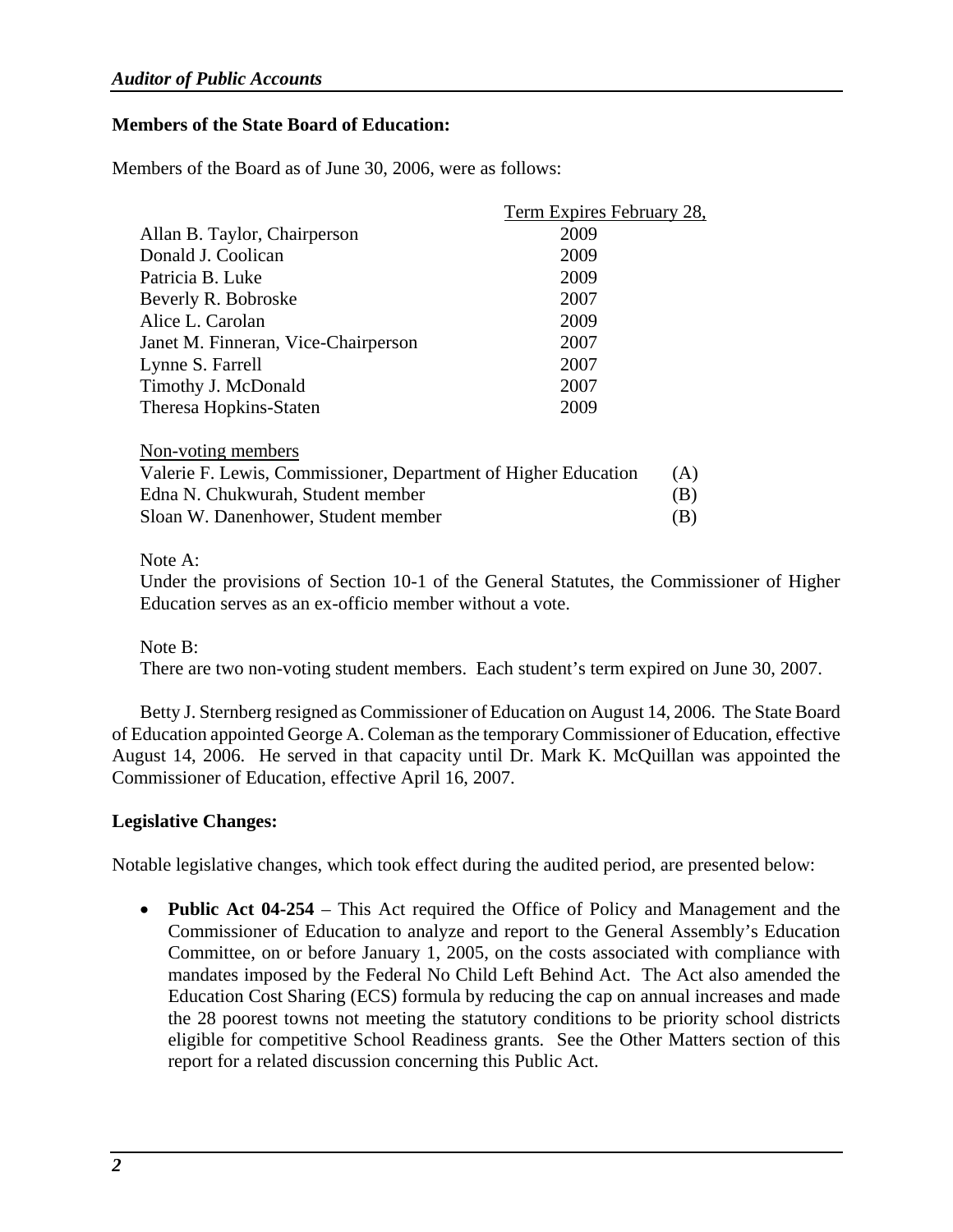### **Members of the State Board of Education:**

Members of the Board as of June 30, 2006, were as follows:

|                                                                | Term Expires February 28, |     |
|----------------------------------------------------------------|---------------------------|-----|
| Allan B. Taylor, Chairperson                                   | 2009                      |     |
| Donald J. Coolican                                             | 2009                      |     |
| Patricia B. Luke                                               | 2009                      |     |
| Beverly R. Bobroske                                            | 2007                      |     |
| Alice L. Carolan                                               | 2009                      |     |
| Janet M. Finneran, Vice-Chairperson                            | 2007                      |     |
| Lynne S. Farrell                                               | 2007                      |     |
| Timothy J. McDonald                                            | 2007                      |     |
| Theresa Hopkins-Staten                                         | 2009                      |     |
| Non-voting members                                             |                           |     |
| Valerie F. Lewis, Commissioner, Department of Higher Education |                           | (A) |
| Edna N. Chukwurah, Student member                              |                           | (B) |
| Sloan W. Danenhower, Student member                            |                           | (B) |

### Note A:

Under the provisions of Section 10-1 of the General Statutes, the Commissioner of Higher Education serves as an ex-officio member without a vote.

Note B:

There are two non-voting student members. Each student's term expired on June 30, 2007.

Betty J. Sternberg resigned as Commissioner of Education on August 14, 2006. The State Board of Education appointed George A. Coleman as the temporary Commissioner of Education, effective August 14, 2006. He served in that capacity until Dr. Mark K. McQuillan was appointed the Commissioner of Education, effective April 16, 2007.

### **Legislative Changes:**

Notable legislative changes, which took effect during the audited period, are presented below:

• **Public Act 04-254** – This Act required the Office of Policy and Management and the Commissioner of Education to analyze and report to the General Assembly's Education Committee, on or before January 1, 2005, on the costs associated with compliance with mandates imposed by the Federal No Child Left Behind Act. The Act also amended the Education Cost Sharing (ECS) formula by reducing the cap on annual increases and made the 28 poorest towns not meeting the statutory conditions to be priority school districts eligible for competitive School Readiness grants. See the Other Matters section of this report for a related discussion concerning this Public Act.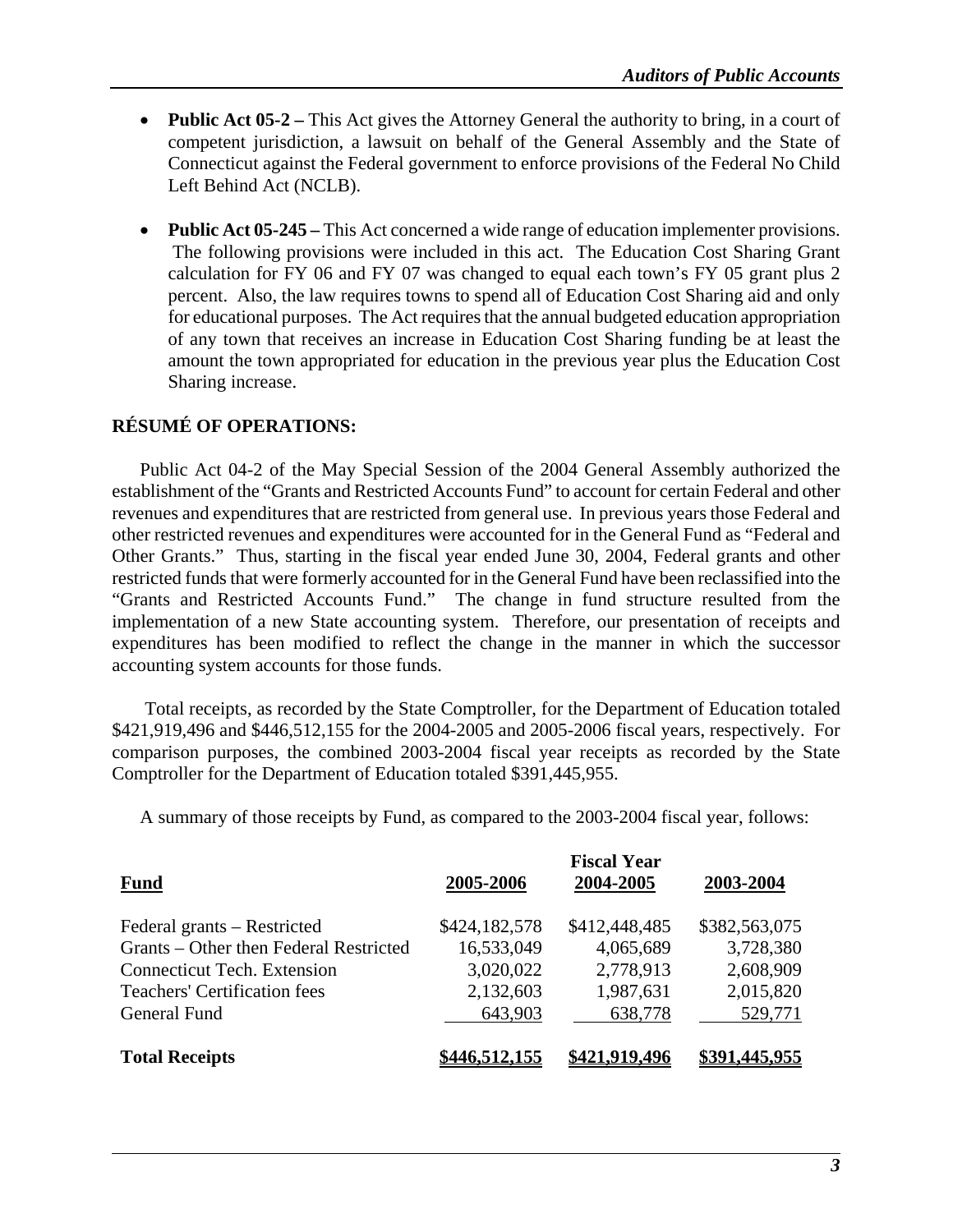- **Public Act 05-2** This Act gives the Attorney General the authority to bring, in a court of competent jurisdiction, a lawsuit on behalf of the General Assembly and the State of Connecticut against the Federal government to enforce provisions of the Federal No Child Left Behind Act (NCLB).
- **Public Act 05-245** This Act concerned a wide range of education implementer provisions. The following provisions were included in this act. The Education Cost Sharing Grant calculation for FY 06 and FY 07 was changed to equal each town's FY 05 grant plus 2 percent. Also, the law requires towns to spend all of Education Cost Sharing aid and only for educational purposes. The Act requires that the annual budgeted education appropriation of any town that receives an increase in Education Cost Sharing funding be at least the amount the town appropriated for education in the previous year plus the Education Cost Sharing increase.

### **RÉSUMÉ OF OPERATIONS:**

Public Act 04-2 of the May Special Session of the 2004 General Assembly authorized the establishment of the "Grants and Restricted Accounts Fund" to account for certain Federal and other revenues and expenditures that are restricted from general use. In previous years those Federal and other restricted revenues and expenditures were accounted for in the General Fund as "Federal and Other Grants." Thus, starting in the fiscal year ended June 30, 2004, Federal grants and other restricted funds that were formerly accounted for in the General Fund have been reclassified into the "Grants and Restricted Accounts Fund." The change in fund structure resulted from the implementation of a new State accounting system. Therefore, our presentation of receipts and expenditures has been modified to reflect the change in the manner in which the successor accounting system accounts for those funds.

 Total receipts, as recorded by the State Comptroller, for the Department of Education totaled \$421,919,496 and \$446,512,155 for the 2004-2005 and 2005-2006 fiscal years, respectively. For comparison purposes, the combined 2003-2004 fiscal year receipts as recorded by the State Comptroller for the Department of Education totaled \$391,445,955.

A summary of those receipts by Fund, as compared to the 2003-2004 fiscal year, follows:

| <b>Fund</b>                            | 2005-2006     | 2004-2005     | 2003-2004     |
|----------------------------------------|---------------|---------------|---------------|
| Federal grants – Restricted            | \$424,182,578 | \$412,448,485 | \$382,563,075 |
| Grants – Other then Federal Restricted | 16,533,049    | 4,065,689     | 3,728,380     |
| <b>Connecticut Tech.</b> Extension     | 3,020,022     | 2,778,913     | 2,608,909     |
| <b>Teachers' Certification fees</b>    | 2,132,603     | 1,987,631     | 2,015,820     |
| General Fund                           | 643,903       | 638,778       | 529,771       |
| <b>Total Receipts</b>                  | \$446,512,155 | \$421,919,496 | \$391,445,955 |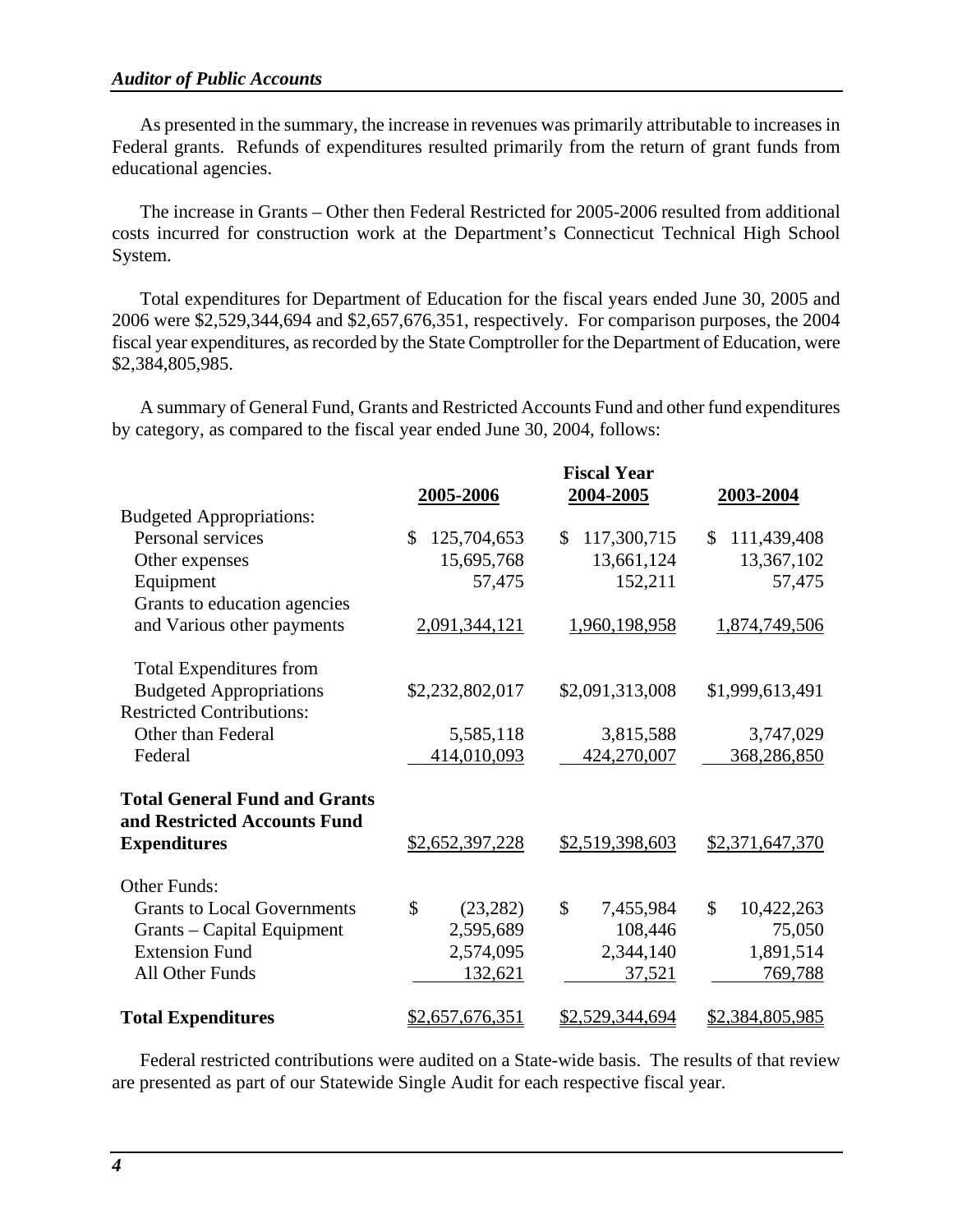As presented in the summary, the increase in revenues was primarily attributable to increases in Federal grants. Refunds of expenditures resulted primarily from the return of grant funds from educational agencies.

The increase in Grants – Other then Federal Restricted for 2005-2006 resulted from additional costs incurred for construction work at the Department's Connecticut Technical High School System.

Total expenditures for Department of Education for the fiscal years ended June 30, 2005 and 2006 were \$2,529,344,694 and \$2,657,676,351, respectively. For comparison purposes, the 2004 fiscal year expenditures, as recorded by the State Comptroller for the Department of Education, were \$2,384,805,985.

A summary of General Fund, Grants and Restricted Accounts Fund and other fund expenditures by category, as compared to the fiscal year ended June 30, 2004, follows:

|                                      | 2005-2006                  | <b>Fiscal Year</b><br>2004-2005 | 2003-2004                   |
|--------------------------------------|----------------------------|---------------------------------|-----------------------------|
| <b>Budgeted Appropriations:</b>      |                            |                                 |                             |
| Personal services                    | 125,704,653<br>\$          | 117,300,715<br>$\mathbb{S}$     | 111,439,408<br>\$           |
| Other expenses                       | 15,695,768                 | 13,661,124                      | 13,367,102                  |
| Equipment                            | 57,475                     | 152,211                         | 57,475                      |
| Grants to education agencies         |                            |                                 |                             |
| and Various other payments           | 2,091,344,121              | 1,960,198,958                   | 1,874,749,506               |
| <b>Total Expenditures from</b>       |                            |                                 |                             |
| <b>Budgeted Appropriations</b>       | \$2,232,802,017            | \$2,091,313,008                 | \$1,999,613,491             |
| <b>Restricted Contributions:</b>     |                            |                                 |                             |
| Other than Federal                   | 5,585,118                  | 3,815,588                       | 3,747,029                   |
| Federal                              | 414,010,093                | 424,270,007                     | 368,286,850                 |
| <b>Total General Fund and Grants</b> |                            |                                 |                             |
| and Restricted Accounts Fund         |                            |                                 |                             |
| <b>Expenditures</b>                  | \$2,652,397,228            | \$2,519,398,603                 | \$2,371,647,370             |
| <b>Other Funds:</b>                  |                            |                                 |                             |
| <b>Grants to Local Governments</b>   | $\mathcal{S}$<br>(23, 282) | $\mathcal{S}$<br>7,455,984      | $\mathcal{S}$<br>10,422,263 |
| Grants – Capital Equipment           | 2,595,689                  | 108,446                         | 75,050                      |
| <b>Extension Fund</b>                | 2,574,095                  | 2,344,140                       | 1,891,514                   |
| All Other Funds                      | 132,621                    | 37,521                          | 769,788                     |
| <b>Total Expenditures</b>            | \$2,657,676,351            | \$2,529,344,694                 | \$2,384,805,985             |

Federal restricted contributions were audited on a State-wide basis. The results of that review are presented as part of our Statewide Single Audit for each respective fiscal year.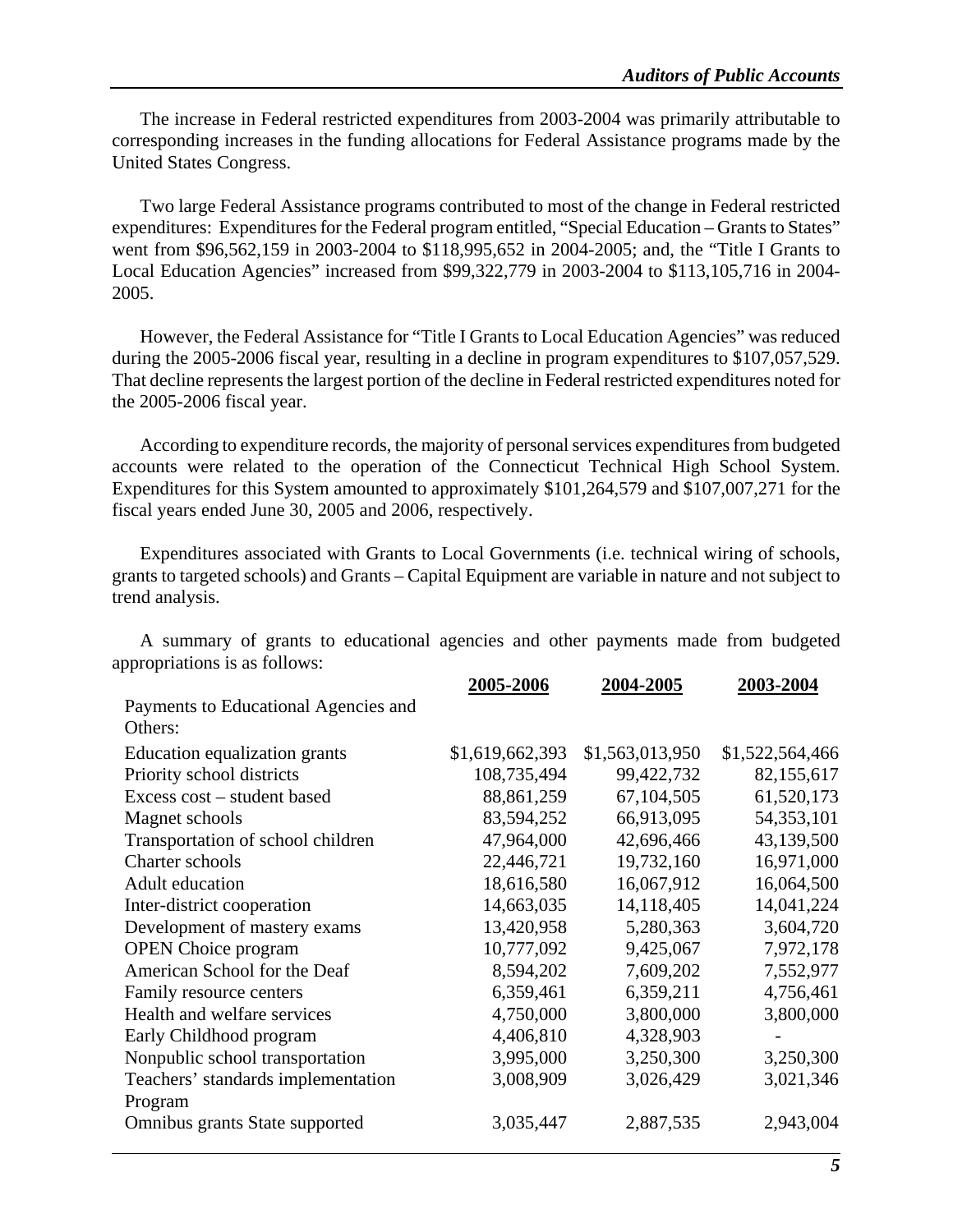The increase in Federal restricted expenditures from 2003-2004 was primarily attributable to corresponding increases in the funding allocations for Federal Assistance programs made by the United States Congress.

Two large Federal Assistance programs contributed to most of the change in Federal restricted expenditures: Expenditures for the Federal program entitled, "Special Education – Grants to States" went from \$96,562,159 in 2003-2004 to \$118,995,652 in 2004-2005; and, the "Title I Grants to Local Education Agencies" increased from \$99,322,779 in 2003-2004 to \$113,105,716 in 2004- 2005.

However, the Federal Assistance for "Title I Grants to Local Education Agencies" was reduced during the 2005-2006 fiscal year, resulting in a decline in program expenditures to \$107,057,529. That decline represents the largest portion of the decline in Federal restricted expenditures noted for the 2005-2006 fiscal year.

According to expenditure records, the majority of personal services expenditures from budgeted accounts were related to the operation of the Connecticut Technical High School System. Expenditures for this System amounted to approximately \$101,264,579 and \$107,007,271 for the fiscal years ended June 30, 2005 and 2006, respectively.

Expenditures associated with Grants to Local Governments (i.e. technical wiring of schools, grants to targeted schools) and Grants – Capital Equipment are variable in nature and not subject to trend analysis.

|                                                 | 2005-2006       | 2004-2005       | 2003-2004       |
|-------------------------------------------------|-----------------|-----------------|-----------------|
| Payments to Educational Agencies and<br>Others: |                 |                 |                 |
|                                                 |                 |                 |                 |
| Education equalization grants                   | \$1,619,662,393 | \$1,563,013,950 | \$1,522,564,466 |
| Priority school districts                       | 108,735,494     | 99,422,732      | 82,155,617      |
| Excess cost - student based                     | 88, 861, 259    | 67,104,505      | 61,520,173      |
| Magnet schools                                  | 83,594,252      | 66,913,095      | 54,353,101      |
| Transportation of school children               | 47,964,000      | 42,696,466      | 43,139,500      |
| Charter schools                                 | 22,446,721      | 19,732,160      | 16,971,000      |
| Adult education                                 | 18,616,580      | 16,067,912      | 16,064,500      |
| Inter-district cooperation                      | 14,663,035      | 14,118,405      | 14,041,224      |
| Development of mastery exams                    | 13,420,958      | 5,280,363       | 3,604,720       |
| <b>OPEN</b> Choice program                      | 10,777,092      | 9,425,067       | 7,972,178       |
| American School for the Deaf                    | 8,594,202       | 7,609,202       | 7,552,977       |
| Family resource centers                         | 6,359,461       | 6,359,211       | 4,756,461       |
| Health and welfare services                     | 4,750,000       | 3,800,000       | 3,800,000       |
| Early Childhood program                         | 4,406,810       | 4,328,903       |                 |
| Nonpublic school transportation                 | 3,995,000       | 3,250,300       | 3,250,300       |
| Teachers' standards implementation              | 3,008,909       | 3,026,429       | 3,021,346       |
| Program                                         |                 |                 |                 |
| Omnibus grants State supported                  | 3,035,447       | 2,887,535       | 2,943,004       |
|                                                 |                 |                 |                 |

A summary of grants to educational agencies and other payments made from budgeted appropriations is as follows: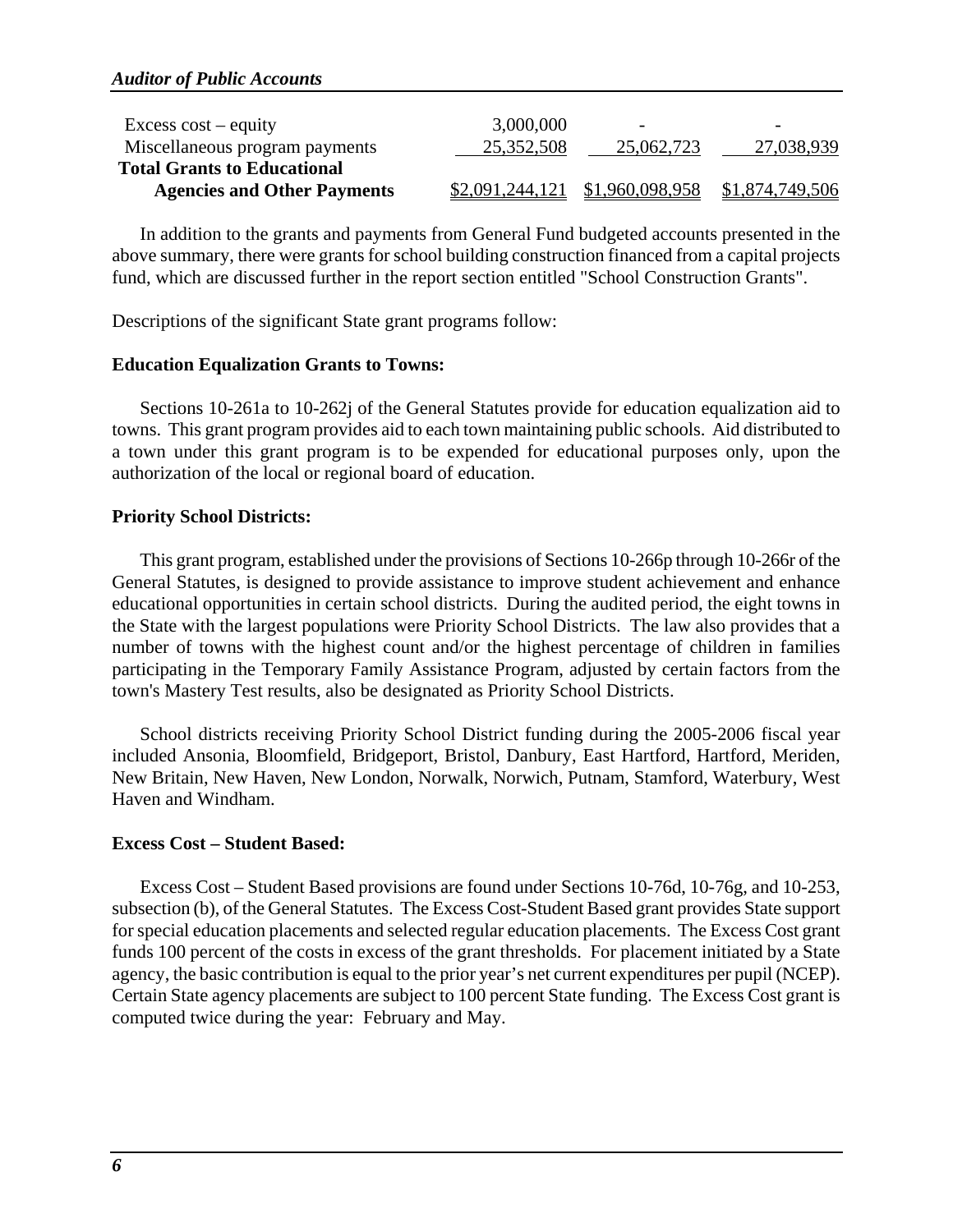| Excess $cost - equity$             | 3,000,000       | $\overline{\phantom{0}}$ | $\overline{\phantom{0}}$ |
|------------------------------------|-----------------|--------------------------|--------------------------|
| Miscellaneous program payments     | 25,352,508      | 25,062,723               | 27,038,939               |
| <b>Total Grants to Educational</b> |                 |                          |                          |
|                                    |                 |                          |                          |
| <b>Agencies and Other Payments</b> | \$2,091,244,121 | \$1,960,098,958          | \$1,874,749,506          |

In addition to the grants and payments from General Fund budgeted accounts presented in the above summary, there were grants for school building construction financed from a capital projects fund, which are discussed further in the report section entitled "School Construction Grants".

Descriptions of the significant State grant programs follow:

### **Education Equalization Grants to Towns:**

Sections 10-261a to 10-262j of the General Statutes provide for education equalization aid to towns. This grant program provides aid to each town maintaining public schools. Aid distributed to a town under this grant program is to be expended for educational purposes only, upon the authorization of the local or regional board of education.

### **Priority School Districts:**

This grant program, established under the provisions of Sections 10-266p through 10-266r of the General Statutes, is designed to provide assistance to improve student achievement and enhance educational opportunities in certain school districts. During the audited period, the eight towns in the State with the largest populations were Priority School Districts. The law also provides that a number of towns with the highest count and/or the highest percentage of children in families participating in the Temporary Family Assistance Program, adjusted by certain factors from the town's Mastery Test results, also be designated as Priority School Districts.

School districts receiving Priority School District funding during the 2005-2006 fiscal year included Ansonia, Bloomfield, Bridgeport, Bristol, Danbury, East Hartford, Hartford, Meriden, New Britain, New Haven, New London, Norwalk, Norwich, Putnam, Stamford, Waterbury, West Haven and Windham.

### **Excess Cost – Student Based:**

Excess Cost – Student Based provisions are found under Sections 10-76d, 10-76g, and 10-253, subsection (b), of the General Statutes. The Excess Cost-Student Based grant provides State support for special education placements and selected regular education placements. The Excess Cost grant funds 100 percent of the costs in excess of the grant thresholds. For placement initiated by a State agency, the basic contribution is equal to the prior year's net current expenditures per pupil (NCEP). Certain State agency placements are subject to 100 percent State funding. The Excess Cost grant is computed twice during the year: February and May.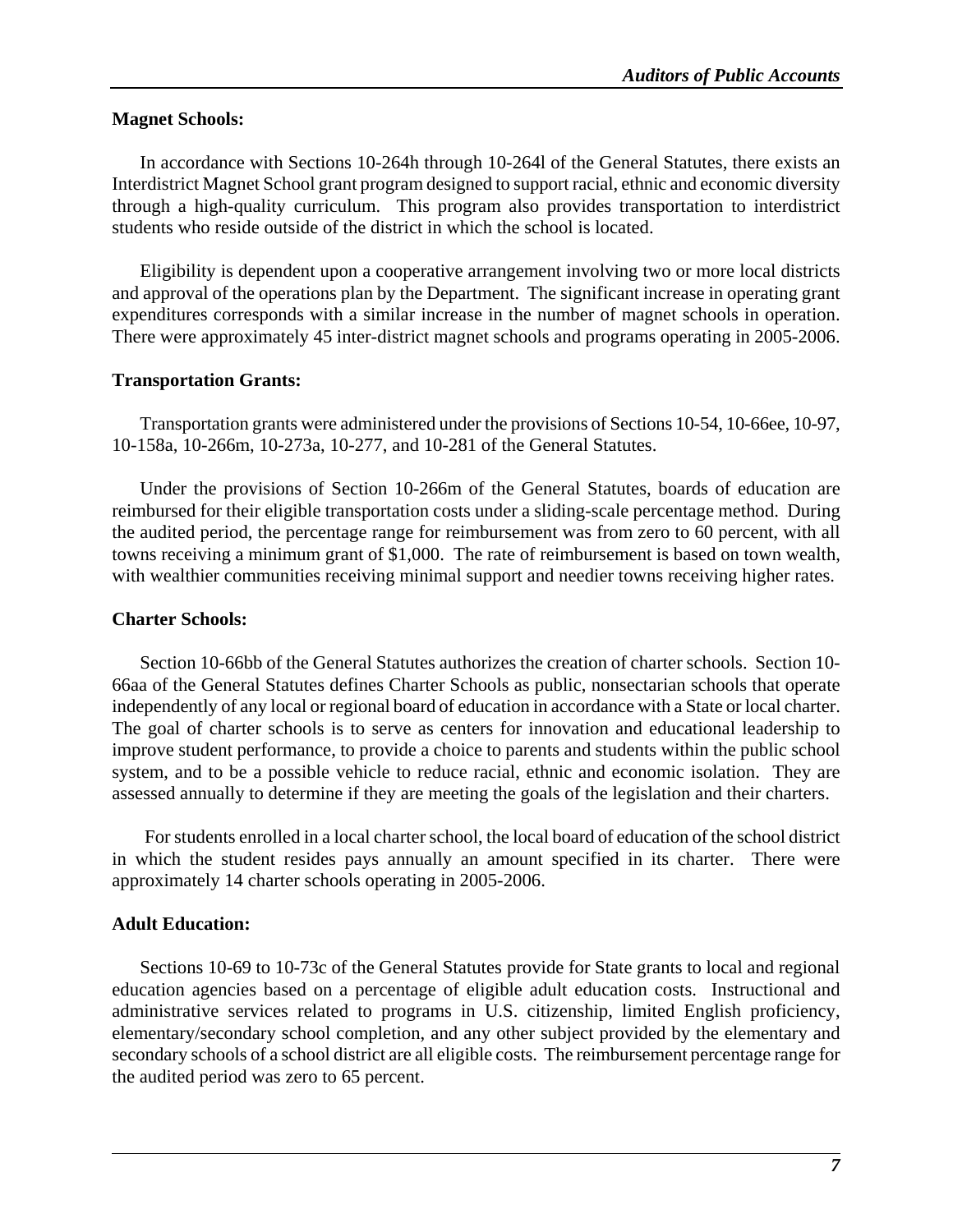### **Magnet Schools:**

In accordance with Sections 10-264h through 10-264l of the General Statutes, there exists an Interdistrict Magnet School grant program designed to support racial, ethnic and economic diversity through a high-quality curriculum. This program also provides transportation to interdistrict students who reside outside of the district in which the school is located.

Eligibility is dependent upon a cooperative arrangement involving two or more local districts and approval of the operations plan by the Department. The significant increase in operating grant expenditures corresponds with a similar increase in the number of magnet schools in operation. There were approximately 45 inter-district magnet schools and programs operating in 2005-2006.

### **Transportation Grants:**

Transportation grants were administered under the provisions of Sections 10-54, 10-66ee, 10-97, 10-158a, 10-266m, 10-273a, 10-277, and 10-281 of the General Statutes.

Under the provisions of Section 10-266m of the General Statutes, boards of education are reimbursed for their eligible transportation costs under a sliding-scale percentage method. During the audited period, the percentage range for reimbursement was from zero to 60 percent, with all towns receiving a minimum grant of \$1,000. The rate of reimbursement is based on town wealth, with wealthier communities receiving minimal support and needier towns receiving higher rates.

### **Charter Schools:**

Section 10-66bb of the General Statutes authorizes the creation of charter schools. Section 10- 66aa of the General Statutes defines Charter Schools as public, nonsectarian schools that operate independently of any local or regional board of education in accordance with a State or local charter. The goal of charter schools is to serve as centers for innovation and educational leadership to improve student performance, to provide a choice to parents and students within the public school system, and to be a possible vehicle to reduce racial, ethnic and economic isolation. They are assessed annually to determine if they are meeting the goals of the legislation and their charters.

 For students enrolled in a local charter school, the local board of education of the school district in which the student resides pays annually an amount specified in its charter. There were approximately 14 charter schools operating in 2005-2006.

### **Adult Education:**

Sections 10-69 to 10-73c of the General Statutes provide for State grants to local and regional education agencies based on a percentage of eligible adult education costs. Instructional and administrative services related to programs in U.S. citizenship, limited English proficiency, elementary/secondary school completion, and any other subject provided by the elementary and secondary schools of a school district are all eligible costs. The reimbursement percentage range for the audited period was zero to 65 percent.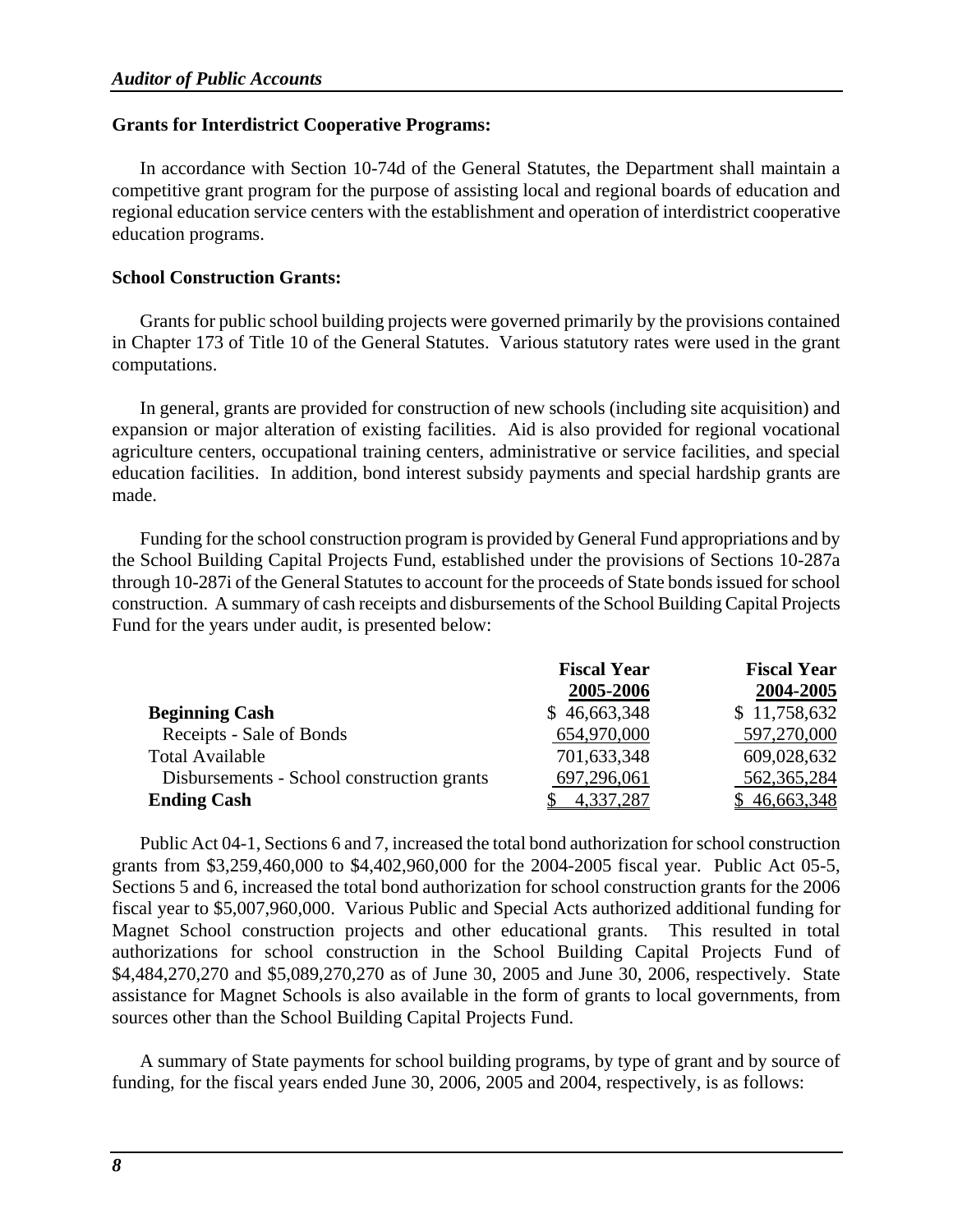### **Grants for Interdistrict Cooperative Programs:**

In accordance with Section 10-74d of the General Statutes, the Department shall maintain a competitive grant program for the purpose of assisting local and regional boards of education and regional education service centers with the establishment and operation of interdistrict cooperative education programs.

### **School Construction Grants:**

Grants for public school building projects were governed primarily by the provisions contained in Chapter 173 of Title 10 of the General Statutes. Various statutory rates were used in the grant computations.

In general, grants are provided for construction of new schools (including site acquisition) and expansion or major alteration of existing facilities. Aid is also provided for regional vocational agriculture centers, occupational training centers, administrative or service facilities, and special education facilities. In addition, bond interest subsidy payments and special hardship grants are made.

Funding for the school construction program is provided by General Fund appropriations and by the School Building Capital Projects Fund, established under the provisions of Sections 10-287a through 10-287i of the General Statutes to account for the proceeds of State bonds issued for school construction. A summary of cash receipts and disbursements of the School Building Capital Projects Fund for the years under audit, is presented below:

|                                            | <b>Fiscal Year</b> | <b>Fiscal Year</b> |
|--------------------------------------------|--------------------|--------------------|
|                                            | 2005-2006          | 2004-2005          |
| <b>Beginning Cash</b>                      | \$46,663,348       | \$11,758,632       |
| Receipts - Sale of Bonds                   | 654,970,000        | 597,270,000        |
| <b>Total Available</b>                     | 701,633,348        | 609,028,632        |
| Disbursements - School construction grants | 697,296,061        | 562,365,284        |
| <b>Ending Cash</b>                         | 4,337,287          | \$46,663,348       |

Public Act 04-1, Sections 6 and 7, increased the total bond authorization for school construction grants from \$3,259,460,000 to \$4,402,960,000 for the 2004-2005 fiscal year. Public Act 05-5, Sections 5 and 6, increased the total bond authorization for school construction grants for the 2006 fiscal year to \$5,007,960,000. Various Public and Special Acts authorized additional funding for Magnet School construction projects and other educational grants. This resulted in total authorizations for school construction in the School Building Capital Projects Fund of \$4,484,270,270 and \$5,089,270,270 as of June 30, 2005 and June 30, 2006, respectively. State assistance for Magnet Schools is also available in the form of grants to local governments, from sources other than the School Building Capital Projects Fund.

A summary of State payments for school building programs, by type of grant and by source of funding, for the fiscal years ended June 30, 2006, 2005 and 2004, respectively, is as follows: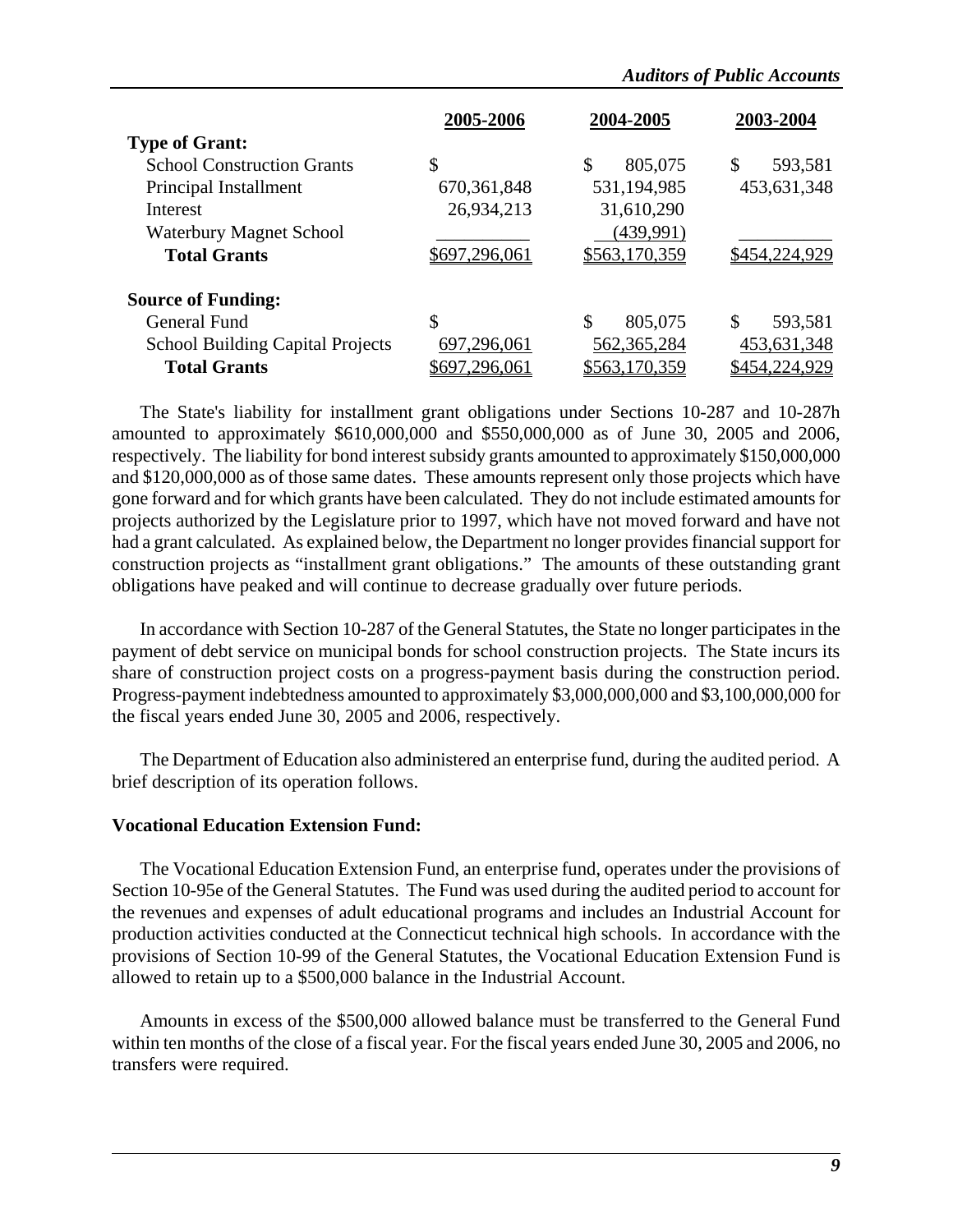|                                         | 2005-2006     | 2004-2005     | 2003-2004     |
|-----------------------------------------|---------------|---------------|---------------|
| <b>Type of Grant:</b>                   |               |               |               |
| <b>School Construction Grants</b>       | \$            | \$<br>805,075 | \$<br>593,581 |
| Principal Installment                   | 670, 361, 848 | 531,194,985   | 453,631,348   |
| Interest                                | 26,934,213    | 31,610,290    |               |
| <b>Waterbury Magnet School</b>          |               | (439,991)     |               |
| <b>Total Grants</b>                     | \$697,296,061 | \$563,170,359 | \$454,224,929 |
| <b>Source of Funding:</b>               |               |               |               |
| General Fund                            | \$            | \$<br>805,075 | \$<br>593,581 |
| <b>School Building Capital Projects</b> | 697,296,061   | 562,365,284   | 453,631,348   |
| <b>Total Grants</b>                     | 697,296,061   | \$563,170,359 | \$454,224,929 |

The State's liability for installment grant obligations under Sections 10-287 and 10-287h amounted to approximately \$610,000,000 and \$550,000,000 as of June 30, 2005 and 2006, respectively. The liability for bond interest subsidy grants amounted to approximately \$150,000,000 and \$120,000,000 as of those same dates. These amounts represent only those projects which have gone forward and for which grants have been calculated. They do not include estimated amounts for projects authorized by the Legislature prior to 1997, which have not moved forward and have not had a grant calculated. As explained below, the Department no longer provides financial support for construction projects as "installment grant obligations." The amounts of these outstanding grant obligations have peaked and will continue to decrease gradually over future periods.

In accordance with Section 10-287 of the General Statutes, the State no longer participates in the payment of debt service on municipal bonds for school construction projects. The State incurs its share of construction project costs on a progress-payment basis during the construction period. Progress-payment indebtedness amounted to approximately \$3,000,000,000 and \$3,100,000,000 for the fiscal years ended June 30, 2005 and 2006, respectively.

The Department of Education also administered an enterprise fund, during the audited period. A brief description of its operation follows.

### **Vocational Education Extension Fund:**

The Vocational Education Extension Fund, an enterprise fund, operates under the provisions of Section 10-95e of the General Statutes. The Fund was used during the audited period to account for the revenues and expenses of adult educational programs and includes an Industrial Account for production activities conducted at the Connecticut technical high schools. In accordance with the provisions of Section 10-99 of the General Statutes, the Vocational Education Extension Fund is allowed to retain up to a \$500,000 balance in the Industrial Account.

Amounts in excess of the \$500,000 allowed balance must be transferred to the General Fund within ten months of the close of a fiscal year. For the fiscal years ended June 30, 2005 and 2006, no transfers were required.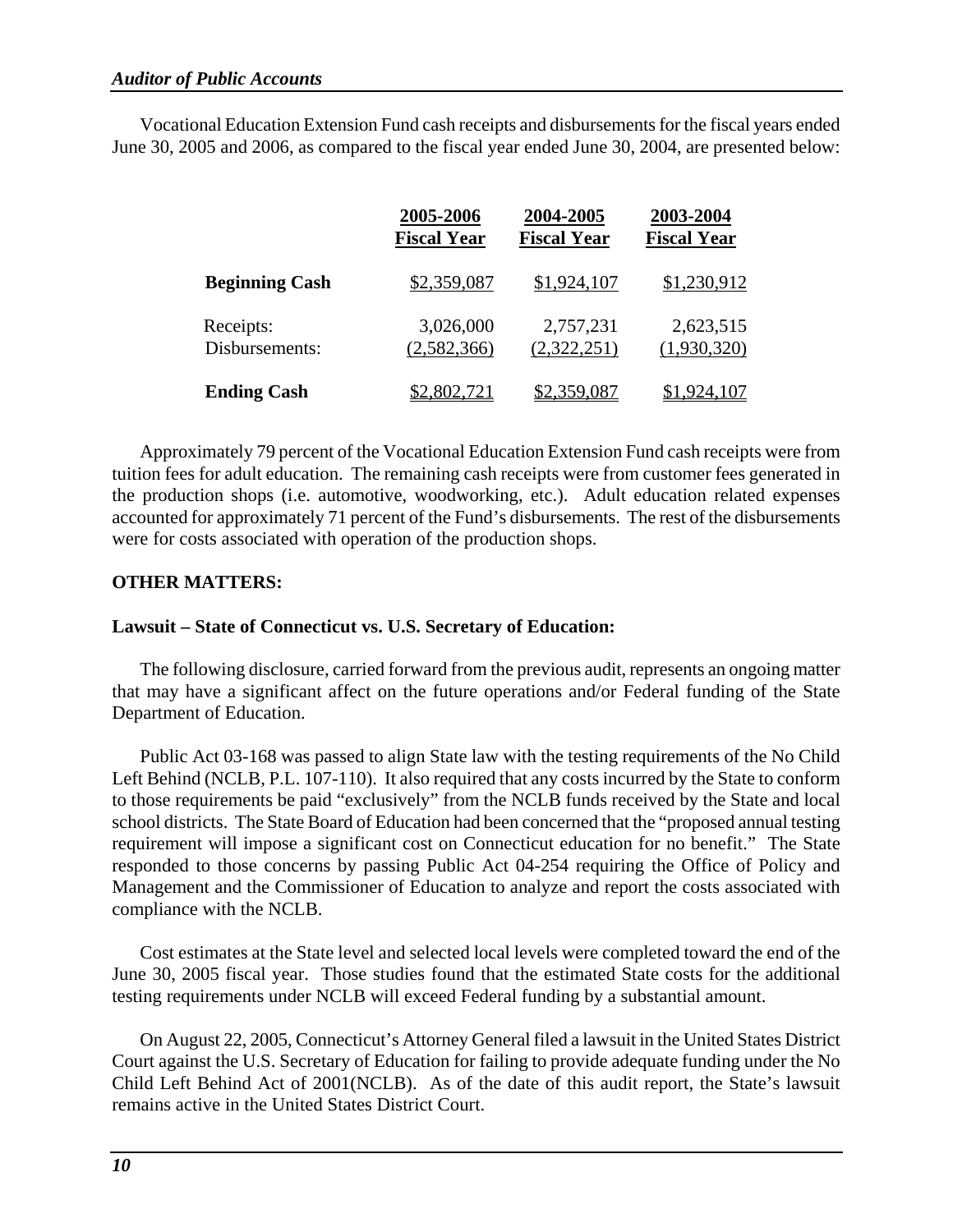Vocational Education Extension Fund cash receipts and disbursements for the fiscal years ended June 30, 2005 and 2006, as compared to the fiscal year ended June 30, 2004, are presented below:

|                       | 2005-2006          | 2004-2005          | 2003-2004          |
|-----------------------|--------------------|--------------------|--------------------|
|                       | <b>Fiscal Year</b> | <b>Fiscal Year</b> | <b>Fiscal Year</b> |
| <b>Beginning Cash</b> | \$2,359,087        | \$1,924,107        | \$1,230,912        |
| Receipts:             | 3,026,000          | 2,757,231          | 2,623,515          |
| Disbursements:        | (2,582,366)        | (2,322,251)        | (1,930,320)        |
| <b>Ending Cash</b>    | \$2,802,721        | \$2,359,087        | \$1,924,107        |

Approximately 79 percent of the Vocational Education Extension Fund cash receipts were from tuition fees for adult education. The remaining cash receipts were from customer fees generated in the production shops (i.e. automotive, woodworking, etc.). Adult education related expenses accounted for approximately 71 percent of the Fund's disbursements. The rest of the disbursements were for costs associated with operation of the production shops.

### **OTHER MATTERS:**

### **Lawsuit – State of Connecticut vs. U.S. Secretary of Education:**

The following disclosure, carried forward from the previous audit, represents an ongoing matter that may have a significant affect on the future operations and/or Federal funding of the State Department of Education.

Public Act 03-168 was passed to align State law with the testing requirements of the No Child Left Behind (NCLB, P.L. 107-110). It also required that any costs incurred by the State to conform to those requirements be paid "exclusively" from the NCLB funds received by the State and local school districts. The State Board of Education had been concerned that the "proposed annual testing requirement will impose a significant cost on Connecticut education for no benefit." The State responded to those concerns by passing Public Act 04-254 requiring the Office of Policy and Management and the Commissioner of Education to analyze and report the costs associated with compliance with the NCLB.

Cost estimates at the State level and selected local levels were completed toward the end of the June 30, 2005 fiscal year. Those studies found that the estimated State costs for the additional testing requirements under NCLB will exceed Federal funding by a substantial amount.

On August 22, 2005, Connecticut's Attorney General filed a lawsuit in the United States District Court against the U.S. Secretary of Education for failing to provide adequate funding under the No Child Left Behind Act of 2001(NCLB). As of the date of this audit report, the State's lawsuit remains active in the United States District Court.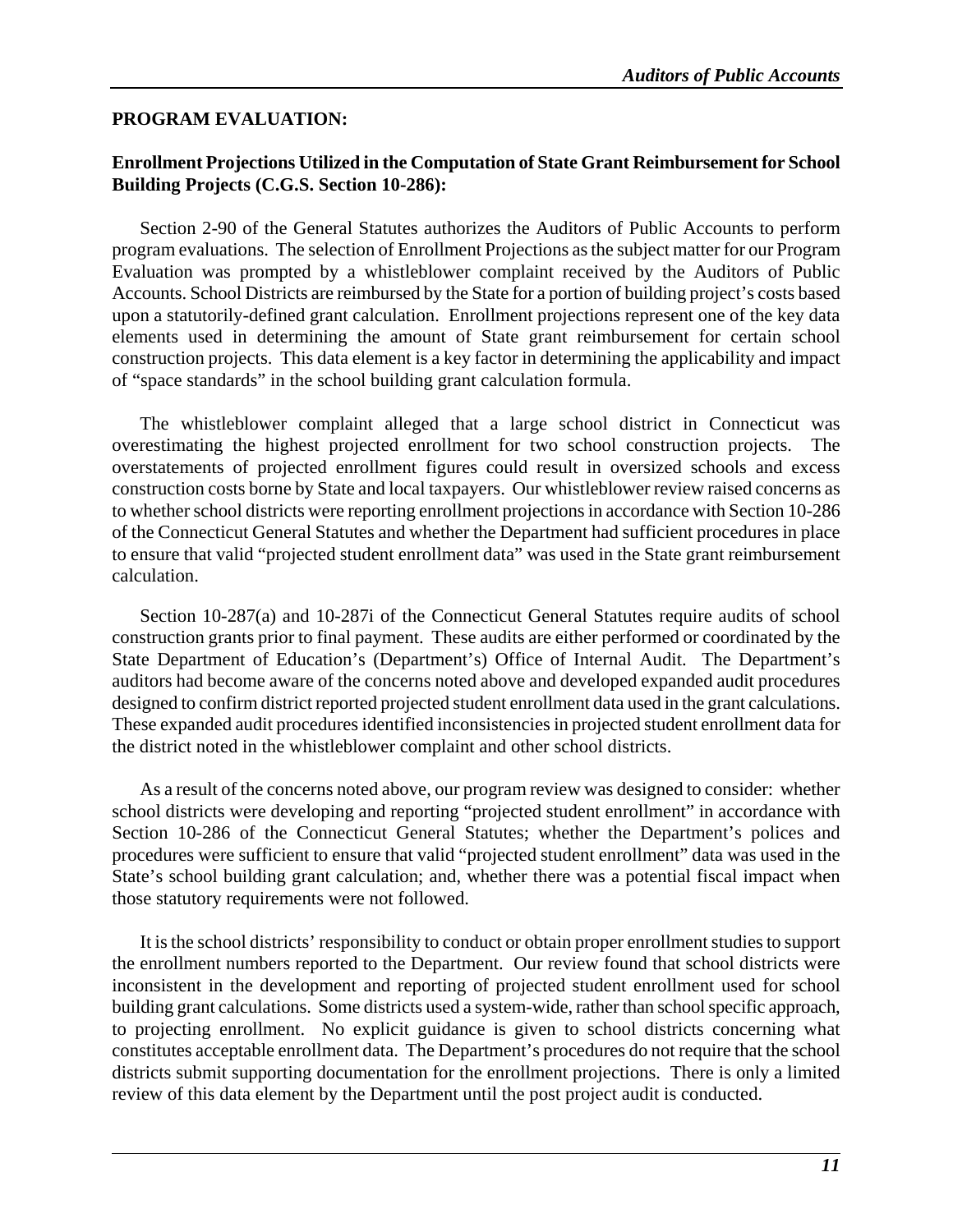### **PROGRAM EVALUATION:**

### **Enrollment Projections Utilized in the Computation of State Grant Reimbursement for School Building Projects (C.G.S. Section 10-286):**

Section 2-90 of the General Statutes authorizes the Auditors of Public Accounts to perform program evaluations. The selection of Enrollment Projections as the subject matter for our Program Evaluation was prompted by a whistleblower complaint received by the Auditors of Public Accounts. School Districts are reimbursed by the State for a portion of building project's costs based upon a statutorily-defined grant calculation. Enrollment projections represent one of the key data elements used in determining the amount of State grant reimbursement for certain school construction projects. This data element is a key factor in determining the applicability and impact of "space standards" in the school building grant calculation formula.

The whistleblower complaint alleged that a large school district in Connecticut was overestimating the highest projected enrollment for two school construction projects. The overstatements of projected enrollment figures could result in oversized schools and excess construction costs borne by State and local taxpayers. Our whistleblower review raised concerns as to whether school districts were reporting enrollment projections in accordance with Section 10-286 of the Connecticut General Statutes and whether the Department had sufficient procedures in place to ensure that valid "projected student enrollment data" was used in the State grant reimbursement calculation.

Section 10-287(a) and 10-287i of the Connecticut General Statutes require audits of school construction grants prior to final payment. These audits are either performed or coordinated by the State Department of Education's (Department's) Office of Internal Audit. The Department's auditors had become aware of the concerns noted above and developed expanded audit procedures designed to confirm district reported projected student enrollment data used in the grant calculations. These expanded audit procedures identified inconsistencies in projected student enrollment data for the district noted in the whistleblower complaint and other school districts.

As a result of the concerns noted above, our program review was designed to consider: whether school districts were developing and reporting "projected student enrollment" in accordance with Section 10-286 of the Connecticut General Statutes; whether the Department's polices and procedures were sufficient to ensure that valid "projected student enrollment" data was used in the State's school building grant calculation; and, whether there was a potential fiscal impact when those statutory requirements were not followed.

It is the school districts' responsibility to conduct or obtain proper enrollment studies to support the enrollment numbers reported to the Department. Our review found that school districts were inconsistent in the development and reporting of projected student enrollment used for school building grant calculations. Some districts used a system-wide, rather than school specific approach, to projecting enrollment. No explicit guidance is given to school districts concerning what constitutes acceptable enrollment data. The Department's procedures do not require that the school districts submit supporting documentation for the enrollment projections. There is only a limited review of this data element by the Department until the post project audit is conducted.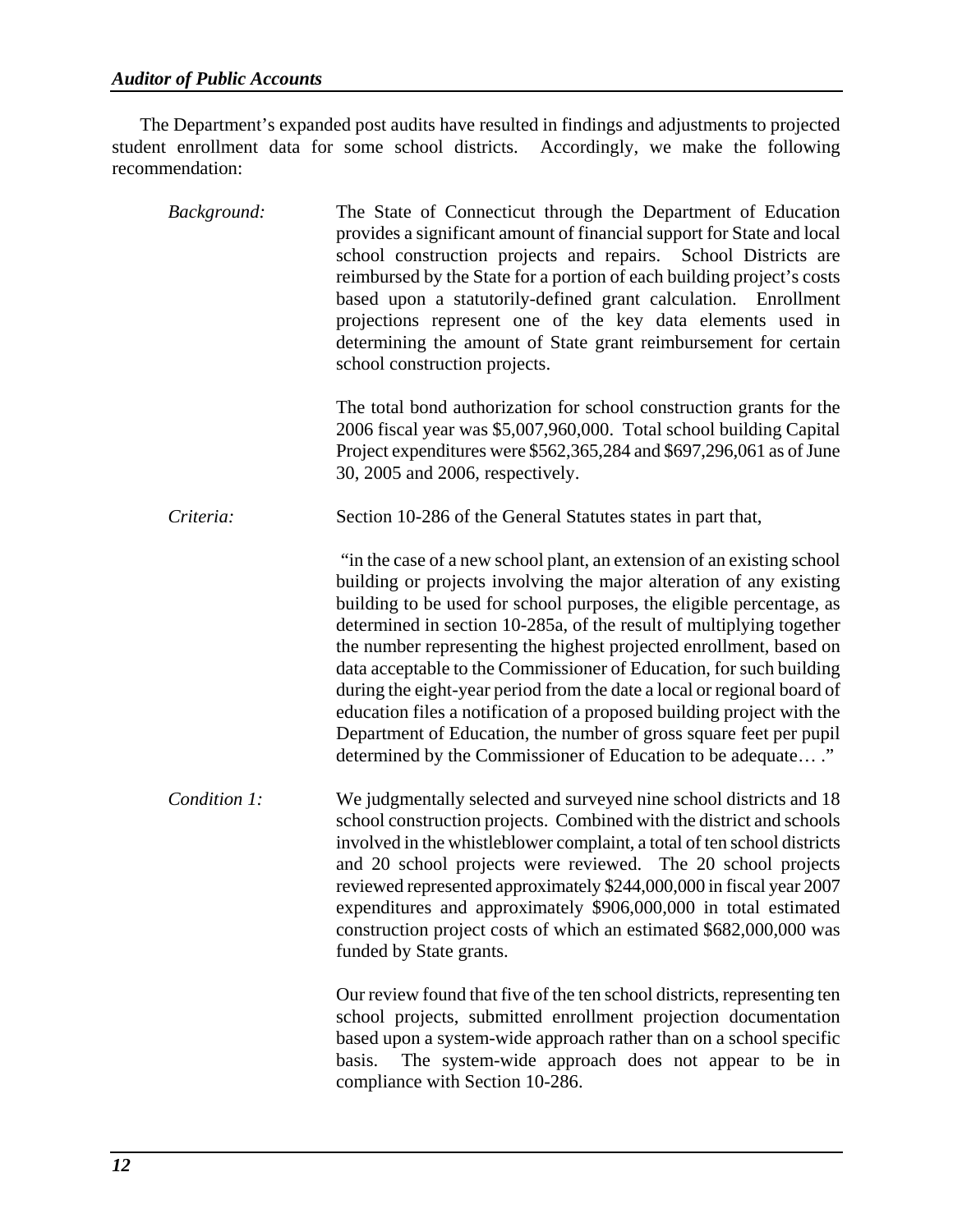The Department's expanded post audits have resulted in findings and adjustments to projected student enrollment data for some school districts. Accordingly, we make the following recommendation:

| Background:  | The State of Connecticut through the Department of Education<br>provides a significant amount of financial support for State and local<br>school construction projects and repairs. School Districts are<br>reimbursed by the State for a portion of each building project's costs<br>based upon a statutorily-defined grant calculation. Enrollment<br>projections represent one of the key data elements used in<br>determining the amount of State grant reimbursement for certain<br>school construction projects.                                                                                                                                                                                                               |
|--------------|--------------------------------------------------------------------------------------------------------------------------------------------------------------------------------------------------------------------------------------------------------------------------------------------------------------------------------------------------------------------------------------------------------------------------------------------------------------------------------------------------------------------------------------------------------------------------------------------------------------------------------------------------------------------------------------------------------------------------------------|
|              | The total bond authorization for school construction grants for the<br>2006 fiscal year was \$5,007,960,000. Total school building Capital<br>Project expenditures were \$562,365,284 and \$697,296,061 as of June<br>30, 2005 and 2006, respectively.                                                                                                                                                                                                                                                                                                                                                                                                                                                                               |
| Criteria:    | Section 10-286 of the General Statutes states in part that,                                                                                                                                                                                                                                                                                                                                                                                                                                                                                                                                                                                                                                                                          |
|              | "in the case of a new school plant, an extension of an existing school<br>building or projects involving the major alteration of any existing<br>building to be used for school purposes, the eligible percentage, as<br>determined in section 10-285a, of the result of multiplying together<br>the number representing the highest projected enrollment, based on<br>data acceptable to the Commissioner of Education, for such building<br>during the eight-year period from the date a local or regional board of<br>education files a notification of a proposed building project with the<br>Department of Education, the number of gross square feet per pupil<br>determined by the Commissioner of Education to be adequate" |
| Condition 1: | We judgmentally selected and surveyed nine school districts and 18<br>school construction projects. Combined with the district and schools<br>involved in the whistleblower complaint, a total of ten school districts<br>and 20 school projects were reviewed. The 20 school projects<br>reviewed represented approximately \$244,000,000 in fiscal year 2007<br>expenditures and approximately \$906,000,000 in total estimated<br>construction project costs of which an estimated \$682,000,000 was<br>funded by State grants.                                                                                                                                                                                                   |
|              | Our review found that five of the ten school districts, representing ten<br>school projects, submitted enrollment projection documentation<br>based upon a system-wide approach rather than on a school specific<br>The system-wide approach does not appear to be in<br>basis.<br>compliance with Section 10-286.                                                                                                                                                                                                                                                                                                                                                                                                                   |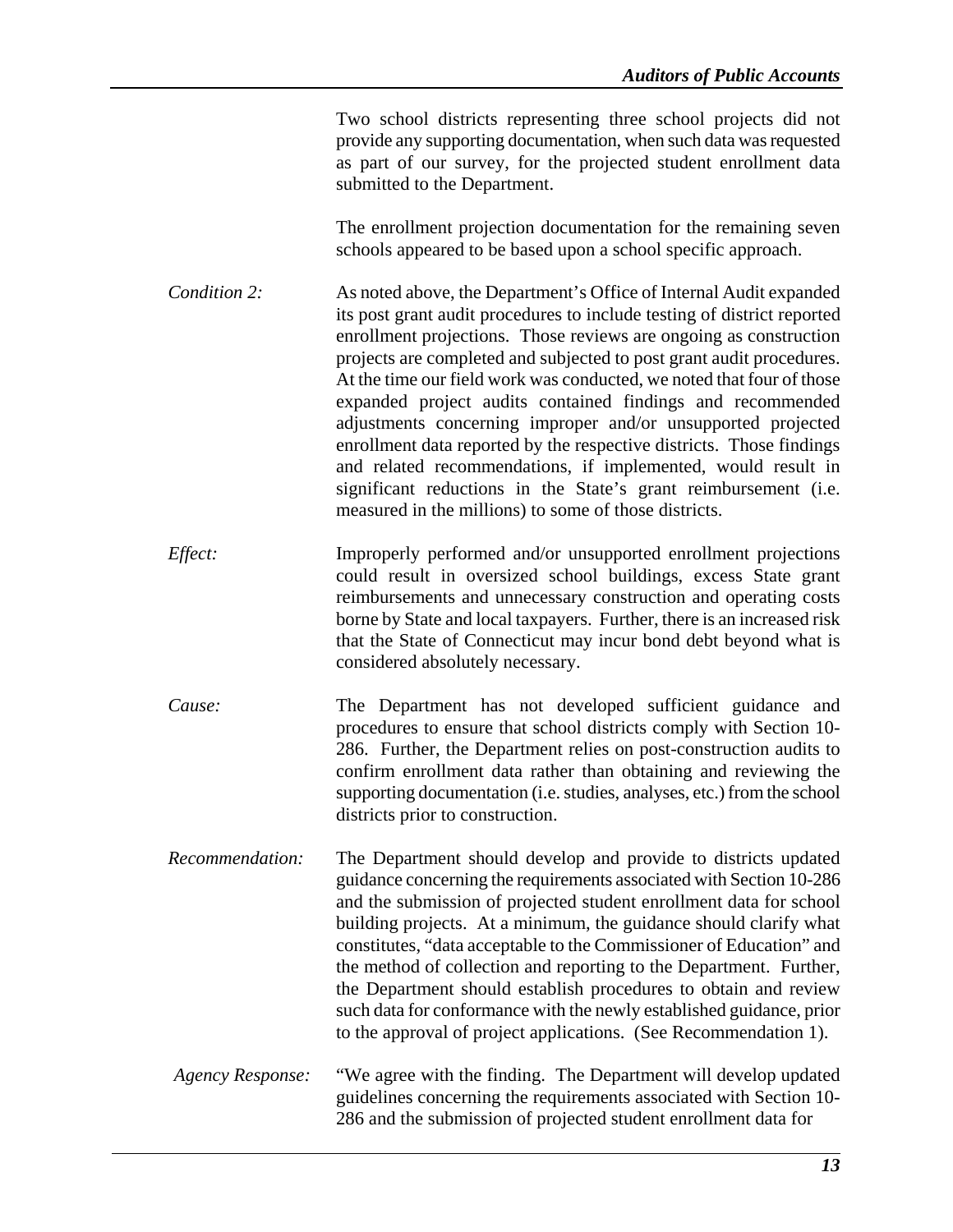Two school districts representing three school projects did not provide any supporting documentation, when such data was requested as part of our survey, for the projected student enrollment data submitted to the Department.

The enrollment projection documentation for the remaining seven schools appeared to be based upon a school specific approach.

*Condition 2:* As noted above, the Department's Office of Internal Audit expanded its post grant audit procedures to include testing of district reported enrollment projections. Those reviews are ongoing as construction projects are completed and subjected to post grant audit procedures. At the time our field work was conducted, we noted that four of those expanded project audits contained findings and recommended adjustments concerning improper and/or unsupported projected enrollment data reported by the respective districts. Those findings and related recommendations, if implemented, would result in significant reductions in the State's grant reimbursement (i.e. measured in the millions) to some of those districts.

*Effect:* **Improperly performed and/or unsupported enrollment projections** could result in oversized school buildings, excess State grant reimbursements and unnecessary construction and operating costs borne by State and local taxpayers. Further, there is an increased risk that the State of Connecticut may incur bond debt beyond what is considered absolutely necessary.

*Cause:* The Department has not developed sufficient guidance and procedures to ensure that school districts comply with Section 10- 286. Further, the Department relies on post-construction audits to confirm enrollment data rather than obtaining and reviewing the supporting documentation (i.e. studies, analyses, etc.) from the school districts prior to construction.

*Recommendation:* The Department should develop and provide to districts updated guidance concerning the requirements associated with Section 10-286 and the submission of projected student enrollment data for school building projects. At a minimum, the guidance should clarify what constitutes, "data acceptable to the Commissioner of Education" and the method of collection and reporting to the Department. Further, the Department should establish procedures to obtain and review such data for conformance with the newly established guidance, prior to the approval of project applications. (See Recommendation 1).

*Agency Response:* "We agree with the finding. The Department will develop updated guidelines concerning the requirements associated with Section 10- 286 and the submission of projected student enrollment data for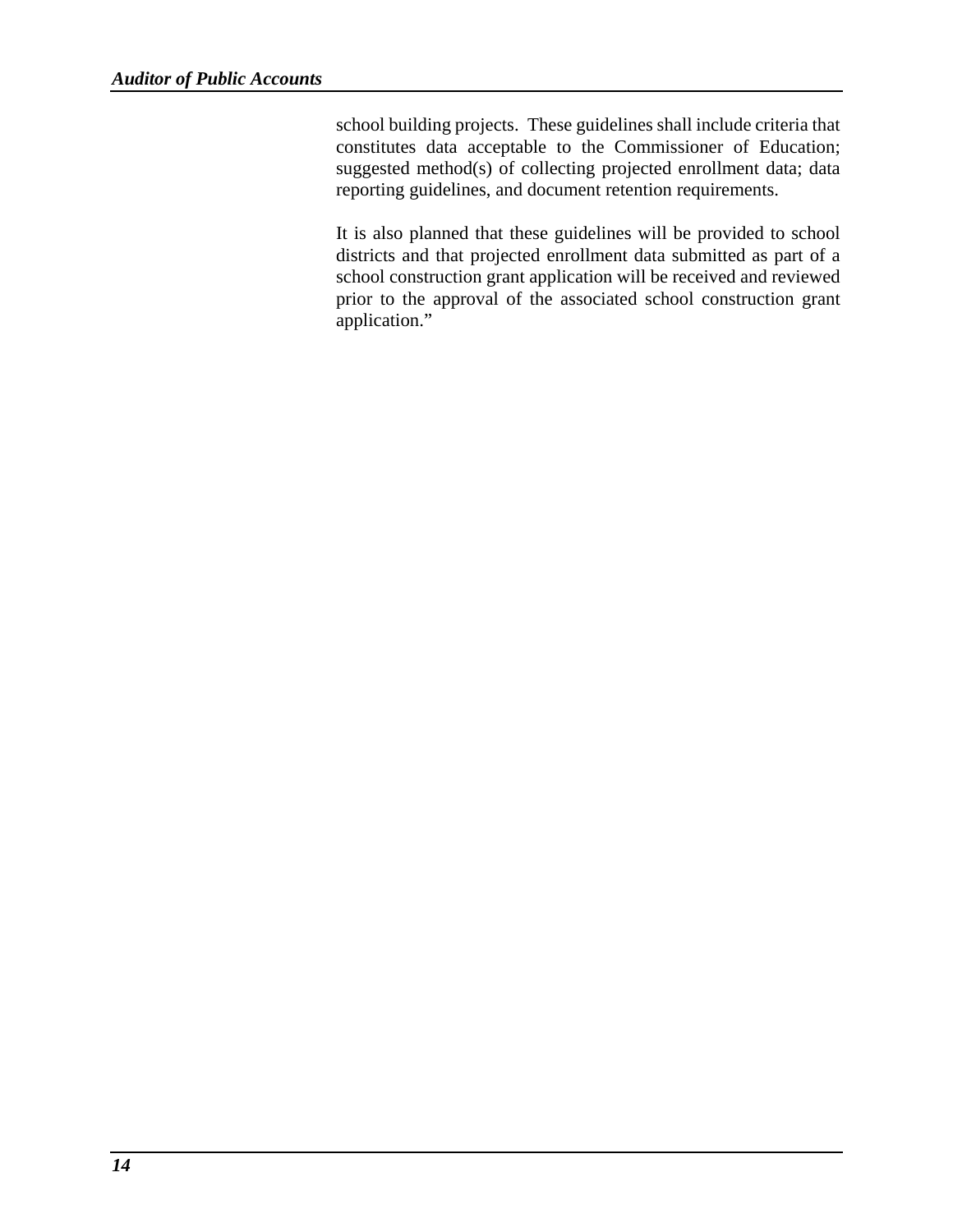school building projects. These guidelines shall include criteria that constitutes data acceptable to the Commissioner of Education; suggested method(s) of collecting projected enrollment data; data reporting guidelines, and document retention requirements.

It is also planned that these guidelines will be provided to school districts and that projected enrollment data submitted as part of a school construction grant application will be received and reviewed prior to the approval of the associated school construction grant application."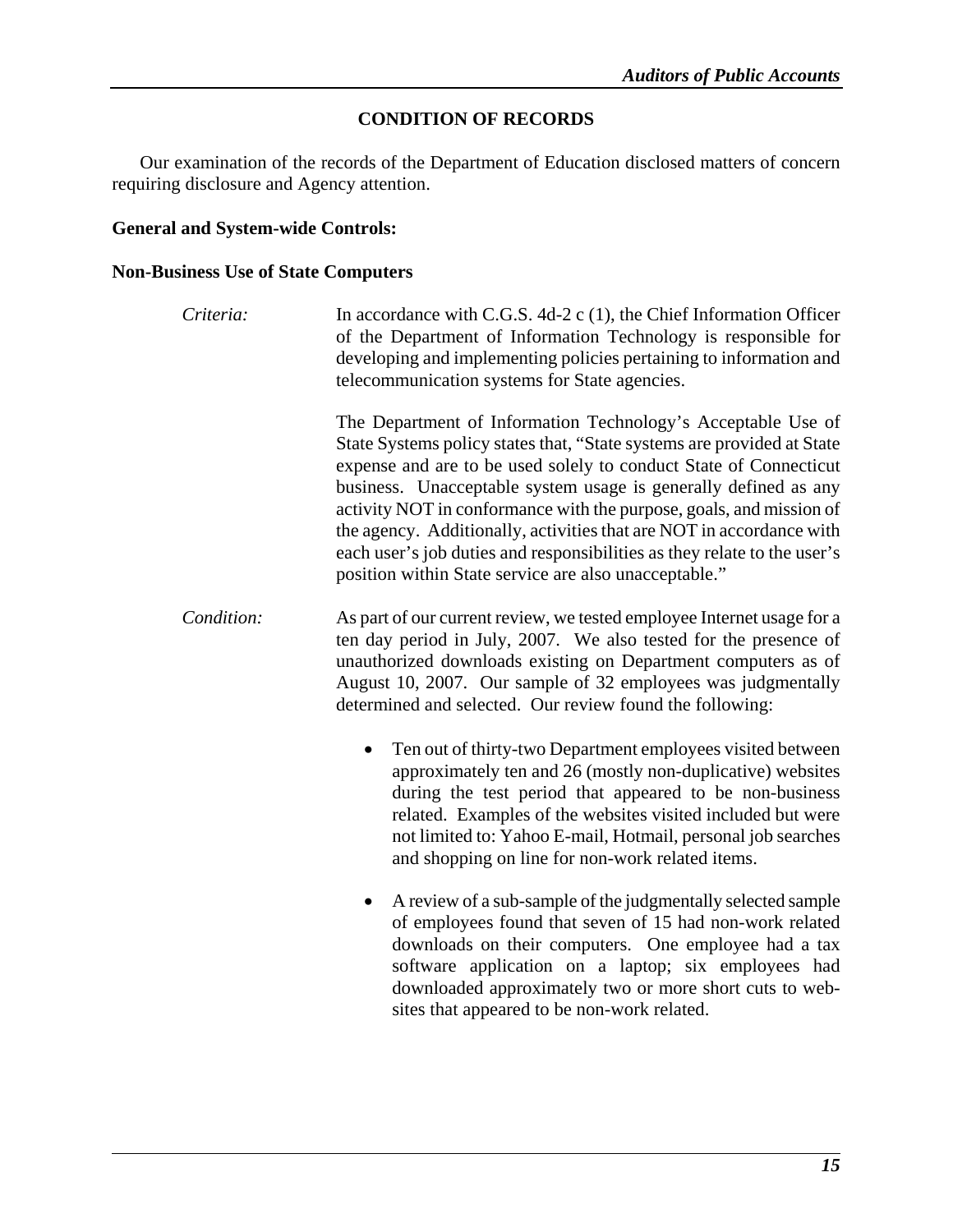### **CONDITION OF RECORDS**

Our examination of the records of the Department of Education disclosed matters of concern requiring disclosure and Agency attention.

### **General and System-wide Controls:**

### **Non-Business Use of State Computers**

| Criteria:  | In accordance with C.G.S. 4d-2 c $(1)$ , the Chief Information Officer<br>of the Department of Information Technology is responsible for<br>developing and implementing policies pertaining to information and<br>telecommunication systems for State agencies.                                                                                                                                                                                                                                                                                                    |
|------------|--------------------------------------------------------------------------------------------------------------------------------------------------------------------------------------------------------------------------------------------------------------------------------------------------------------------------------------------------------------------------------------------------------------------------------------------------------------------------------------------------------------------------------------------------------------------|
|            | The Department of Information Technology's Acceptable Use of<br>State Systems policy states that, "State systems are provided at State<br>expense and are to be used solely to conduct State of Connecticut<br>business. Unacceptable system usage is generally defined as any<br>activity NOT in conformance with the purpose, goals, and mission of<br>the agency. Additionally, activities that are NOT in accordance with<br>each user's job duties and responsibilities as they relate to the user's<br>position within State service are also unacceptable." |
| Condition: | As part of our current review, we tested employee Internet usage for a<br>ten day period in July, 2007. We also tested for the presence of<br>unauthorized downloads existing on Department computers as of<br>August 10, 2007. Our sample of 32 employees was judgmentally<br>determined and selected. Our review found the following:                                                                                                                                                                                                                            |
|            | Ten out of thirty-two Department employees visited between<br>approximately ten and 26 (mostly non-duplicative) websites<br>during the test period that appeared to be non-business<br>related. Examples of the websites visited included but were<br>not limited to: Yahoo E-mail, Hotmail, personal job searches<br>and shopping on line for non-work related items.                                                                                                                                                                                             |
|            | A review of a sub-sample of the judgmentally selected sample<br>٠<br>of employees found that seven of 15 had non-work related<br>downloads on their computers. One employee had a tax<br>software application on a laptop; six employees had<br>downloaded approximately two or more short cuts to web-<br>sites that appeared to be non-work related.                                                                                                                                                                                                             |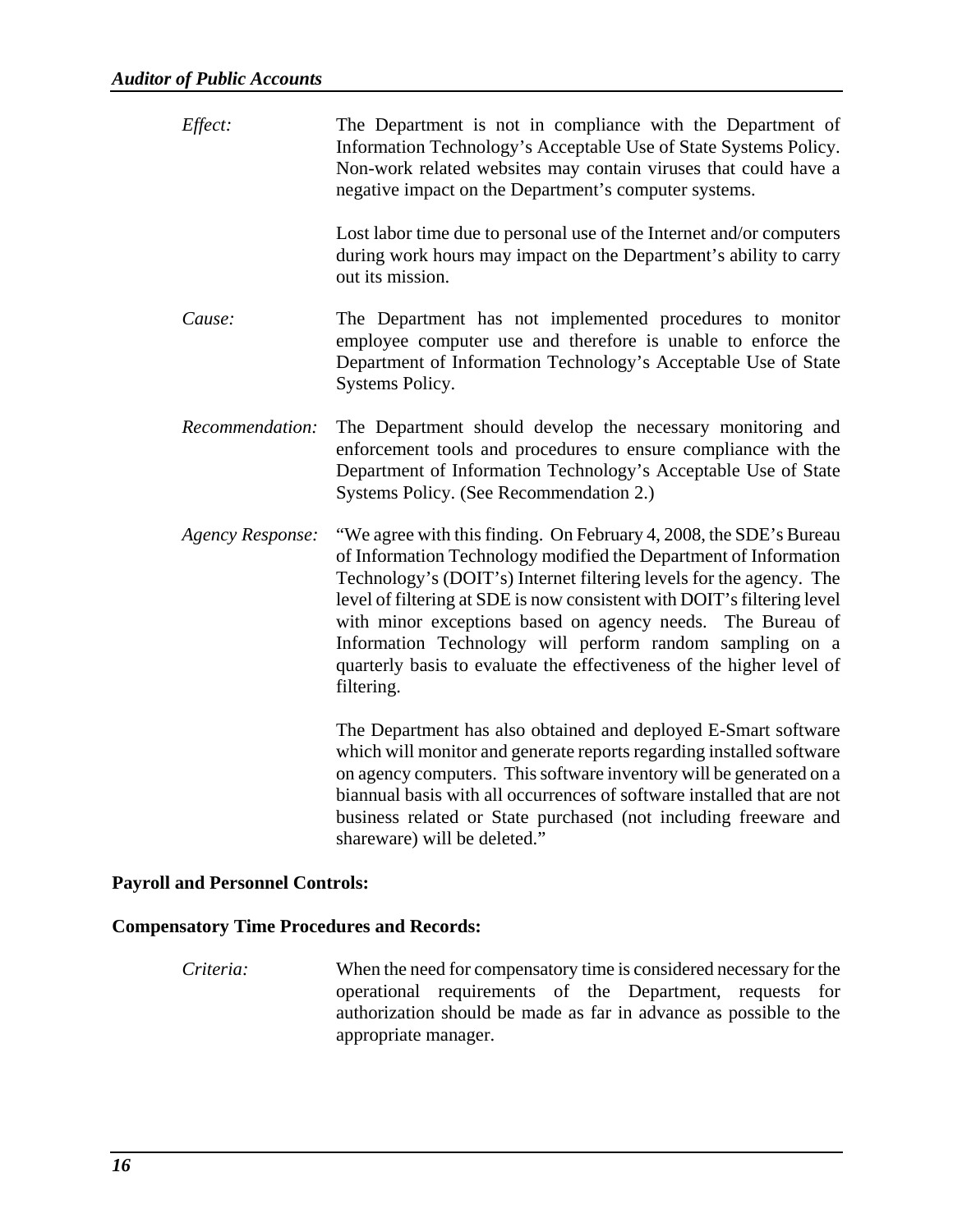| Effect:                 | The Department is not in compliance with the Department of<br>Information Technology's Acceptable Use of State Systems Policy.<br>Non-work related websites may contain viruses that could have a<br>negative impact on the Department's computer systems.                                                                                                                                                                                                                                               |
|-------------------------|----------------------------------------------------------------------------------------------------------------------------------------------------------------------------------------------------------------------------------------------------------------------------------------------------------------------------------------------------------------------------------------------------------------------------------------------------------------------------------------------------------|
|                         | Lost labor time due to personal use of the Internet and/or computers<br>during work hours may impact on the Department's ability to carry<br>out its mission.                                                                                                                                                                                                                                                                                                                                            |
| Cause:                  | The Department has not implemented procedures to monitor<br>employee computer use and therefore is unable to enforce the<br>Department of Information Technology's Acceptable Use of State<br>Systems Policy.                                                                                                                                                                                                                                                                                            |
| Recommendation:         | The Department should develop the necessary monitoring and<br>enforcement tools and procedures to ensure compliance with the<br>Department of Information Technology's Acceptable Use of State<br>Systems Policy. (See Recommendation 2.)                                                                                                                                                                                                                                                                |
| <b>Agency Response:</b> | "We agree with this finding. On February 4, 2008, the SDE's Bureau<br>of Information Technology modified the Department of Information<br>Technology's (DOIT's) Internet filtering levels for the agency. The<br>level of filtering at SDE is now consistent with DOIT's filtering level<br>with minor exceptions based on agency needs. The Bureau of<br>Information Technology will perform random sampling on a<br>quarterly basis to evaluate the effectiveness of the higher level of<br>filtering. |
|                         | The Department has also obtained and deployed E-Smart software<br>which will monitor and generate reports regarding installed software<br>on agency computers. This software inventory will be generated on a<br>biannual basis with all occurrences of software installed that are not                                                                                                                                                                                                                  |

### **Payroll and Personnel Controls:**

### **Compensatory Time Procedures and Records:**

*Criteria:* When the need for compensatory time is considered necessary for the operational requirements of the Department, requests for authorization should be made as far in advance as possible to the appropriate manager.

shareware) will be deleted."

business related or State purchased (not including freeware and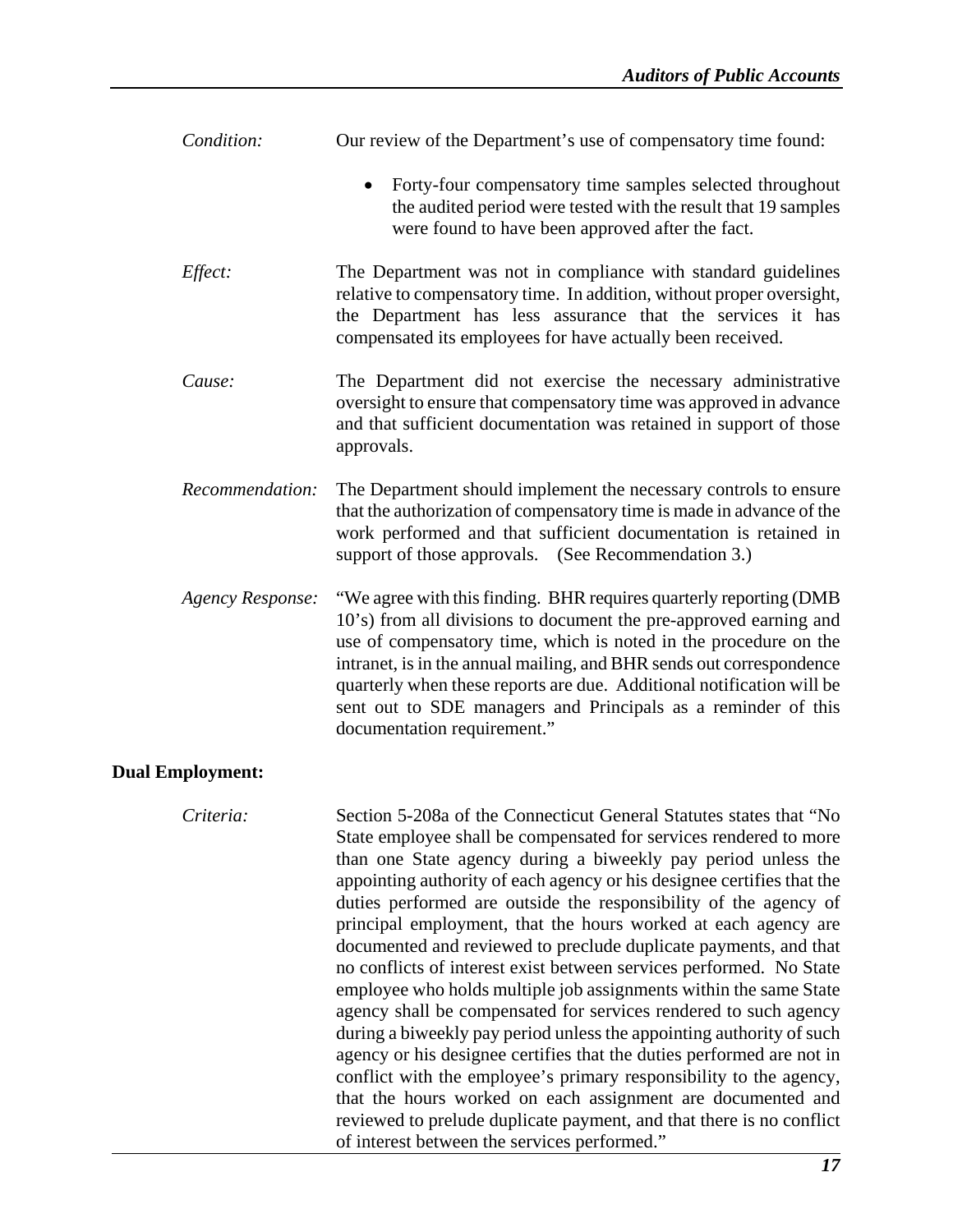| Condition:              | Our review of the Department's use of compensatory time found:                                                                                                                                                                                                                                                                                                                                                                                                                               |
|-------------------------|----------------------------------------------------------------------------------------------------------------------------------------------------------------------------------------------------------------------------------------------------------------------------------------------------------------------------------------------------------------------------------------------------------------------------------------------------------------------------------------------|
|                         | Forty-four compensatory time samples selected throughout<br>the audited period were tested with the result that 19 samples<br>were found to have been approved after the fact.                                                                                                                                                                                                                                                                                                               |
| Effect:                 | The Department was not in compliance with standard guidelines<br>relative to compensatory time. In addition, without proper oversight,<br>the Department has less assurance that the services it has<br>compensated its employees for have actually been received.                                                                                                                                                                                                                           |
| Cause:                  | The Department did not exercise the necessary administrative<br>oversight to ensure that compensatory time was approved in advance<br>and that sufficient documentation was retained in support of those<br>approvals.                                                                                                                                                                                                                                                                       |
| Recommendation:         | The Department should implement the necessary controls to ensure<br>that the authorization of compensatory time is made in advance of the<br>work performed and that sufficient documentation is retained in<br>support of those approvals. (See Recommendation 3.)                                                                                                                                                                                                                          |
| <b>Agency Response:</b> | "We agree with this finding. BHR requires quarterly reporting (DMB)<br>10's) from all divisions to document the pre-approved earning and<br>use of compensatory time, which is noted in the procedure on the<br>intranet, is in the annual mailing, and BHR sends out correspondence<br>quarterly when these reports are due. Additional notification will be<br>sent out to SDE managers and Principals as a reminder of this<br>documentation requirement."                                |
| <b>Dual Employment:</b> |                                                                                                                                                                                                                                                                                                                                                                                                                                                                                              |
| Criteria:               | Section 5-208a of the Connecticut General Statutes states that "No<br>State employee shall be compensated for services rendered to more<br>than one State agency during a biweekly pay period unless the<br>appointing authority of each agency or his designee certifies that the<br>duties performed are outside the responsibility of the agency of<br>principal employment, that the hours worked at each agency are<br>documented and reviewed to preclude duplicate payments, and that |

no conflicts of interest exist between services performed. No State employee who holds multiple job assignments within the same State agency shall be compensated for services rendered to such agency during a biweekly pay period unless the appointing authority of such agency or his designee certifies that the duties performed are not in conflict with the employee's primary responsibility to the agency, that the hours worked on each assignment are documented and reviewed to prelude duplicate payment, and that there is no conflict

of interest between the services performed."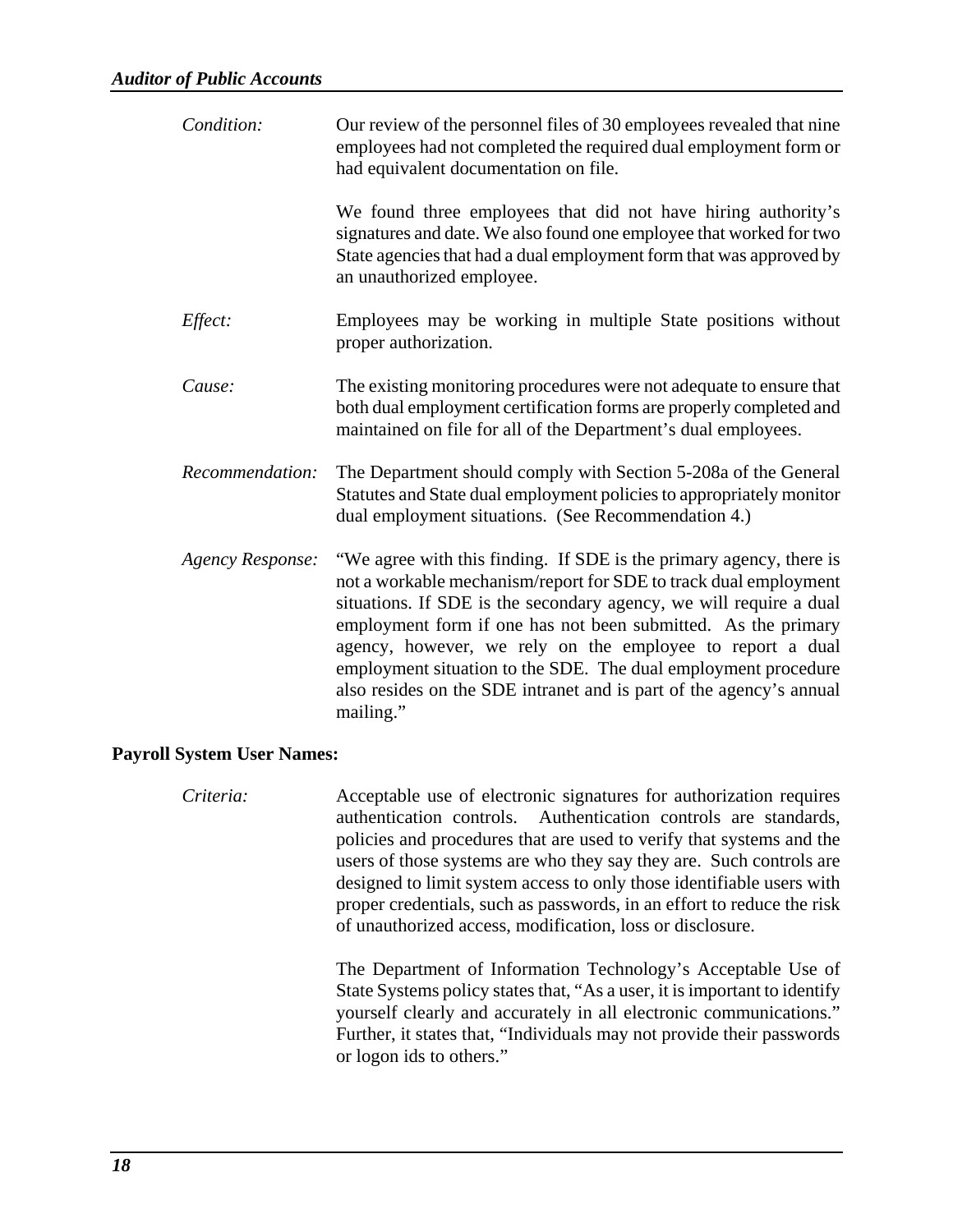| Condition:       | Our review of the personnel files of 30 employees revealed that nine<br>employees had not completed the required dual employment form or<br>had equivalent documentation on file.                                                                                                                                                                                                                                                                                                                 |
|------------------|---------------------------------------------------------------------------------------------------------------------------------------------------------------------------------------------------------------------------------------------------------------------------------------------------------------------------------------------------------------------------------------------------------------------------------------------------------------------------------------------------|
|                  | We found three employees that did not have hiring authority's<br>signatures and date. We also found one employee that worked for two<br>State agencies that had a dual employment form that was approved by<br>an unauthorized employee.                                                                                                                                                                                                                                                          |
| Effect:          | Employees may be working in multiple State positions without<br>proper authorization.                                                                                                                                                                                                                                                                                                                                                                                                             |
| Cause:           | The existing monitoring procedures were not adequate to ensure that<br>both dual employment certification forms are properly completed and<br>maintained on file for all of the Department's dual employees.                                                                                                                                                                                                                                                                                      |
| Recommendation:  | The Department should comply with Section 5-208a of the General<br>Statutes and State dual employment policies to appropriately monitor<br>dual employment situations. (See Recommendation 4.)                                                                                                                                                                                                                                                                                                    |
| Agency Response: | "We agree with this finding. If SDE is the primary agency, there is<br>not a workable mechanism/report for SDE to track dual employment<br>situations. If SDE is the secondary agency, we will require a dual<br>employment form if one has not been submitted. As the primary<br>agency, however, we rely on the employee to report a dual<br>employment situation to the SDE. The dual employment procedure<br>also resides on the SDE intranet and is part of the agency's annual<br>mailing." |

### **Payroll System User Names:**

*Criteria:* Acceptable use of electronic signatures for authorization requires authentication controls. Authentication controls are standards, policies and procedures that are used to verify that systems and the users of those systems are who they say they are. Such controls are designed to limit system access to only those identifiable users with proper credentials, such as passwords, in an effort to reduce the risk of unauthorized access, modification, loss or disclosure.

> The Department of Information Technology's Acceptable Use of State Systems policy states that, "As a user, it is important to identify yourself clearly and accurately in all electronic communications." Further, it states that, "Individuals may not provide their passwords or logon ids to others."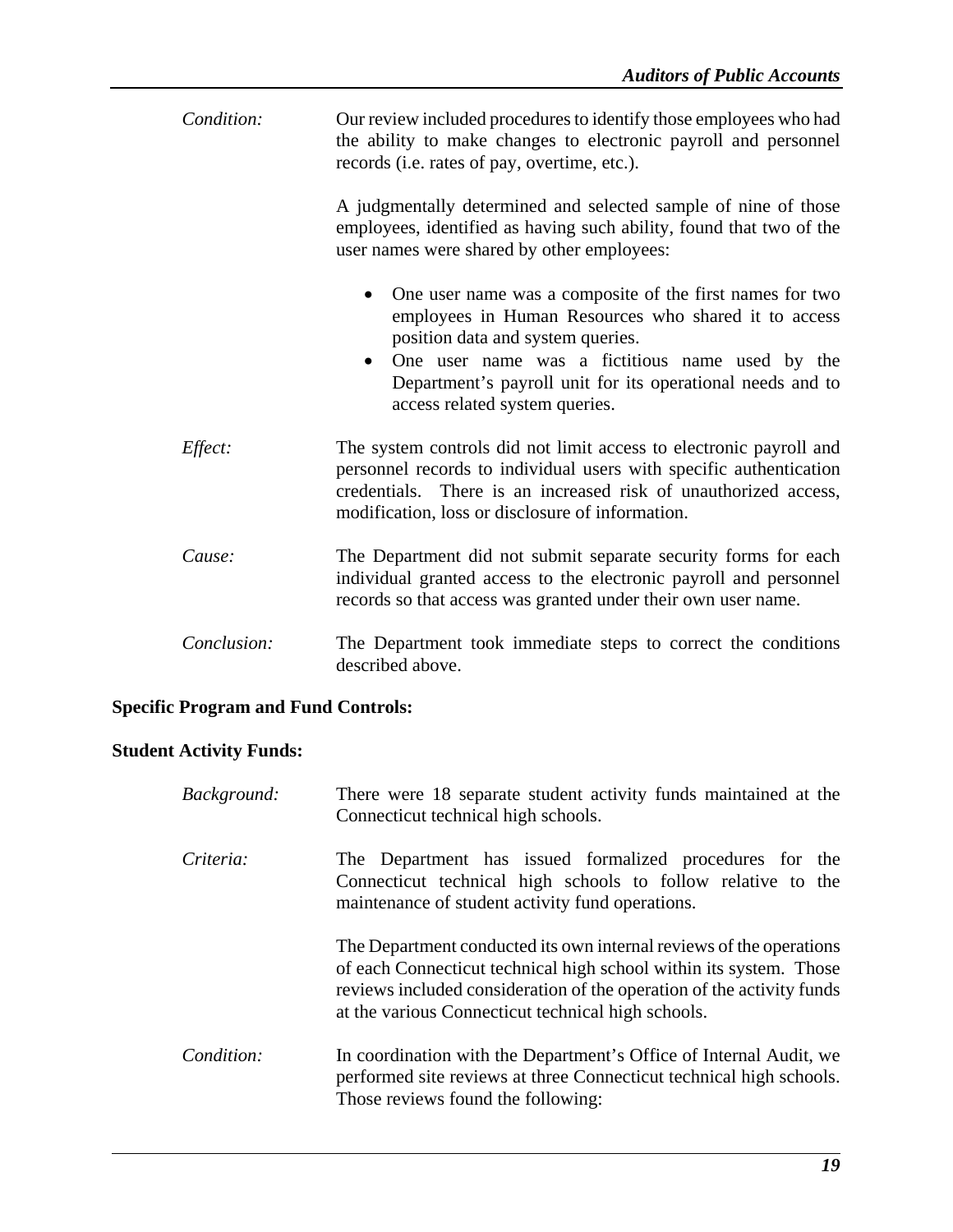| Condition:  | Our review included procedures to identify those employees who had<br>the ability to make changes to electronic payroll and personnel<br>records (i.e. rates of pay, overtime, etc.).                                                                                                                                 |
|-------------|-----------------------------------------------------------------------------------------------------------------------------------------------------------------------------------------------------------------------------------------------------------------------------------------------------------------------|
|             | A judgmentally determined and selected sample of nine of those<br>employees, identified as having such ability, found that two of the<br>user names were shared by other employees:                                                                                                                                   |
|             | One user name was a composite of the first names for two<br>employees in Human Resources who shared it to access<br>position data and system queries.<br>One user name was a fictitious name used by the<br>$\bullet$<br>Department's payroll unit for its operational needs and to<br>access related system queries. |
| Effect:     | The system controls did not limit access to electronic payroll and<br>personnel records to individual users with specific authentication<br>credentials. There is an increased risk of unauthorized access,<br>modification, loss or disclosure of information.                                                       |
| Cause:      | The Department did not submit separate security forms for each<br>individual granted access to the electronic payroll and personnel<br>records so that access was granted under their own user name.                                                                                                                  |
| Conclusion: | The Department took immediate steps to correct the conditions<br>described above.                                                                                                                                                                                                                                     |

### **Specific Program and Fund Controls:**

### **Student Activity Funds:**

| Background: | There were 18 separate student activity funds maintained at the<br>Connecticut technical high schools.                                                                                                                                                                   |
|-------------|--------------------------------------------------------------------------------------------------------------------------------------------------------------------------------------------------------------------------------------------------------------------------|
| Criteria:   | The Department has issued formalized procedures for the<br>Connecticut technical high schools to follow relative to the<br>maintenance of student activity fund operations.                                                                                              |
|             | The Department conducted its own internal reviews of the operations<br>of each Connecticut technical high school within its system. Those<br>reviews included consideration of the operation of the activity funds<br>at the various Connecticut technical high schools. |
| Condition:  | In coordination with the Department's Office of Internal Audit, we<br>performed site reviews at three Connecticut technical high schools.<br>Those reviews found the following:                                                                                          |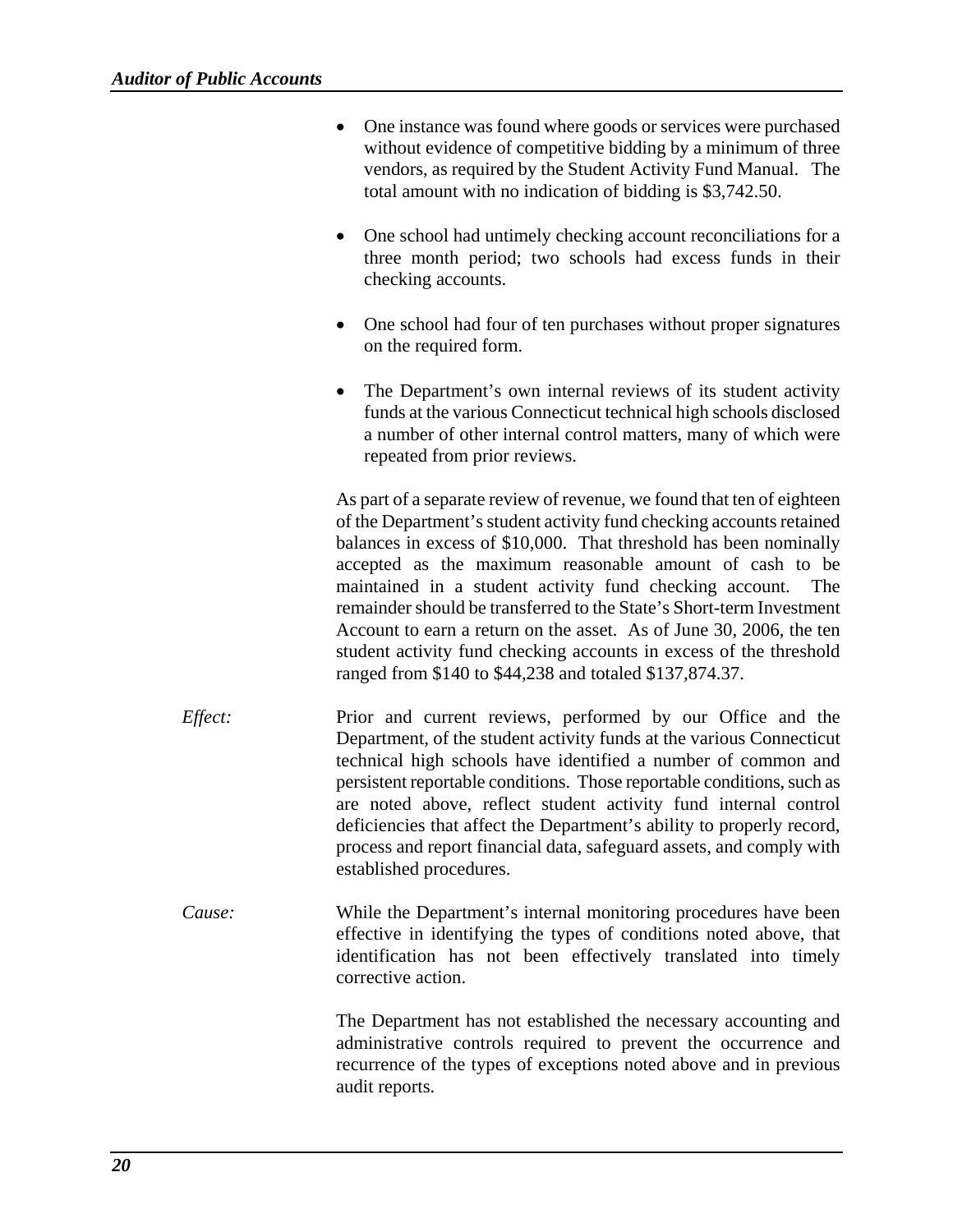- One instance was found where goods or services were purchased without evidence of competitive bidding by a minimum of three vendors, as required by the Student Activity Fund Manual. The total amount with no indication of bidding is \$3,742.50.
- One school had untimely checking account reconciliations for a three month period; two schools had excess funds in their checking accounts.
- One school had four of ten purchases without proper signatures on the required form.
- The Department's own internal reviews of its student activity funds at the various Connecticut technical high schools disclosed a number of other internal control matters, many of which were repeated from prior reviews.

As part of a separate review of revenue, we found that ten of eighteen of the Department's student activity fund checking accounts retained balances in excess of \$10,000. That threshold has been nominally accepted as the maximum reasonable amount of cash to be maintained in a student activity fund checking account. The remainder should be transferred to the State's Short-term Investment Account to earn a return on the asset. As of June 30, 2006, the ten student activity fund checking accounts in excess of the threshold ranged from \$140 to \$44,238 and totaled \$137,874.37.

- *Effect:* Prior and current reviews, performed by our Office and the Department, of the student activity funds at the various Connecticut technical high schools have identified a number of common and persistent reportable conditions. Those reportable conditions, such as are noted above, reflect student activity fund internal control deficiencies that affect the Department's ability to properly record, process and report financial data, safeguard assets, and comply with established procedures.
- *Cause:* While the Department's internal monitoring procedures have been effective in identifying the types of conditions noted above, that identification has not been effectively translated into timely corrective action.

The Department has not established the necessary accounting and administrative controls required to prevent the occurrence and recurrence of the types of exceptions noted above and in previous audit reports.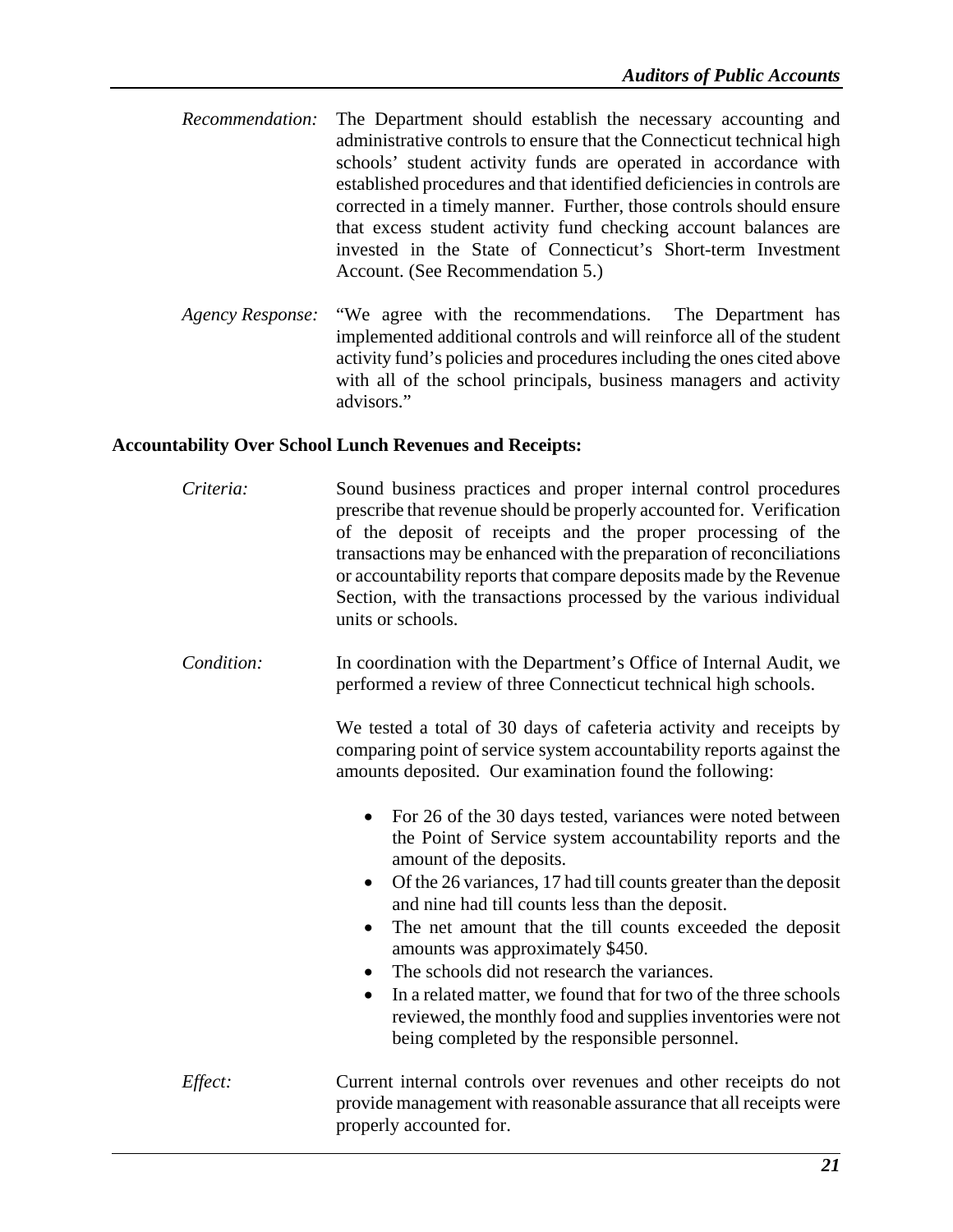- *Recommendation:* The Department should establish the necessary accounting and administrative controls to ensure that the Connecticut technical high schools' student activity funds are operated in accordance with established procedures and that identified deficiencies in controls are corrected in a timely manner. Further, those controls should ensure that excess student activity fund checking account balances are invested in the State of Connecticut's Short-term Investment Account. (See Recommendation 5.)
- *Agency Response:* "We agree with the recommendations. The Department has implemented additional controls and will reinforce all of the student activity fund's policies and procedures including the ones cited above with all of the school principals, business managers and activity advisors."

### **Accountability Over School Lunch Revenues and Receipts:**

| Criteria:  | Sound business practices and proper internal control procedures<br>prescribe that revenue should be properly accounted for. Verification<br>of the deposit of receipts and the proper processing of the<br>transactions may be enhanced with the preparation of reconciliations<br>or accountability reports that compare deposits made by the Revenue<br>Section, with the transactions processed by the various individual<br>units or schools.                |
|------------|------------------------------------------------------------------------------------------------------------------------------------------------------------------------------------------------------------------------------------------------------------------------------------------------------------------------------------------------------------------------------------------------------------------------------------------------------------------|
| Condition: | In coordination with the Department's Office of Internal Audit, we<br>performed a review of three Connecticut technical high schools.                                                                                                                                                                                                                                                                                                                            |
|            | We tested a total of 30 days of cafeteria activity and receipts by<br>comparing point of service system accountability reports against the<br>amounts deposited. Our examination found the following:                                                                                                                                                                                                                                                            |
|            | For 26 of the 30 days tested, variances were noted between<br>$\bullet$<br>the Point of Service system accountability reports and the<br>amount of the deposits.<br>Of the 26 variances, 17 had till counts greater than the deposit<br>$\bullet$<br>and nine had till counts less than the deposit.<br>The net amount that the till counts exceeded the deposit<br>$\bullet$<br>amounts was approximately \$450.<br>The schools did not research the variances. |
|            | In a related matter, we found that for two of the three schools<br>$\bullet$<br>reviewed, the monthly food and supplies inventories were not<br>being completed by the responsible personnel.                                                                                                                                                                                                                                                                    |
| Effect:    | Current internal controls over revenues and other receipts do not<br>provide management with reasonable assurance that all receipts were<br>properly accounted for.                                                                                                                                                                                                                                                                                              |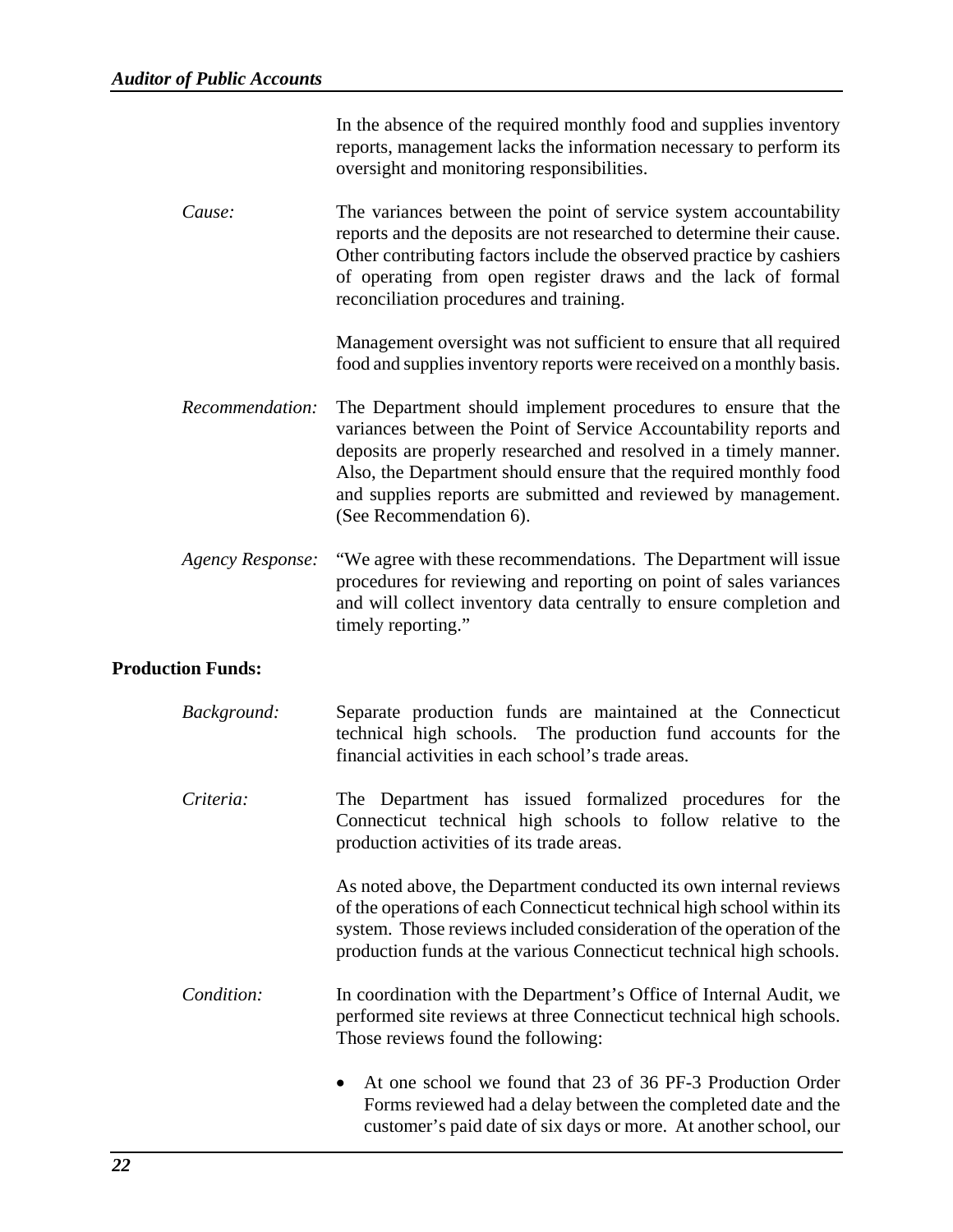|                          | In the absence of the required monthly food and supplies inventory<br>reports, management lacks the information necessary to perform its<br>oversight and monitoring responsibilities.                                                                                                                                                                                    |
|--------------------------|---------------------------------------------------------------------------------------------------------------------------------------------------------------------------------------------------------------------------------------------------------------------------------------------------------------------------------------------------------------------------|
| Cause:                   | The variances between the point of service system accountability<br>reports and the deposits are not researched to determine their cause.<br>Other contributing factors include the observed practice by cashiers<br>of operating from open register draws and the lack of formal<br>reconciliation procedures and training.                                              |
|                          | Management oversight was not sufficient to ensure that all required<br>food and supplies inventory reports were received on a monthly basis.                                                                                                                                                                                                                              |
| Recommendation:          | The Department should implement procedures to ensure that the<br>variances between the Point of Service Accountability reports and<br>deposits are properly researched and resolved in a timely manner.<br>Also, the Department should ensure that the required monthly food<br>and supplies reports are submitted and reviewed by management.<br>(See Recommendation 6). |
| <b>Agency Response:</b>  | "We agree with these recommendations. The Department will issue<br>procedures for reviewing and reporting on point of sales variances<br>and will collect inventory data centrally to ensure completion and<br>timely reporting."                                                                                                                                         |
| <b>Production Funds:</b> |                                                                                                                                                                                                                                                                                                                                                                           |
| Background:              | Separate production funds are maintained at the Connecticut<br>technical high schools. The production fund accounts for the<br>financial activities in each school's trade areas.                                                                                                                                                                                         |

*Criteria:* The Department has issued formalized procedures for the Connecticut technical high schools to follow relative to the production activities of its trade areas.

> As noted above, the Department conducted its own internal reviews of the operations of each Connecticut technical high school within its system. Those reviews included consideration of the operation of the production funds at the various Connecticut technical high schools.

- *Condition:* In coordination with the Department's Office of Internal Audit, we performed site reviews at three Connecticut technical high schools. Those reviews found the following:
	- At one school we found that 23 of 36 PF-3 Production Order Forms reviewed had a delay between the completed date and the customer's paid date of six days or more. At another school, our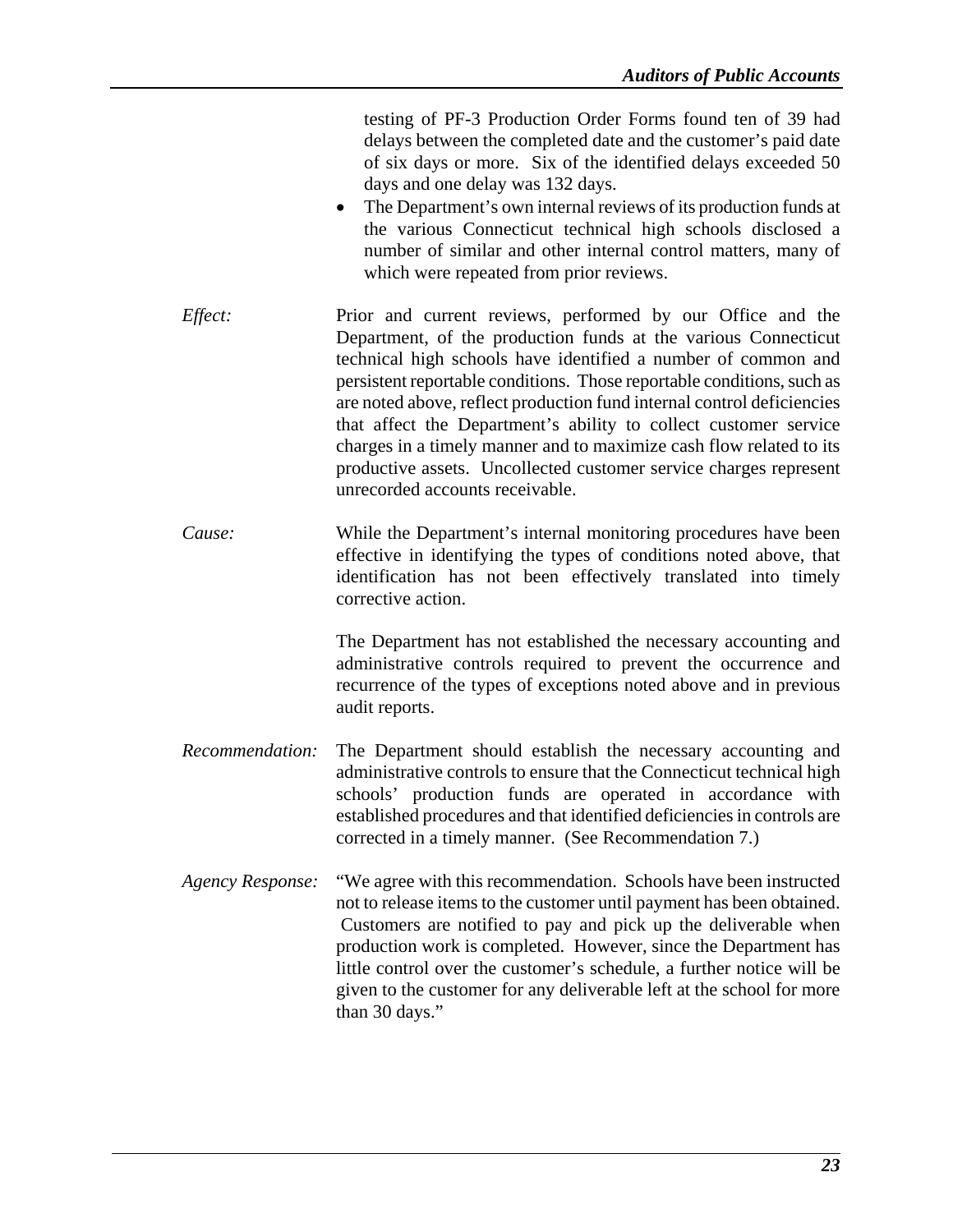|                         | testing of PF-3 Production Order Forms found ten of 39 had<br>delays between the completed date and the customer's paid date<br>of six days or more. Six of the identified delays exceeded 50<br>days and one delay was 132 days.<br>The Department's own internal reviews of its production funds at<br>$\bullet$<br>the various Connecticut technical high schools disclosed a<br>number of similar and other internal control matters, many of<br>which were repeated from prior reviews.                                                                                                         |
|-------------------------|------------------------------------------------------------------------------------------------------------------------------------------------------------------------------------------------------------------------------------------------------------------------------------------------------------------------------------------------------------------------------------------------------------------------------------------------------------------------------------------------------------------------------------------------------------------------------------------------------|
| Effect:                 | Prior and current reviews, performed by our Office and the<br>Department, of the production funds at the various Connecticut<br>technical high schools have identified a number of common and<br>persistent reportable conditions. Those reportable conditions, such as<br>are noted above, reflect production fund internal control deficiencies<br>that affect the Department's ability to collect customer service<br>charges in a timely manner and to maximize cash flow related to its<br>productive assets. Uncollected customer service charges represent<br>unrecorded accounts receivable. |
| Cause:                  | While the Department's internal monitoring procedures have been<br>effective in identifying the types of conditions noted above, that<br>identification has not been effectively translated into timely<br>corrective action.                                                                                                                                                                                                                                                                                                                                                                        |
|                         | The Department has not established the necessary accounting and<br>administrative controls required to prevent the occurrence and<br>recurrence of the types of exceptions noted above and in previous<br>audit reports.                                                                                                                                                                                                                                                                                                                                                                             |
| Recommendation:         | The Department should establish the necessary accounting and<br>administrative controls to ensure that the Connecticut technical high<br>schools' production funds are operated in accordance with<br>established procedures and that identified deficiencies in controls are<br>corrected in a timely manner. (See Recommendation 7.)                                                                                                                                                                                                                                                               |
| <b>Agency Response:</b> | "We agree with this recommendation. Schools have been instructed<br>not to release items to the customer until payment has been obtained.<br>Customers are notified to pay and pick up the deliverable when<br>production work is completed. However, since the Department has<br>little control over the customer's schedule, a further notice will be<br>given to the customer for any deliverable left at the school for more<br>than 30 days."                                                                                                                                                   |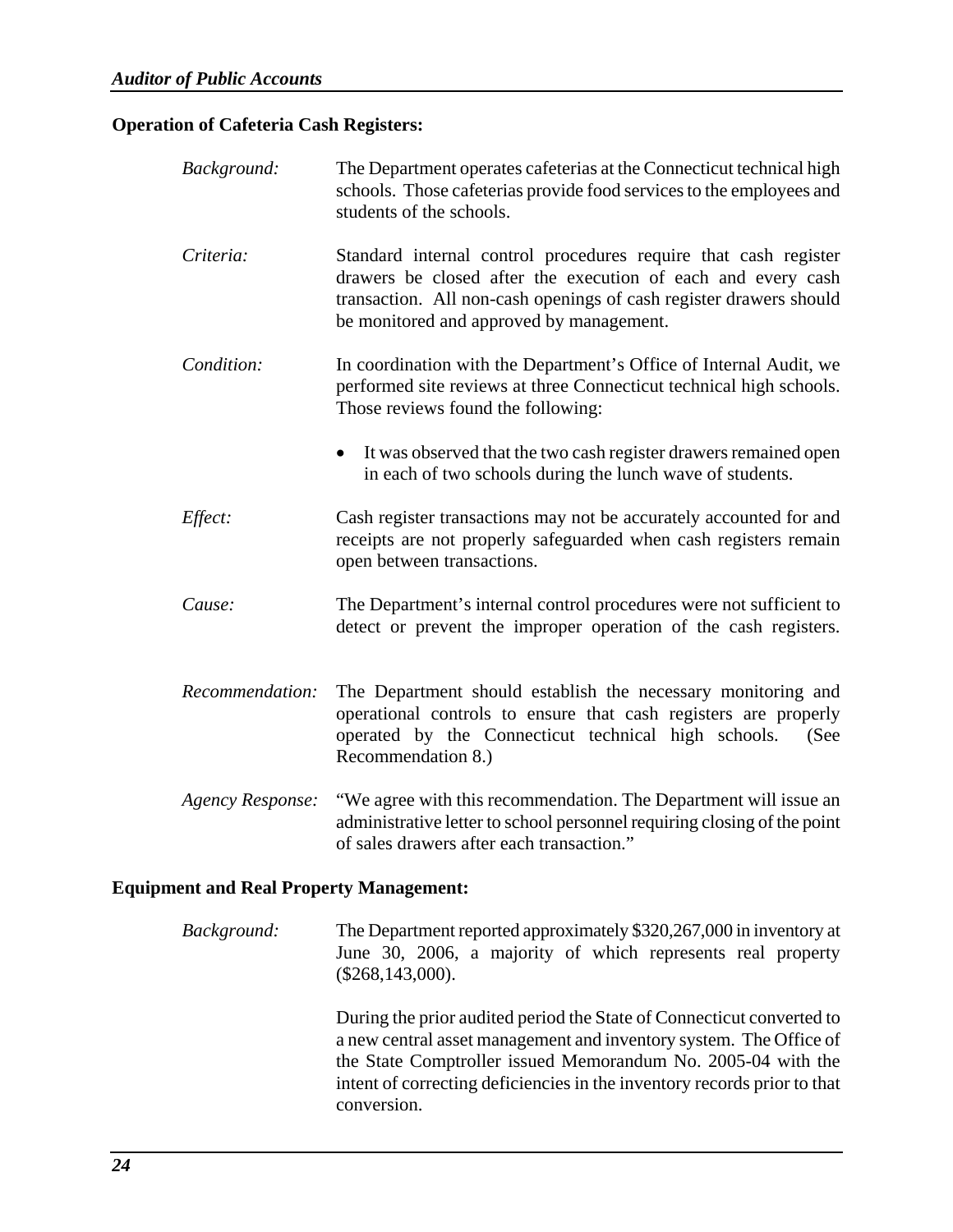### **Operation of Cafeteria Cash Registers:**

| Background:                                    | The Department operates cafeterias at the Connecticut technical high<br>schools. Those cafeterias provide food services to the employees and<br>students of the schools.                                                                          |
|------------------------------------------------|---------------------------------------------------------------------------------------------------------------------------------------------------------------------------------------------------------------------------------------------------|
| Criteria:                                      | Standard internal control procedures require that cash register<br>drawers be closed after the execution of each and every cash<br>transaction. All non-cash openings of cash register drawers should<br>be monitored and approved by management. |
| Condition:                                     | In coordination with the Department's Office of Internal Audit, we<br>performed site reviews at three Connecticut technical high schools.<br>Those reviews found the following:                                                                   |
|                                                | It was observed that the two cash register drawers remained open<br>in each of two schools during the lunch wave of students.                                                                                                                     |
| Effect:                                        | Cash register transactions may not be accurately accounted for and<br>receipts are not properly safeguarded when cash registers remain<br>open between transactions.                                                                              |
| Cause:                                         | The Department's internal control procedures were not sufficient to<br>detect or prevent the improper operation of the cash registers.                                                                                                            |
| Recommendation:                                | The Department should establish the necessary monitoring and<br>operational controls to ensure that cash registers are properly<br>operated by the Connecticut technical high schools.<br>(See<br>Recommendation 8.)                              |
| <b>Agency Response:</b>                        | "We agree with this recommendation. The Department will issue an<br>administrative letter to school personnel requiring closing of the point<br>of sales drawers after each transaction."                                                         |
| <b>Equipment and Real Property Management:</b> |                                                                                                                                                                                                                                                   |

## *Background:* The Department reported approximately \$320,267,000 in inventory at

June 30, 2006, a majority of which represents real property (\$268,143,000).

During the prior audited period the State of Connecticut converted to a new central asset management and inventory system. The Office of the State Comptroller issued Memorandum No. 2005-04 with the intent of correcting deficiencies in the inventory records prior to that conversion.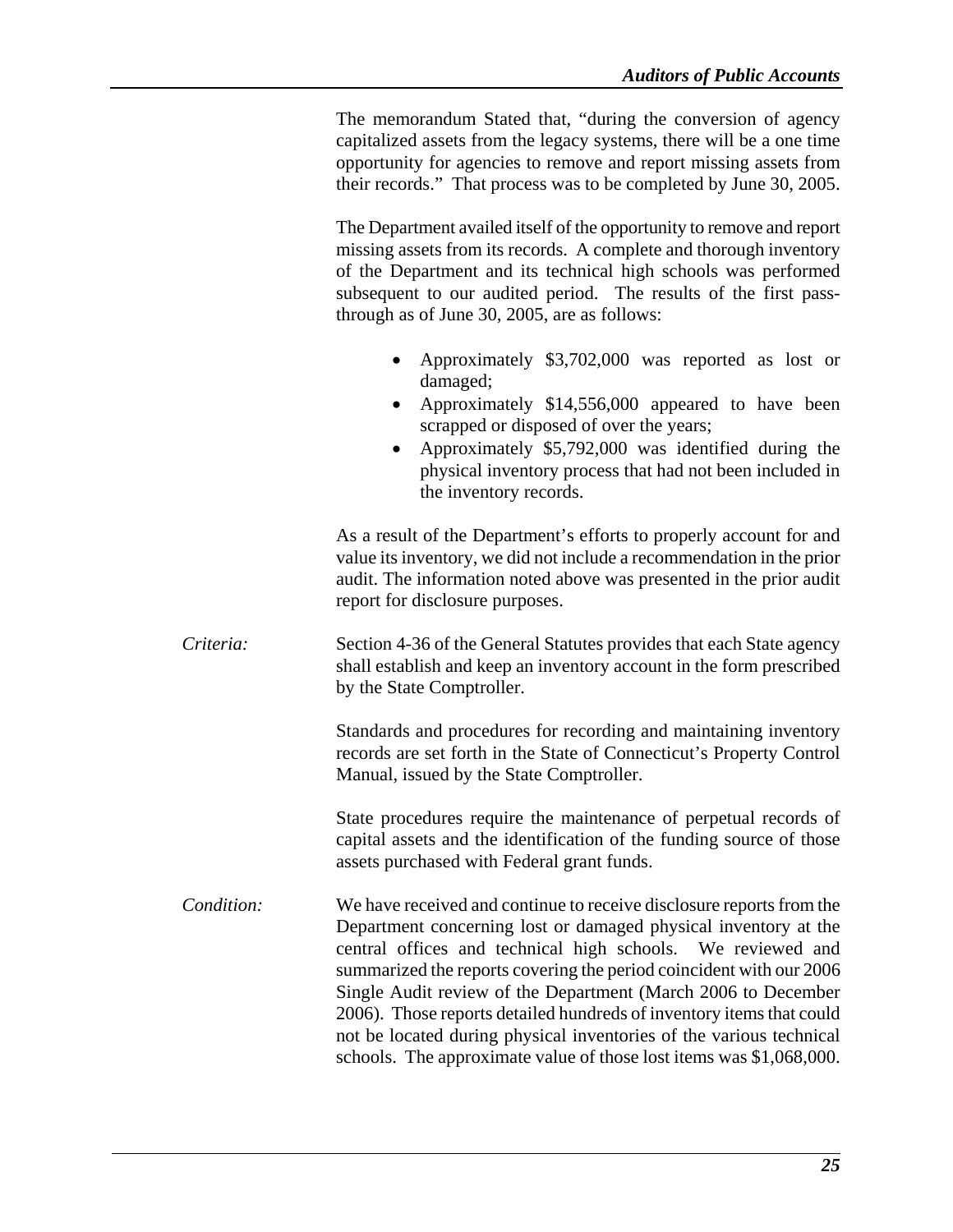The memorandum Stated that, "during the conversion of agency capitalized assets from the legacy systems, there will be a one time opportunity for agencies to remove and report missing assets from their records." That process was to be completed by June 30, 2005.

The Department availed itself of the opportunity to remove and report missing assets from its records. A complete and thorough inventory of the Department and its technical high schools was performed subsequent to our audited period. The results of the first passthrough as of June 30, 2005, are as follows:

- Approximately \$3,702,000 was reported as lost or damaged;
- Approximately \$14,556,000 appeared to have been scrapped or disposed of over the years;
- Approximately \$5,792,000 was identified during the physical inventory process that had not been included in the inventory records.

As a result of the Department's efforts to properly account for and value its inventory, we did not include a recommendation in the prior audit. The information noted above was presented in the prior audit report for disclosure purposes.

*Criteria:* Section 4-36 of the General Statutes provides that each State agency shall establish and keep an inventory account in the form prescribed by the State Comptroller.

> Standards and procedures for recording and maintaining inventory records are set forth in the State of Connecticut's Property Control Manual, issued by the State Comptroller.

> State procedures require the maintenance of perpetual records of capital assets and the identification of the funding source of those assets purchased with Federal grant funds.

*Condition:* We have received and continue to receive disclosure reports from the Department concerning lost or damaged physical inventory at the central offices and technical high schools. We reviewed and summarized the reports covering the period coincident with our 2006 Single Audit review of the Department (March 2006 to December 2006). Those reports detailed hundreds of inventory items that could not be located during physical inventories of the various technical schools. The approximate value of those lost items was \$1,068,000.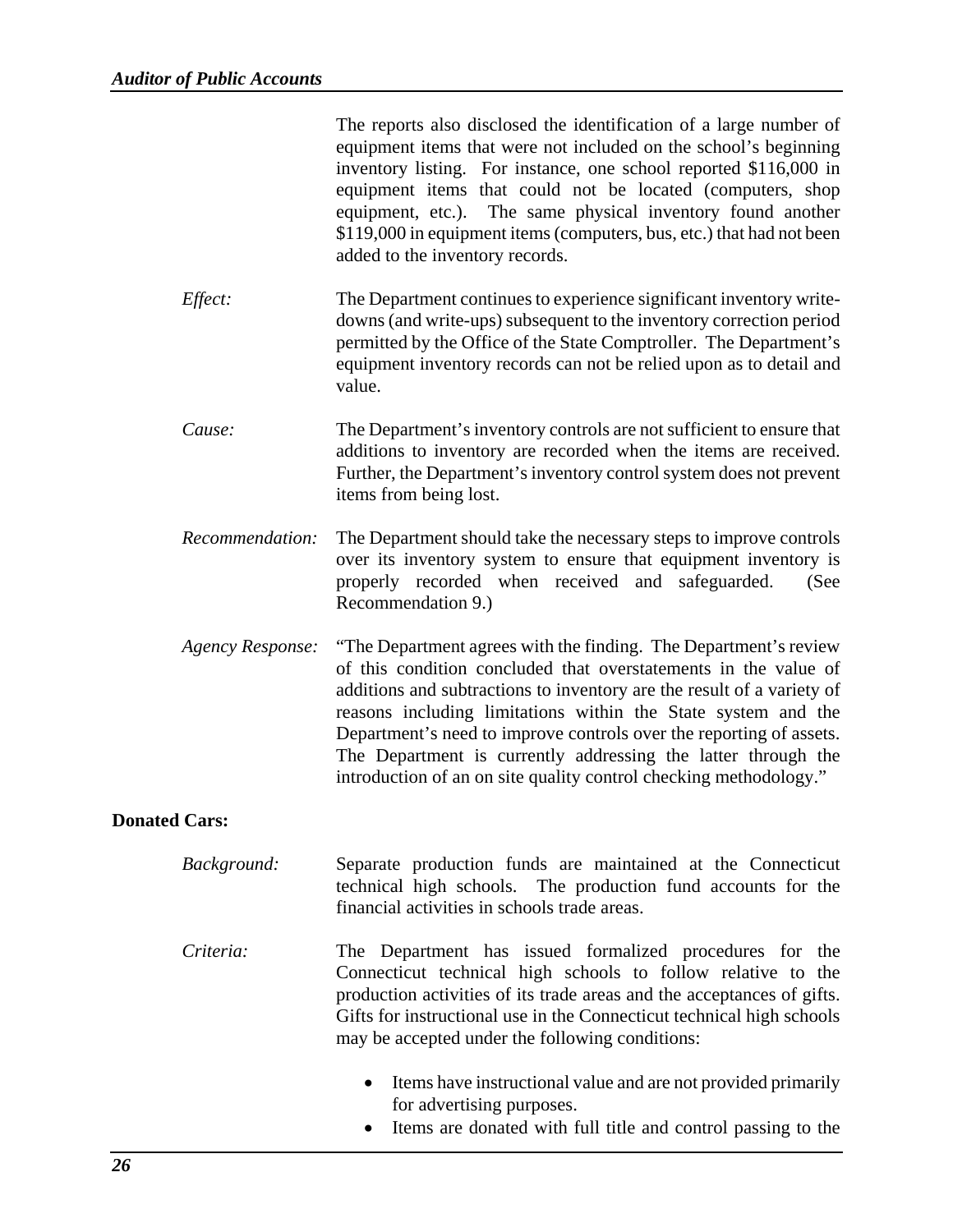|                      |                         | The reports also disclosed the identification of a large number of<br>equipment items that were not included on the school's beginning<br>inventory listing. For instance, one school reported \$116,000 in<br>equipment items that could not be located (computers, shop<br>The same physical inventory found another<br>equipment, etc.).<br>\$119,000 in equipment items (computers, bus, etc.) that had not been<br>added to the inventory records.                                     |
|----------------------|-------------------------|---------------------------------------------------------------------------------------------------------------------------------------------------------------------------------------------------------------------------------------------------------------------------------------------------------------------------------------------------------------------------------------------------------------------------------------------------------------------------------------------|
|                      | Effect:                 | The Department continues to experience significant inventory write-<br>downs (and write-ups) subsequent to the inventory correction period<br>permitted by the Office of the State Comptroller. The Department's<br>equipment inventory records can not be relied upon as to detail and<br>value.                                                                                                                                                                                           |
|                      | Cause:                  | The Department's inventory controls are not sufficient to ensure that<br>additions to inventory are recorded when the items are received.<br>Further, the Department's inventory control system does not prevent<br>items from being lost.                                                                                                                                                                                                                                                  |
|                      | Recommendation:         | The Department should take the necessary steps to improve controls<br>over its inventory system to ensure that equipment inventory is<br>properly recorded when received and safeguarded.<br>(See<br>Recommendation 9.)                                                                                                                                                                                                                                                                     |
|                      | <b>Agency Response:</b> | "The Department agrees with the finding. The Department's review<br>of this condition concluded that overstatements in the value of<br>additions and subtractions to inventory are the result of a variety of<br>reasons including limitations within the State system and the<br>Department's need to improve controls over the reporting of assets.<br>The Department is currently addressing the latter through the<br>introduction of an on site quality control checking methodology." |
| <b>Donated Cars:</b> |                         |                                                                                                                                                                                                                                                                                                                                                                                                                                                                                             |
|                      | Background:             | Separate production funds are maintained at the Connecticut<br>technical high schools. The production fund accounts for the<br>financial activities in schools trade areas.                                                                                                                                                                                                                                                                                                                 |
|                      | Criteria:               | The Department has issued formalized procedures for the<br>Connecticut technical high schools to follow relative to the<br>production activities of its trade areas and the acceptances of gifts.<br>Gifts for instructional use in the Connecticut technical high schools<br>may be accepted under the following conditions:                                                                                                                                                               |
|                      |                         | Items have instructional value and are not provided primarily<br>$\bullet$<br>for advertising purposes.<br>Items are donated with full title and control passing to the                                                                                                                                                                                                                                                                                                                     |
|                      |                         |                                                                                                                                                                                                                                                                                                                                                                                                                                                                                             |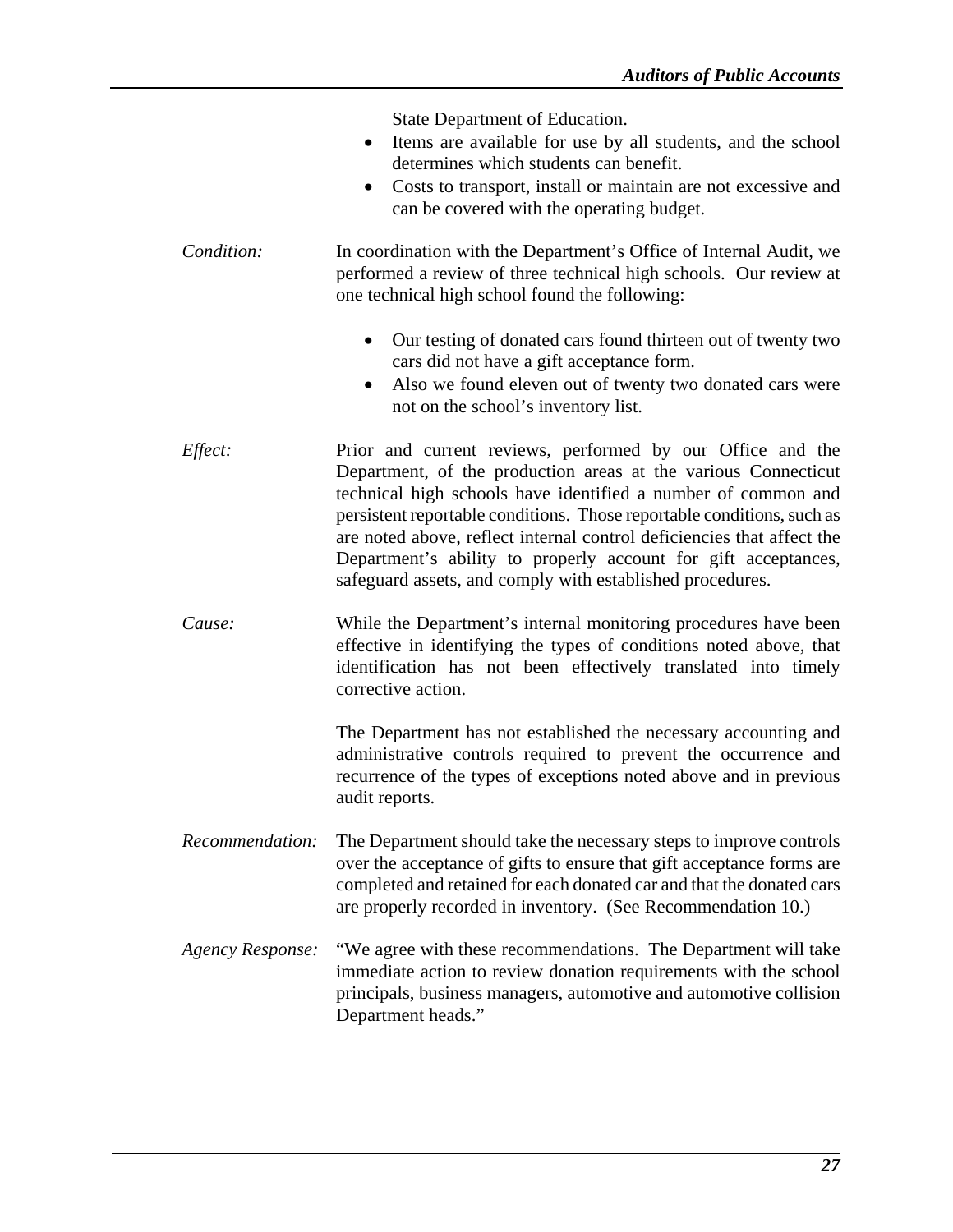State Department of Education.

- Items are available for use by all students, and the school determines which students can benefit.
- Costs to transport, install or maintain are not excessive and can be covered with the operating budget.
- *Condition:* In coordination with the Department's Office of Internal Audit, we performed a review of three technical high schools. Our review at one technical high school found the following:
	- Our testing of donated cars found thirteen out of twenty two cars did not have a gift acceptance form.
	- Also we found eleven out of twenty two donated cars were not on the school's inventory list.
- *Effect:* Prior and current reviews, performed by our Office and the Department, of the production areas at the various Connecticut technical high schools have identified a number of common and persistent reportable conditions. Those reportable conditions, such as are noted above, reflect internal control deficiencies that affect the Department's ability to properly account for gift acceptances, safeguard assets, and comply with established procedures.
- *Cause:* While the Department's internal monitoring procedures have been effective in identifying the types of conditions noted above, that identification has not been effectively translated into timely corrective action.

The Department has not established the necessary accounting and administrative controls required to prevent the occurrence and recurrence of the types of exceptions noted above and in previous audit reports.

- *Recommendation:* The Department should take the necessary steps to improve controls over the acceptance of gifts to ensure that gift acceptance forms are completed and retained for each donated car and that the donated cars are properly recorded in inventory. (See Recommendation 10.)
- *Agency Response:* "We agree with these recommendations. The Department will take immediate action to review donation requirements with the school principals, business managers, automotive and automotive collision Department heads."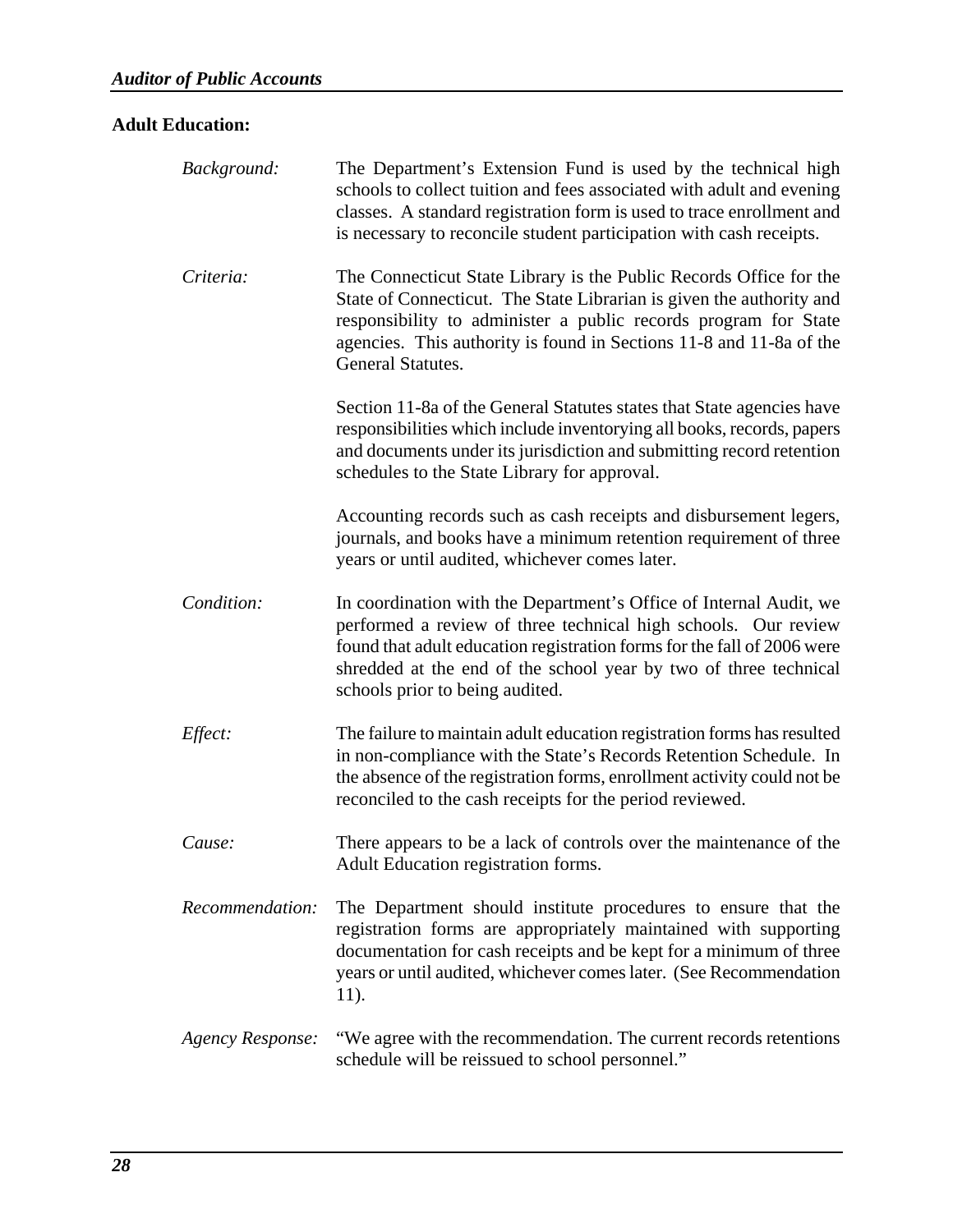### **Adult Education:**

| Background:      | The Department's Extension Fund is used by the technical high<br>schools to collect tuition and fees associated with adult and evening<br>classes. A standard registration form is used to trace enrollment and<br>is necessary to reconcile student participation with cash receipts.                                 |
|------------------|------------------------------------------------------------------------------------------------------------------------------------------------------------------------------------------------------------------------------------------------------------------------------------------------------------------------|
| Criteria:        | The Connecticut State Library is the Public Records Office for the<br>State of Connecticut. The State Librarian is given the authority and<br>responsibility to administer a public records program for State<br>agencies. This authority is found in Sections 11-8 and 11-8a of the<br>General Statutes.              |
|                  | Section 11-8a of the General Statutes states that State agencies have<br>responsibilities which include inventorying all books, records, papers<br>and documents under its jurisdiction and submitting record retention<br>schedules to the State Library for approval.                                                |
|                  | Accounting records such as cash receipts and disbursement legers,<br>journals, and books have a minimum retention requirement of three<br>years or until audited, whichever comes later.                                                                                                                               |
| Condition:       | In coordination with the Department's Office of Internal Audit, we<br>performed a review of three technical high schools. Our review<br>found that adult education registration forms for the fall of 2006 were<br>shredded at the end of the school year by two of three technical<br>schools prior to being audited. |
| Effect:          | The failure to maintain adult education registration forms has resulted<br>in non-compliance with the State's Records Retention Schedule. In<br>the absence of the registration forms, enrollment activity could not be<br>reconciled to the cash receipts for the period reviewed.                                    |
| Cause:           | There appears to be a lack of controls over the maintenance of the<br>Adult Education registration forms.                                                                                                                                                                                                              |
| Recommendation:  | The Department should institute procedures to ensure that the<br>registration forms are appropriately maintained with supporting<br>documentation for cash receipts and be kept for a minimum of three<br>years or until audited, whichever comes later. (See Recommendation<br>11).                                   |
| Agency Response: | "We agree with the recommendation. The current records retentions<br>schedule will be reissued to school personnel."                                                                                                                                                                                                   |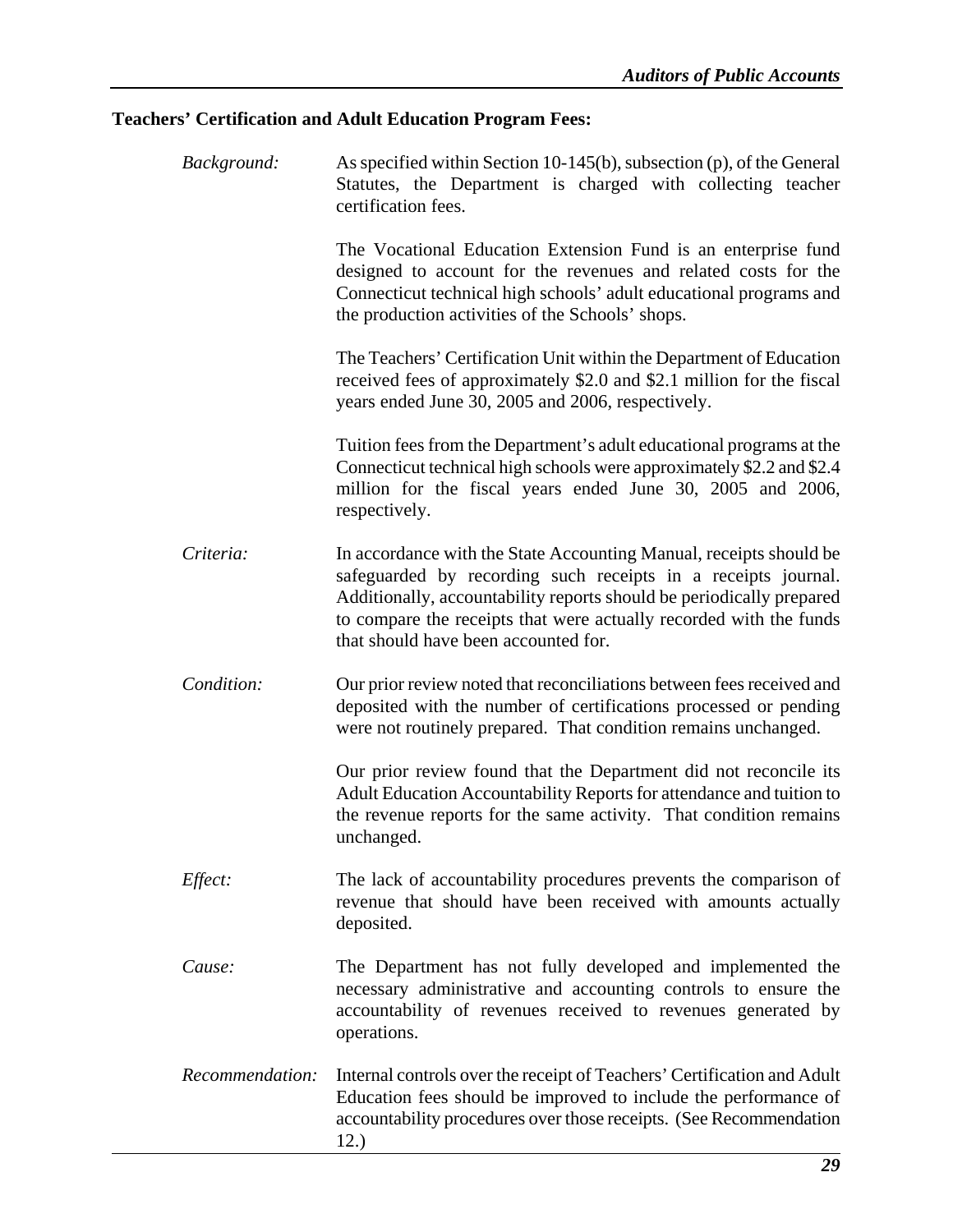### **Teachers' Certification and Adult Education Program Fees:**

| Background:     | As specified within Section 10-145(b), subsection $(p)$ , of the General<br>Statutes, the Department is charged with collecting teacher<br>certification fees.                                                                                                                                                            |
|-----------------|---------------------------------------------------------------------------------------------------------------------------------------------------------------------------------------------------------------------------------------------------------------------------------------------------------------------------|
|                 | The Vocational Education Extension Fund is an enterprise fund<br>designed to account for the revenues and related costs for the<br>Connecticut technical high schools' adult educational programs and<br>the production activities of the Schools' shops.                                                                 |
|                 | The Teachers' Certification Unit within the Department of Education<br>received fees of approximately \$2.0 and \$2.1 million for the fiscal<br>years ended June 30, 2005 and 2006, respectively.                                                                                                                         |
|                 | Tuition fees from the Department's adult educational programs at the<br>Connecticut technical high schools were approximately \$2.2 and \$2.4<br>million for the fiscal years ended June 30, 2005 and 2006,<br>respectively.                                                                                              |
| Criteria:       | In accordance with the State Accounting Manual, receipts should be<br>safeguarded by recording such receipts in a receipts journal.<br>Additionally, accountability reports should be periodically prepared<br>to compare the receipts that were actually recorded with the funds<br>that should have been accounted for. |
| Condition:      | Our prior review noted that reconciliations between fees received and<br>deposited with the number of certifications processed or pending<br>were not routinely prepared. That condition remains unchanged.                                                                                                               |
|                 | Our prior review found that the Department did not reconcile its<br>Adult Education Accountability Reports for attendance and tuition to<br>the revenue reports for the same activity. That condition remains<br>unchanged.                                                                                               |
| <i>Effect:</i>  | The lack of accountability procedures prevents the comparison of<br>revenue that should have been received with amounts actually<br>deposited.                                                                                                                                                                            |
| Cause:          | The Department has not fully developed and implemented the<br>necessary administrative and accounting controls to ensure the<br>accountability of revenues received to revenues generated by<br>operations.                                                                                                               |
| Recommendation: | Internal controls over the receipt of Teachers' Certification and Adult<br>Education fees should be improved to include the performance of<br>accountability procedures over those receipts. (See Recommendation<br>12.)                                                                                                  |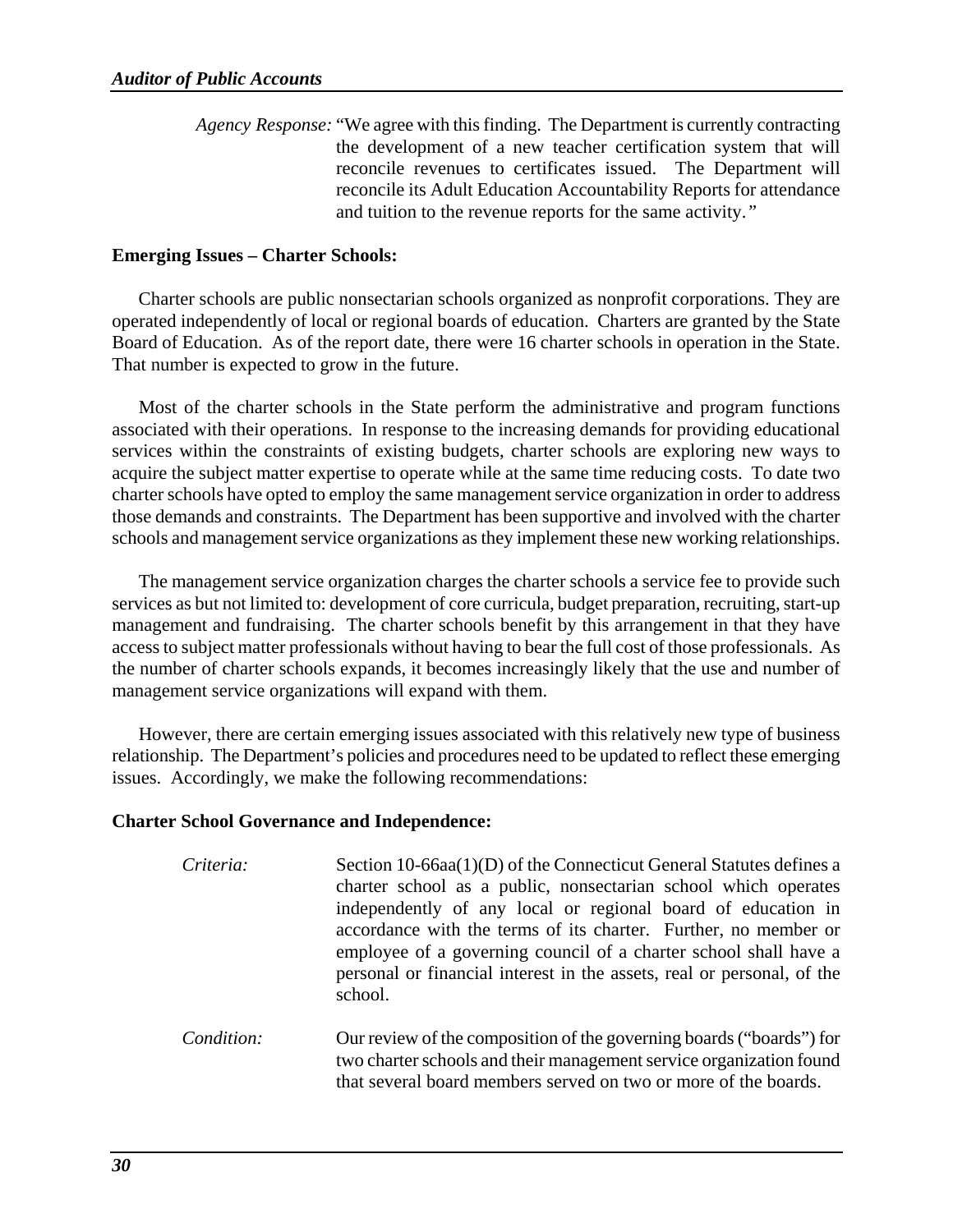*Agency Response:* "We agree with this finding. The Department is currently contracting the development of a new teacher certification system that will reconcile revenues to certificates issued. The Department will reconcile its Adult Education Accountability Reports for attendance and tuition to the revenue reports for the same activity.*"* 

### **Emerging Issues – Charter Schools:**

Charter schools are public nonsectarian schools organized as nonprofit corporations. They are operated independently of local or regional boards of education. Charters are granted by the State Board of Education. As of the report date, there were 16 charter schools in operation in the State. That number is expected to grow in the future.

Most of the charter schools in the State perform the administrative and program functions associated with their operations. In response to the increasing demands for providing educational services within the constraints of existing budgets, charter schools are exploring new ways to acquire the subject matter expertise to operate while at the same time reducing costs. To date two charter schools have opted to employ the same management service organization in order to address those demands and constraints. The Department has been supportive and involved with the charter schools and management service organizations as they implement these new working relationships.

The management service organization charges the charter schools a service fee to provide such services as but not limited to: development of core curricula, budget preparation, recruiting, start-up management and fundraising. The charter schools benefit by this arrangement in that they have access to subject matter professionals without having to bear the full cost of those professionals. As the number of charter schools expands, it becomes increasingly likely that the use and number of management service organizations will expand with them.

However, there are certain emerging issues associated with this relatively new type of business relationship. The Department's policies and procedures need to be updated to reflect these emerging issues. Accordingly, we make the following recommendations:

### **Charter School Governance and Independence:**

| Criteria: | Section 10-66aa(1)(D) of the Connecticut General Statutes defines a<br>charter school as a public, nonsectarian school which operates<br>independently of any local or regional board of education in<br>accordance with the terms of its charter. Further, no member or<br>employee of a governing council of a charter school shall have a<br>personal or financial interest in the assets, real or personal, of the<br>school. |
|-----------|-----------------------------------------------------------------------------------------------------------------------------------------------------------------------------------------------------------------------------------------------------------------------------------------------------------------------------------------------------------------------------------------------------------------------------------|
|           |                                                                                                                                                                                                                                                                                                                                                                                                                                   |

*Condition:* Our review of the composition of the governing boards ("boards") for two charter schools and their management service organization found that several board members served on two or more of the boards.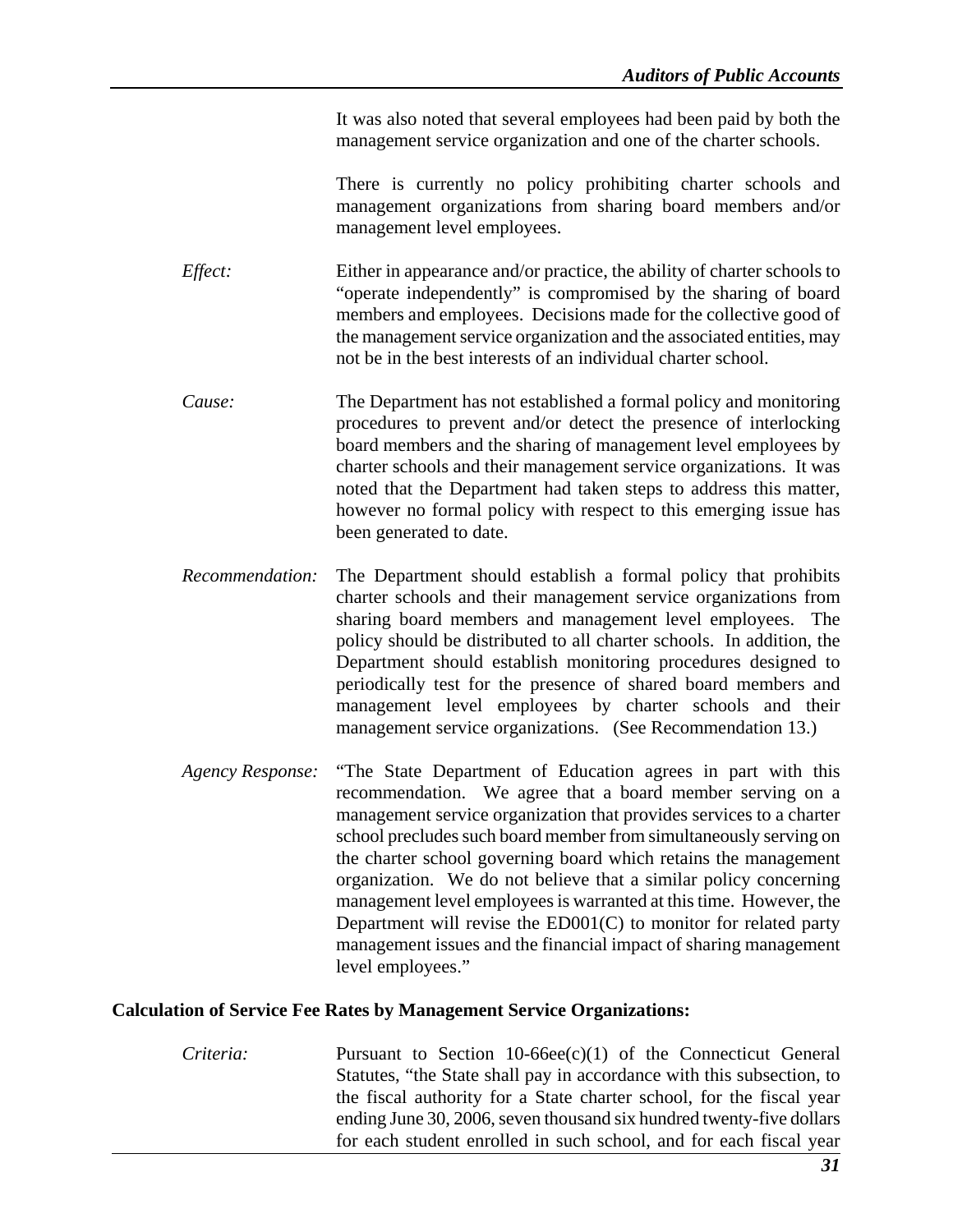It was also noted that several employees had been paid by both the management service organization and one of the charter schools.

There is currently no policy prohibiting charter schools and management organizations from sharing board members and/or management level employees.

- *Effect:* Either in appearance and/or practice, the ability of charter schools to "operate independently" is compromised by the sharing of board members and employees. Decisions made for the collective good of the management service organization and the associated entities, may not be in the best interests of an individual charter school.
- *Cause:* The Department has not established a formal policy and monitoring procedures to prevent and/or detect the presence of interlocking board members and the sharing of management level employees by charter schools and their management service organizations. It was noted that the Department had taken steps to address this matter, however no formal policy with respect to this emerging issue has been generated to date.
- *Recommendation:* The Department should establish a formal policy that prohibits charter schools and their management service organizations from sharing board members and management level employees. The policy should be distributed to all charter schools. In addition, the Department should establish monitoring procedures designed to periodically test for the presence of shared board members and management level employees by charter schools and their management service organizations. (See Recommendation 13.)
- *Agency Response:* "The State Department of Education agrees in part with this recommendation. We agree that a board member serving on a management service organization that provides services to a charter school precludes such board member from simultaneously serving on the charter school governing board which retains the management organization. We do not believe that a similar policy concerning management level employees is warranted at this time. However, the Department will revise the ED001(C) to monitor for related party management issues and the financial impact of sharing management level employees."

### **Calculation of Service Fee Rates by Management Service Organizations:**

*Criteria:* Pursuant to Section 10-66ee(c)(1) of the Connecticut General Statutes, "the State shall pay in accordance with this subsection, to the fiscal authority for a State charter school, for the fiscal year ending June 30, 2006, seven thousand six hundred twenty-five dollars for each student enrolled in such school, and for each fiscal year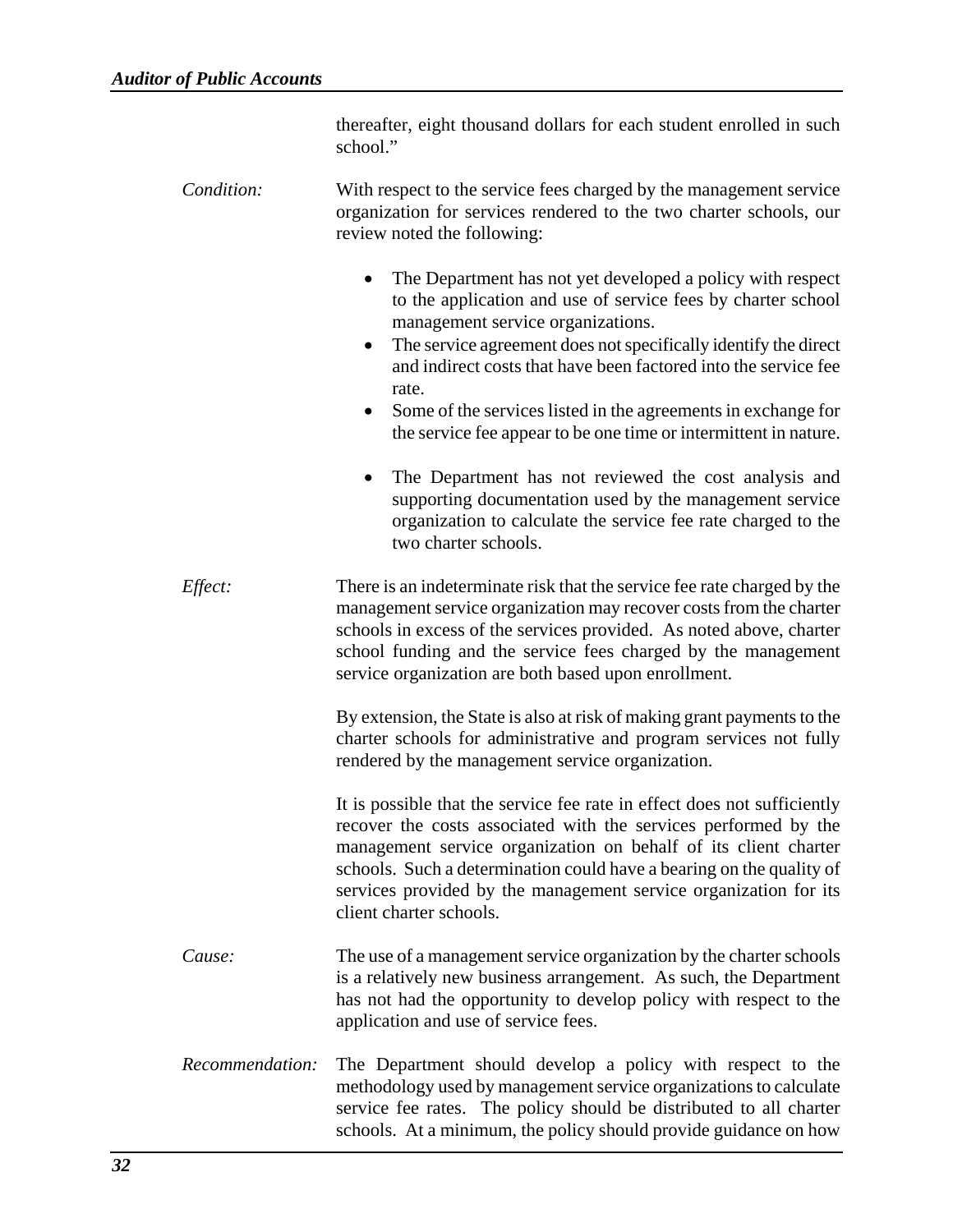| thereafter, eight thousand dollars for each student enrolled in such |  |  |  |  |  |
|----------------------------------------------------------------------|--|--|--|--|--|
| school."                                                             |  |  |  |  |  |

- *Condition:* With respect to the service fees charged by the management service organization for services rendered to the two charter schools, our review noted the following:
	- The Department has not yet developed a policy with respect to the application and use of service fees by charter school management service organizations.
	- The service agreement does not specifically identify the direct and indirect costs that have been factored into the service fee rate.
	- Some of the services listed in the agreements in exchange for the service fee appear to be one time or intermittent in nature.
	- The Department has not reviewed the cost analysis and supporting documentation used by the management service organization to calculate the service fee rate charged to the two charter schools.
- *Effect:* There is an indeterminate risk that the service fee rate charged by the management service organization may recover costs from the charter schools in excess of the services provided. As noted above, charter school funding and the service fees charged by the management service organization are both based upon enrollment.

By extension, the State is also at risk of making grant payments to the charter schools for administrative and program services not fully rendered by the management service organization.

It is possible that the service fee rate in effect does not sufficiently recover the costs associated with the services performed by the management service organization on behalf of its client charter schools. Such a determination could have a bearing on the quality of services provided by the management service organization for its client charter schools.

- *Cause:* The use of a management service organization by the charter schools is a relatively new business arrangement. As such, the Department has not had the opportunity to develop policy with respect to the application and use of service fees.
- *Recommendation:* The Department should develop a policy with respect to the methodology used by management service organizations to calculate service fee rates. The policy should be distributed to all charter schools. At a minimum, the policy should provide guidance on how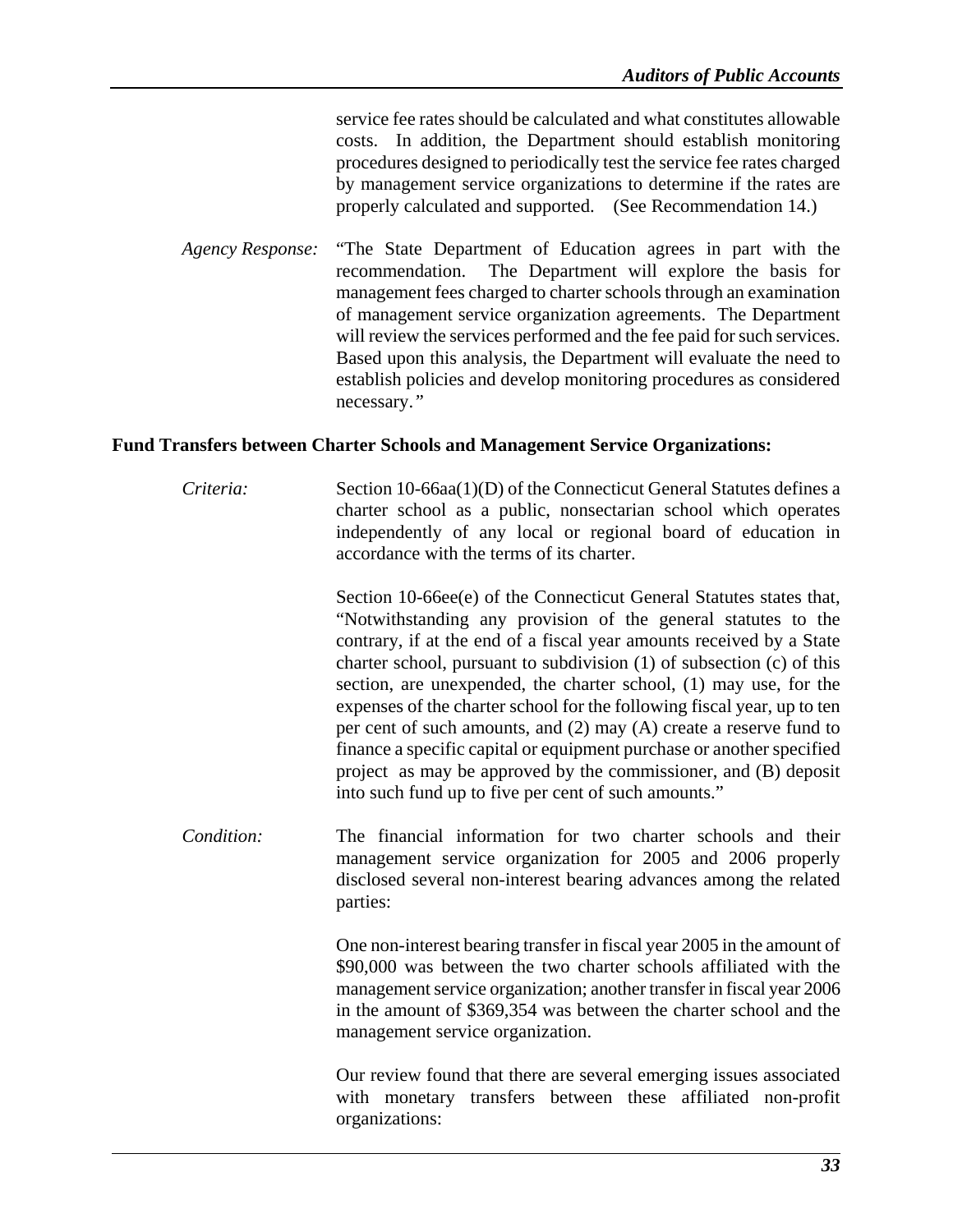service fee rates should be calculated and what constitutes allowable costs. In addition, the Department should establish monitoring procedures designed to periodically test the service fee rates charged by management service organizations to determine if the rates are properly calculated and supported. (See Recommendation 14.)

*Agency Response:* "The State Department of Education agrees in part with the recommendation. The Department will explore the basis for management fees charged to charter schools through an examination of management service organization agreements. The Department will review the services performed and the fee paid for such services. Based upon this analysis, the Department will evaluate the need to establish policies and develop monitoring procedures as considered necessary.*"* 

### **Fund Transfers between Charter Schools and Management Service Organizations:**

*Criteria:* Section 10-66aa(1)(D) of the Connecticut General Statutes defines a charter school as a public, nonsectarian school which operates independently of any local or regional board of education in accordance with the terms of its charter.

> Section 10-66ee(e) of the Connecticut General Statutes states that, "Notwithstanding any provision of the general statutes to the contrary, if at the end of a fiscal year amounts received by a State charter school, pursuant to subdivision (1) of subsection (c) of this section, are unexpended, the charter school, (1) may use, for the expenses of the charter school for the following fiscal year, up to ten per cent of such amounts, and (2) may (A) create a reserve fund to finance a specific capital or equipment purchase or another specified project as may be approved by the commissioner, and (B) deposit into such fund up to five per cent of such amounts."

*Condition:* The financial information for two charter schools and their management service organization for 2005 and 2006 properly disclosed several non-interest bearing advances among the related parties:

> One non-interest bearing transfer in fiscal year 2005 in the amount of \$90,000 was between the two charter schools affiliated with the management service organization; another transfer in fiscal year 2006 in the amount of \$369,354 was between the charter school and the management service organization.

> Our review found that there are several emerging issues associated with monetary transfers between these affiliated non-profit organizations: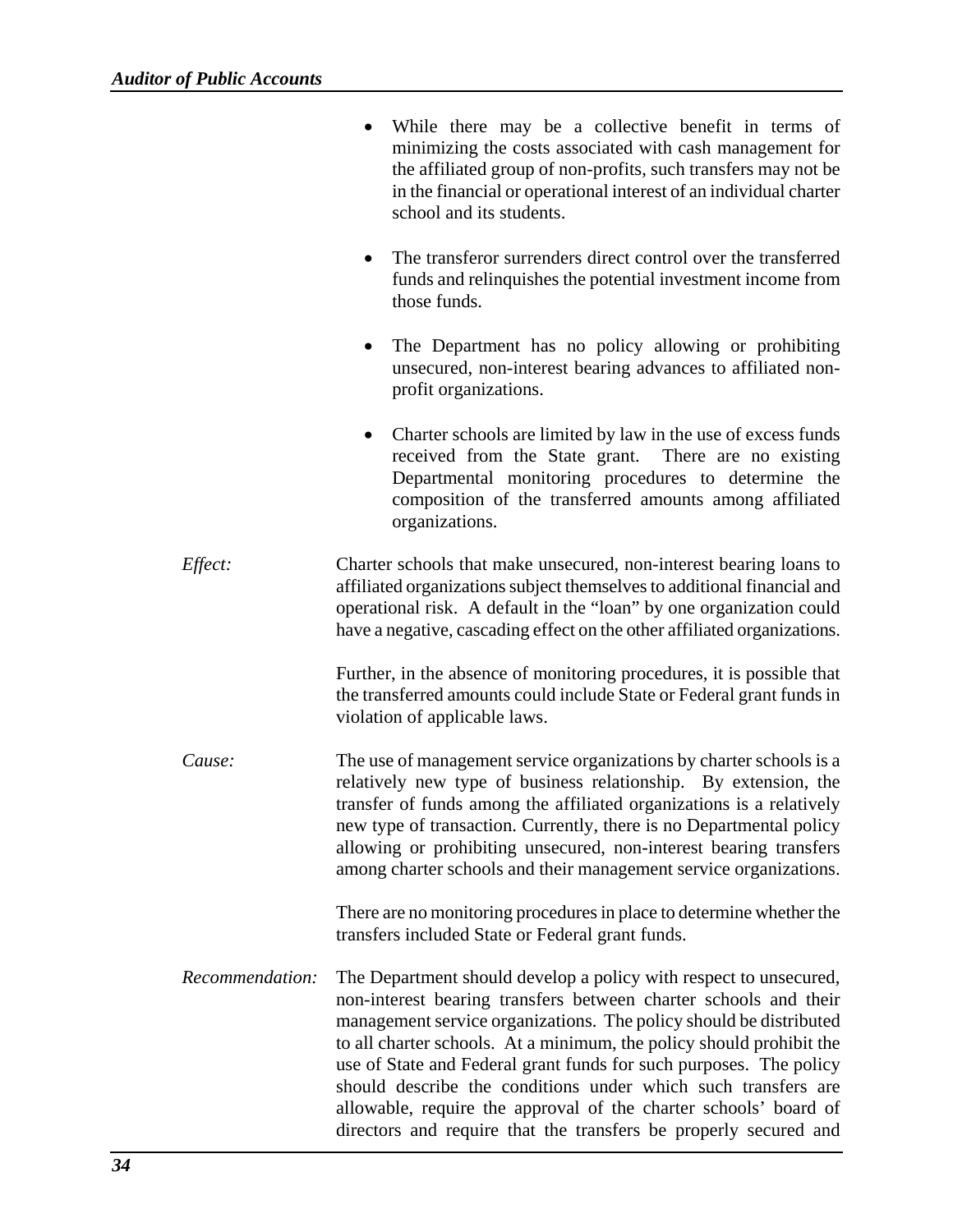|                 | While there may be a collective benefit in terms of<br>minimizing the costs associated with cash management for<br>the affiliated group of non-profits, such transfers may not be<br>in the financial or operational interest of an individual charter<br>school and its students.                                                                                                                                                                                                                                                                                 |
|-----------------|--------------------------------------------------------------------------------------------------------------------------------------------------------------------------------------------------------------------------------------------------------------------------------------------------------------------------------------------------------------------------------------------------------------------------------------------------------------------------------------------------------------------------------------------------------------------|
|                 | The transferor surrenders direct control over the transferred<br>funds and relinquishes the potential investment income from<br>those funds.                                                                                                                                                                                                                                                                                                                                                                                                                       |
|                 | The Department has no policy allowing or prohibiting<br>$\bullet$<br>unsecured, non-interest bearing advances to affiliated non-<br>profit organizations.                                                                                                                                                                                                                                                                                                                                                                                                          |
|                 | Charter schools are limited by law in the use of excess funds<br>$\bullet$<br>received from the State grant. There are no existing<br>Departmental monitoring procedures to determine the<br>composition of the transferred amounts among affiliated<br>organizations.                                                                                                                                                                                                                                                                                             |
| Effect:         | Charter schools that make unsecured, non-interest bearing loans to<br>affiliated organizations subject themselves to additional financial and<br>operational risk. A default in the "loan" by one organization could<br>have a negative, cascading effect on the other affiliated organizations.                                                                                                                                                                                                                                                                   |
|                 | Further, in the absence of monitoring procedures, it is possible that<br>the transferred amounts could include State or Federal grant funds in<br>violation of applicable laws.                                                                                                                                                                                                                                                                                                                                                                                    |
| Cause:          | The use of management service organizations by charter schools is a<br>relatively new type of business relationship. By extension, the<br>transfer of funds among the affiliated organizations is a relatively<br>new type of transaction. Currently, there is no Departmental policy<br>allowing or prohibiting unsecured, non-interest bearing transfers<br>among charter schools and their management service organizations.                                                                                                                                    |
|                 | There are no monitoring procedures in place to determine whether the<br>transfers included State or Federal grant funds.                                                                                                                                                                                                                                                                                                                                                                                                                                           |
| Recommendation: | The Department should develop a policy with respect to unsecured,<br>non-interest bearing transfers between charter schools and their<br>management service organizations. The policy should be distributed<br>to all charter schools. At a minimum, the policy should prohibit the<br>use of State and Federal grant funds for such purposes. The policy<br>should describe the conditions under which such transfers are<br>allowable, require the approval of the charter schools' board of<br>directors and require that the transfers be properly secured and |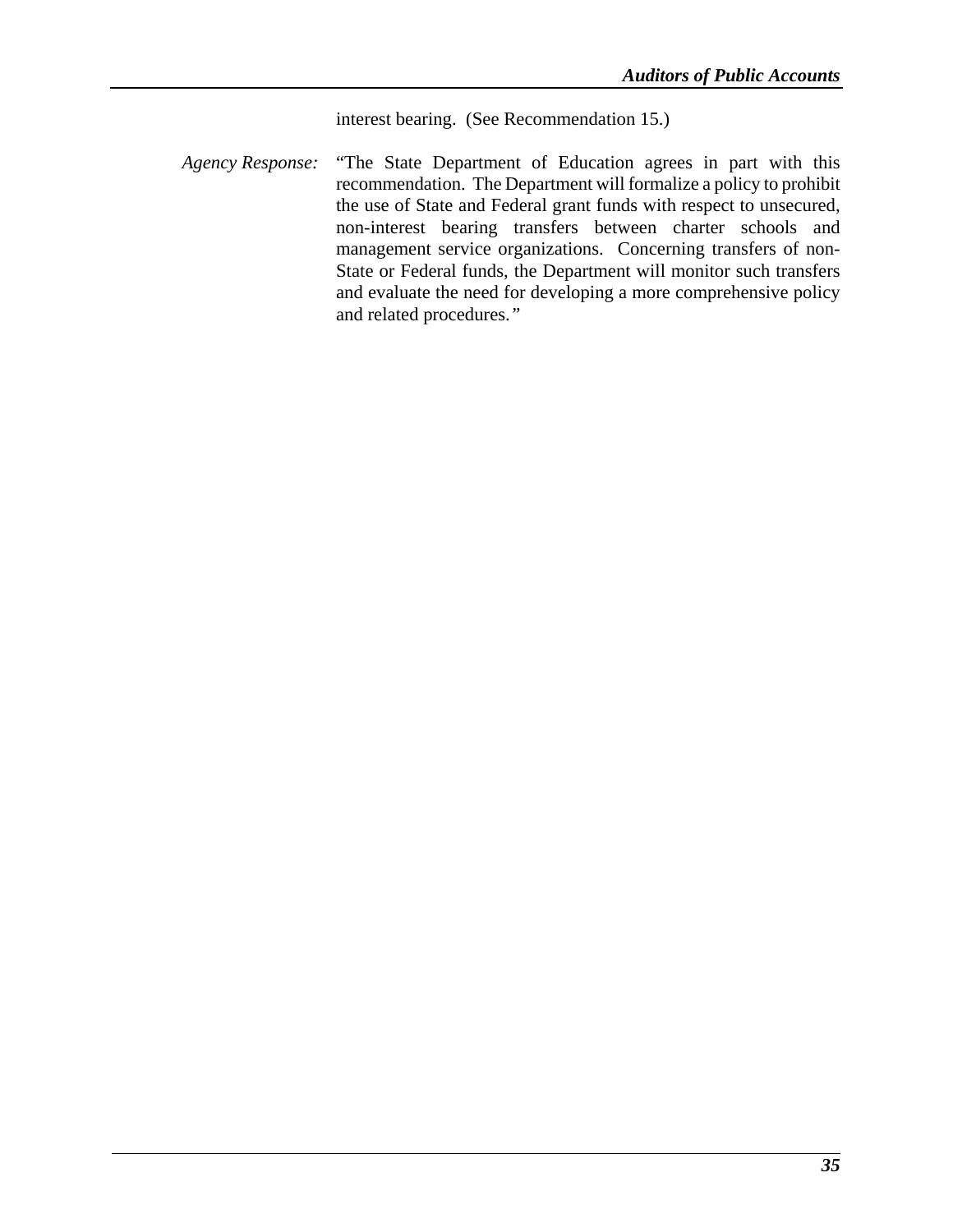interest bearing. (See Recommendation 15.)

*Agency Response:* "The State Department of Education agrees in part with this recommendation. The Department will formalize a policy to prohibit the use of State and Federal grant funds with respect to unsecured, non-interest bearing transfers between charter schools and management service organizations. Concerning transfers of non-State or Federal funds, the Department will monitor such transfers and evaluate the need for developing a more comprehensive policy and related procedures.*"*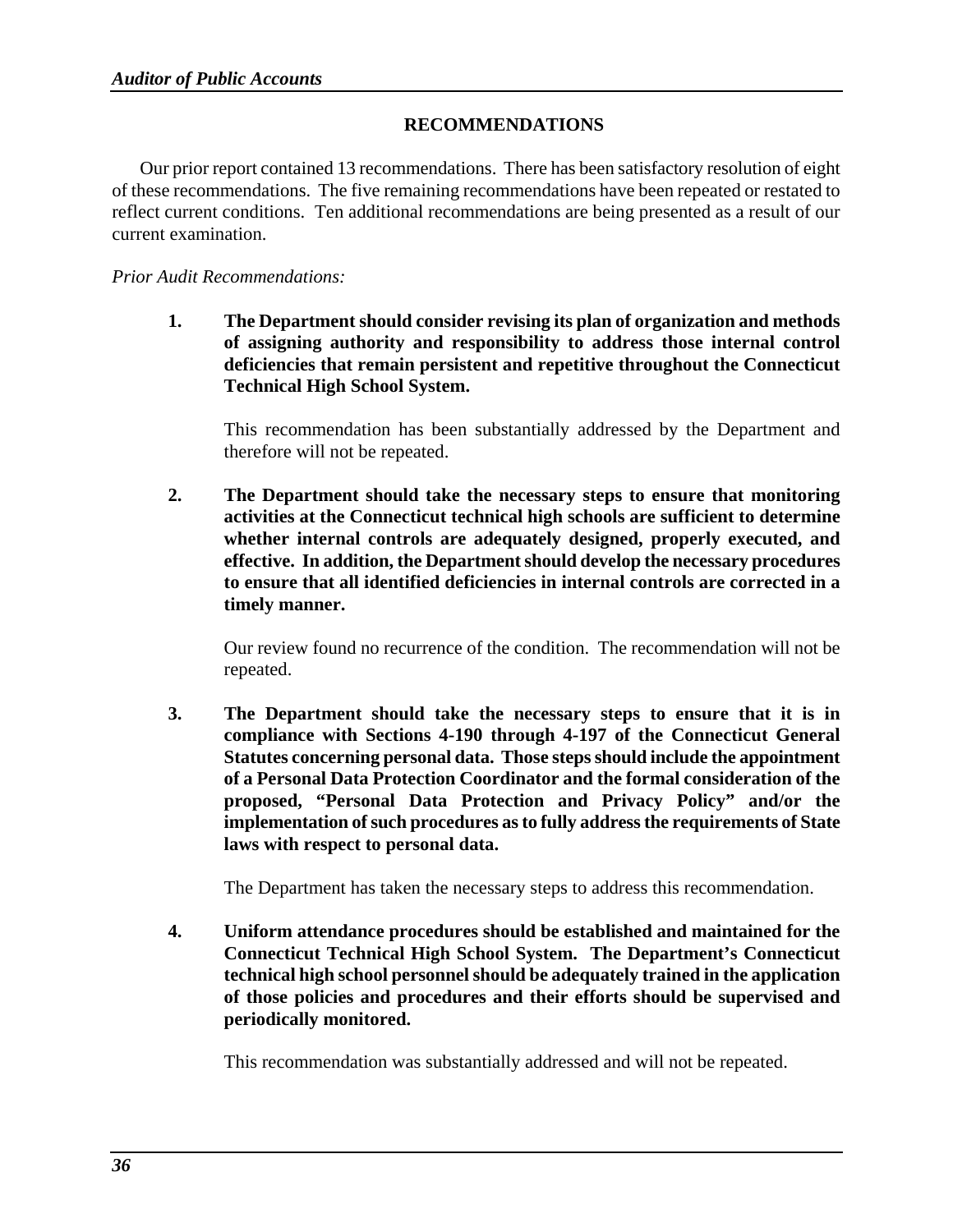### **RECOMMENDATIONS**

Our prior report contained 13 recommendations. There has been satisfactory resolution of eight of these recommendations. The five remaining recommendations have been repeated or restated to reflect current conditions. Ten additional recommendations are being presented as a result of our current examination.

### *Prior Audit Recommendations:*

**1. The Department should consider revising its plan of organization and methods of assigning authority and responsibility to address those internal control deficiencies that remain persistent and repetitive throughout the Connecticut Technical High School System.** 

This recommendation has been substantially addressed by the Department and therefore will not be repeated.

**2. The Department should take the necessary steps to ensure that monitoring activities at the Connecticut technical high schools are sufficient to determine whether internal controls are adequately designed, properly executed, and effective. In addition, the Department should develop the necessary procedures to ensure that all identified deficiencies in internal controls are corrected in a timely manner.** 

Our review found no recurrence of the condition. The recommendation will not be repeated.

**3. The Department should take the necessary steps to ensure that it is in compliance with Sections 4-190 through 4-197 of the Connecticut General Statutes concerning personal data. Those steps should include the appointment of a Personal Data Protection Coordinator and the formal consideration of the proposed, "Personal Data Protection and Privacy Policy" and/or the implementation of such procedures as to fully address the requirements of State laws with respect to personal data.** 

The Department has taken the necessary steps to address this recommendation.

**4. Uniform attendance procedures should be established and maintained for the Connecticut Technical High School System. The Department's Connecticut technical high school personnel should be adequately trained in the application of those policies and procedures and their efforts should be supervised and periodically monitored.** 

This recommendation was substantially addressed and will not be repeated.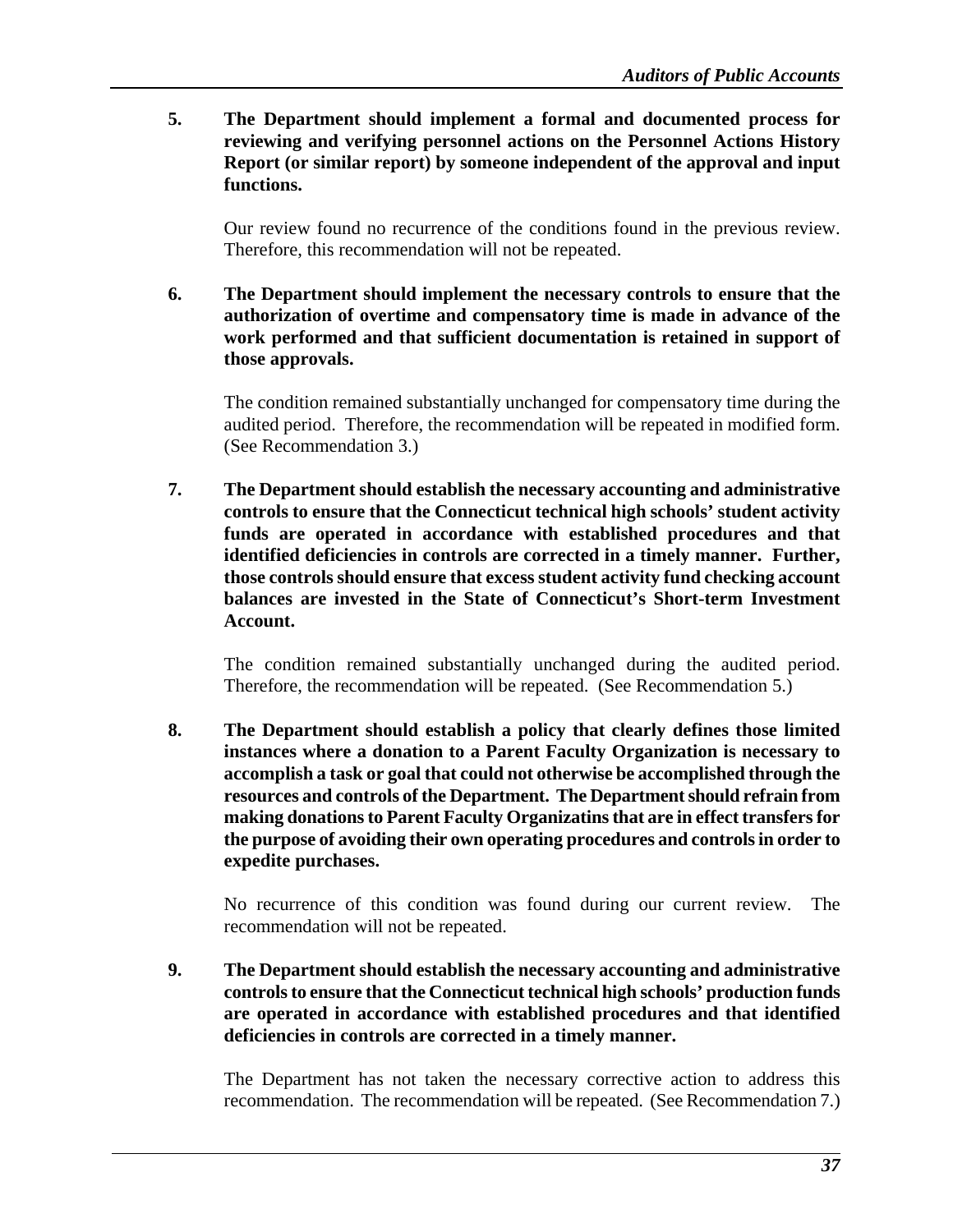**5. The Department should implement a formal and documented process for reviewing and verifying personnel actions on the Personnel Actions History Report (or similar report) by someone independent of the approval and input functions.** 

Our review found no recurrence of the conditions found in the previous review. Therefore, this recommendation will not be repeated.

**6. The Department should implement the necessary controls to ensure that the authorization of overtime and compensatory time is made in advance of the work performed and that sufficient documentation is retained in support of those approvals.** 

The condition remained substantially unchanged for compensatory time during the audited period. Therefore, the recommendation will be repeated in modified form. (See Recommendation 3.)

**7. The Department should establish the necessary accounting and administrative controls to ensure that the Connecticut technical high schools' student activity funds are operated in accordance with established procedures and that identified deficiencies in controls are corrected in a timely manner. Further, those controls should ensure that excess student activity fund checking account balances are invested in the State of Connecticut's Short-term Investment Account.** 

The condition remained substantially unchanged during the audited period. Therefore, the recommendation will be repeated. (See Recommendation 5.)

**8. The Department should establish a policy that clearly defines those limited instances where a donation to a Parent Faculty Organization is necessary to accomplish a task or goal that could not otherwise be accomplished through the resources and controls of the Department. The Department should refrain from making donations to Parent Faculty Organizatins that are in effect transfers for the purpose of avoiding their own operating procedures and controls in order to expedite purchases.** 

No recurrence of this condition was found during our current review. The recommendation will not be repeated.

**9. The Department should establish the necessary accounting and administrative controls to ensure that the Connecticut technical high schools' production funds are operated in accordance with established procedures and that identified deficiencies in controls are corrected in a timely manner.** 

The Department has not taken the necessary corrective action to address this recommendation. The recommendation will be repeated. (See Recommendation 7.)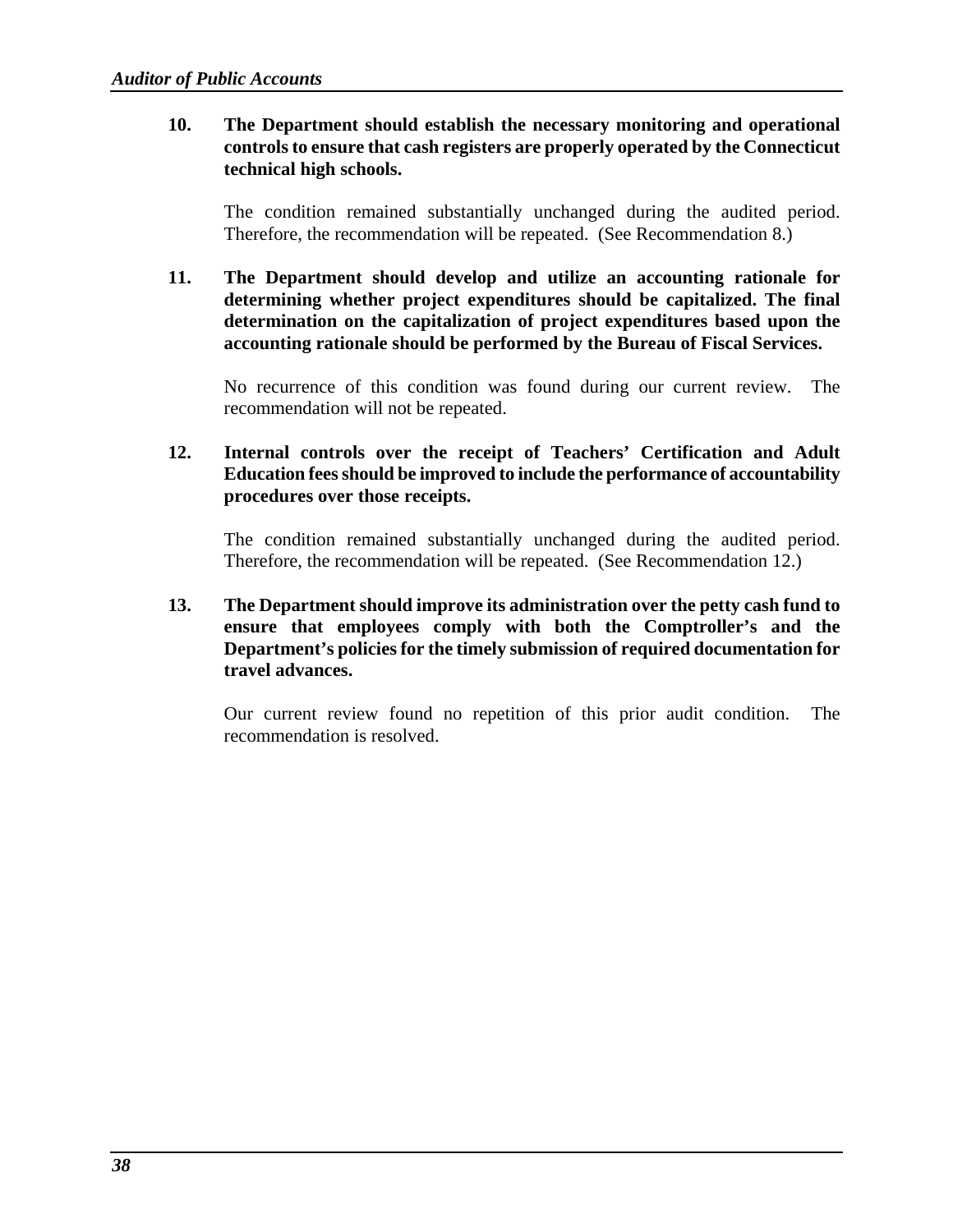**10. The Department should establish the necessary monitoring and operational controls to ensure that cash registers are properly operated by the Connecticut technical high schools.** 

The condition remained substantially unchanged during the audited period. Therefore, the recommendation will be repeated. (See Recommendation 8.)

**11. The Department should develop and utilize an accounting rationale for determining whether project expenditures should be capitalized. The final determination on the capitalization of project expenditures based upon the accounting rationale should be performed by the Bureau of Fiscal Services.**

No recurrence of this condition was found during our current review. The recommendation will not be repeated.

### **12. Internal controls over the receipt of Teachers' Certification and Adult Education fees should be improved to include the performance of accountability procedures over those receipts.**

The condition remained substantially unchanged during the audited period. Therefore, the recommendation will be repeated. (See Recommendation 12.)

**13. The Department should improve its administration over the petty cash fund to ensure that employees comply with both the Comptroller's and the Department's policies for the timely submission of required documentation for travel advances.** 

Our current review found no repetition of this prior audit condition. The recommendation is resolved.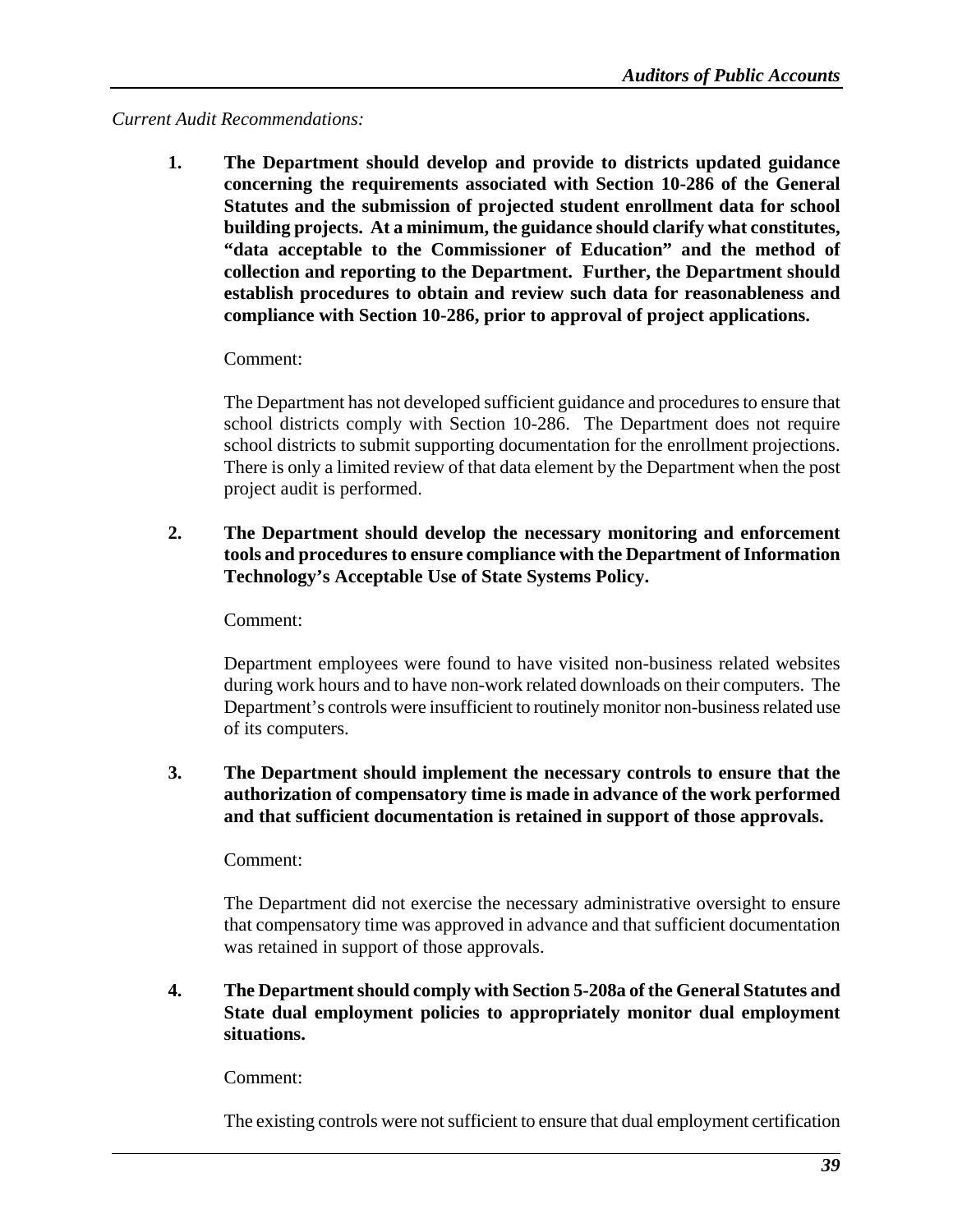### *Current Audit Recommendations:*

**1. The Department should develop and provide to districts updated guidance concerning the requirements associated with Section 10-286 of the General Statutes and the submission of projected student enrollment data for school building projects. At a minimum, the guidance should clarify what constitutes, "data acceptable to the Commissioner of Education" and the method of collection and reporting to the Department. Further, the Department should establish procedures to obtain and review such data for reasonableness and compliance with Section 10-286, prior to approval of project applications.** 

### Comment:

The Department has not developed sufficient guidance and procedures to ensure that school districts comply with Section 10-286. The Department does not require school districts to submit supporting documentation for the enrollment projections. There is only a limited review of that data element by the Department when the post project audit is performed.

**2. The Department should develop the necessary monitoring and enforcement tools and procedures to ensure compliance with the Department of Information Technology's Acceptable Use of State Systems Policy.** 

Comment:

Department employees were found to have visited non-business related websites during work hours and to have non-work related downloads on their computers. The Department's controls were insufficient to routinely monitor non-business related use of its computers.

**3. The Department should implement the necessary controls to ensure that the authorization of compensatory time is made in advance of the work performed and that sufficient documentation is retained in support of those approvals.**

Comment:

The Department did not exercise the necessary administrative oversight to ensure that compensatory time was approved in advance and that sufficient documentation was retained in support of those approvals.

**4. The Department should comply with Section 5-208a of the General Statutes and State dual employment policies to appropriately monitor dual employment situations.** 

Comment:

The existing controls were not sufficient to ensure that dual employment certification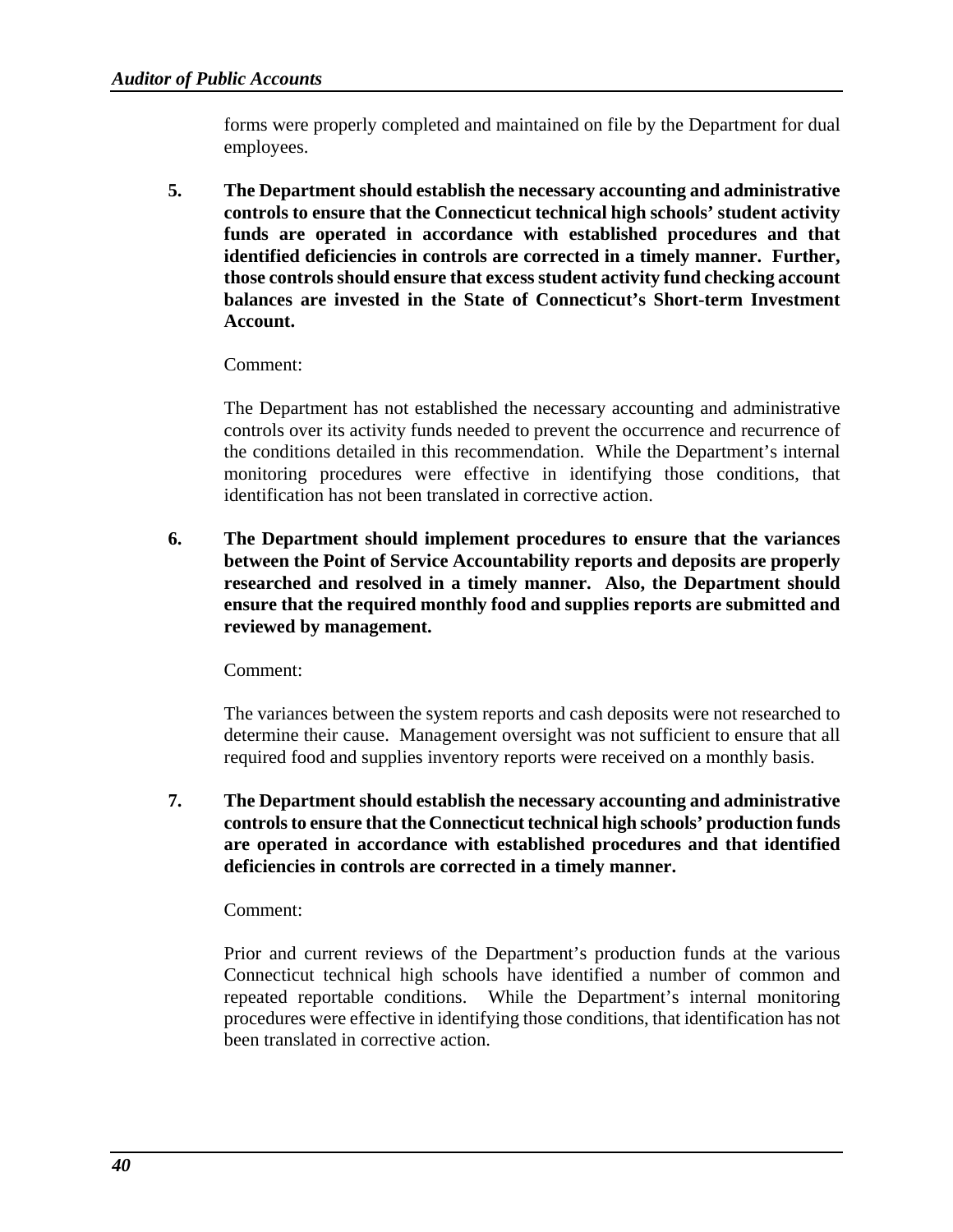forms were properly completed and maintained on file by the Department for dual employees.

**5. The Department should establish the necessary accounting and administrative controls to ensure that the Connecticut technical high schools' student activity funds are operated in accordance with established procedures and that identified deficiencies in controls are corrected in a timely manner. Further, those controls should ensure that excess student activity fund checking account balances are invested in the State of Connecticut's Short-term Investment Account.**

### Comment:

 The Department has not established the necessary accounting and administrative controls over its activity funds needed to prevent the occurrence and recurrence of the conditions detailed in this recommendation. While the Department's internal monitoring procedures were effective in identifying those conditions, that identification has not been translated in corrective action.

**6. The Department should implement procedures to ensure that the variances between the Point of Service Accountability reports and deposits are properly researched and resolved in a timely manner. Also, the Department should ensure that the required monthly food and supplies reports are submitted and reviewed by management.** 

Comment:

The variances between the system reports and cash deposits were not researched to determine their cause. Management oversight was not sufficient to ensure that all required food and supplies inventory reports were received on a monthly basis.

**7. The Department should establish the necessary accounting and administrative controls to ensure that the Connecticut technical high schools' production funds are operated in accordance with established procedures and that identified deficiencies in controls are corrected in a timely manner.** 

### Comment:

 Prior and current reviews of the Department's production funds at the various Connecticut technical high schools have identified a number of common and repeated reportable conditions. While the Department's internal monitoring procedures were effective in identifying those conditions, that identification has not been translated in corrective action.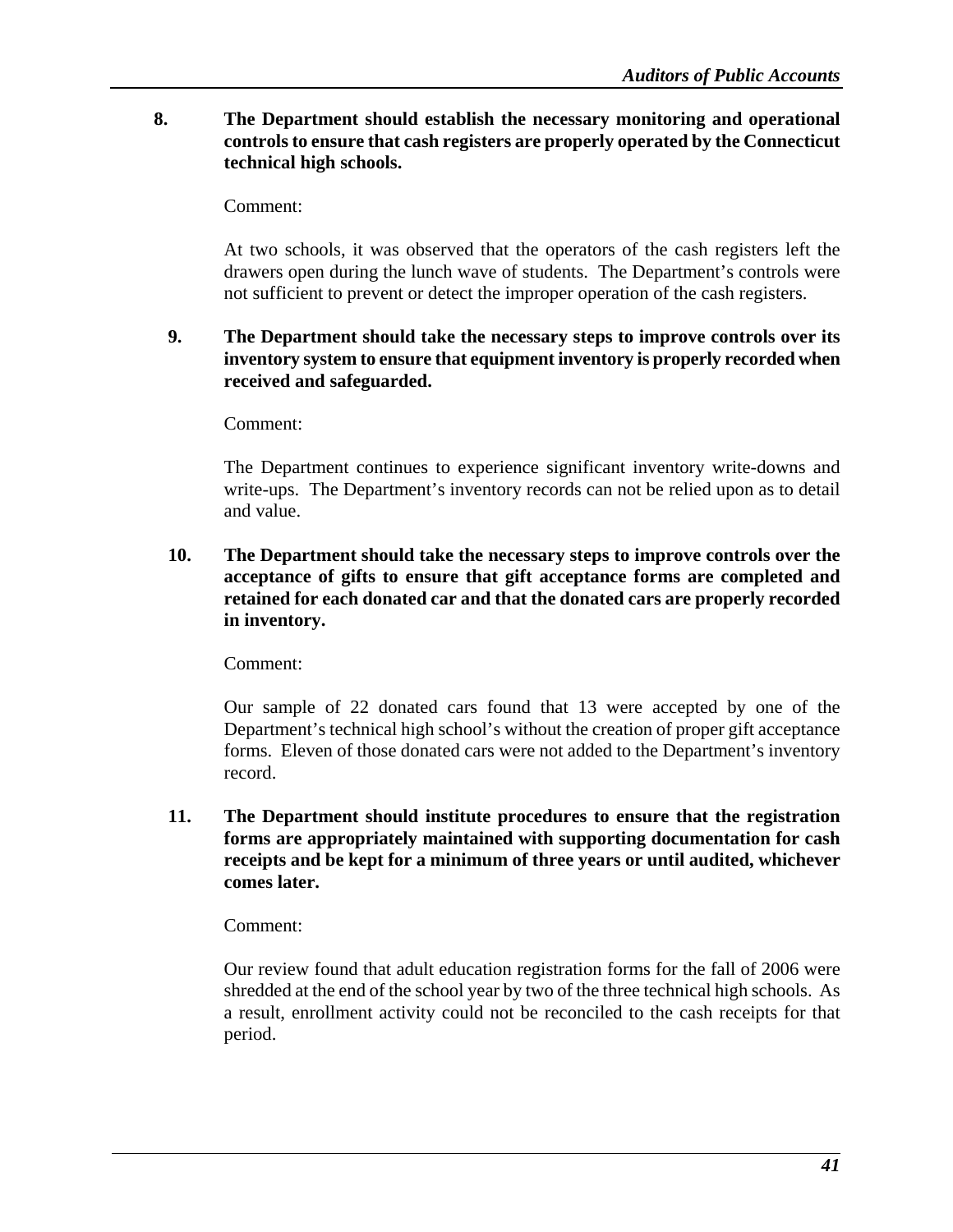### **8. The Department should establish the necessary monitoring and operational controls to ensure that cash registers are properly operated by the Connecticut technical high schools.**

Comment:

 At two schools, it was observed that the operators of the cash registers left the drawers open during the lunch wave of students. The Department's controls were not sufficient to prevent or detect the improper operation of the cash registers.

### **9. The Department should take the necessary steps to improve controls over its inventory system to ensure that equipment inventory is properly recorded when received and safeguarded.**

Comment:

The Department continues to experience significant inventory write-downs and write-ups. The Department's inventory records can not be relied upon as to detail and value.

**10. The Department should take the necessary steps to improve controls over the acceptance of gifts to ensure that gift acceptance forms are completed and retained for each donated car and that the donated cars are properly recorded in inventory.** 

Comment:

Our sample of 22 donated cars found that 13 were accepted by one of the Department's technical high school's without the creation of proper gift acceptance forms. Eleven of those donated cars were not added to the Department's inventory record.

**11. The Department should institute procedures to ensure that the registration forms are appropriately maintained with supporting documentation for cash receipts and be kept for a minimum of three years or until audited, whichever comes later.** 

Comment:

Our review found that adult education registration forms for the fall of 2006 were shredded at the end of the school year by two of the three technical high schools. As a result, enrollment activity could not be reconciled to the cash receipts for that period.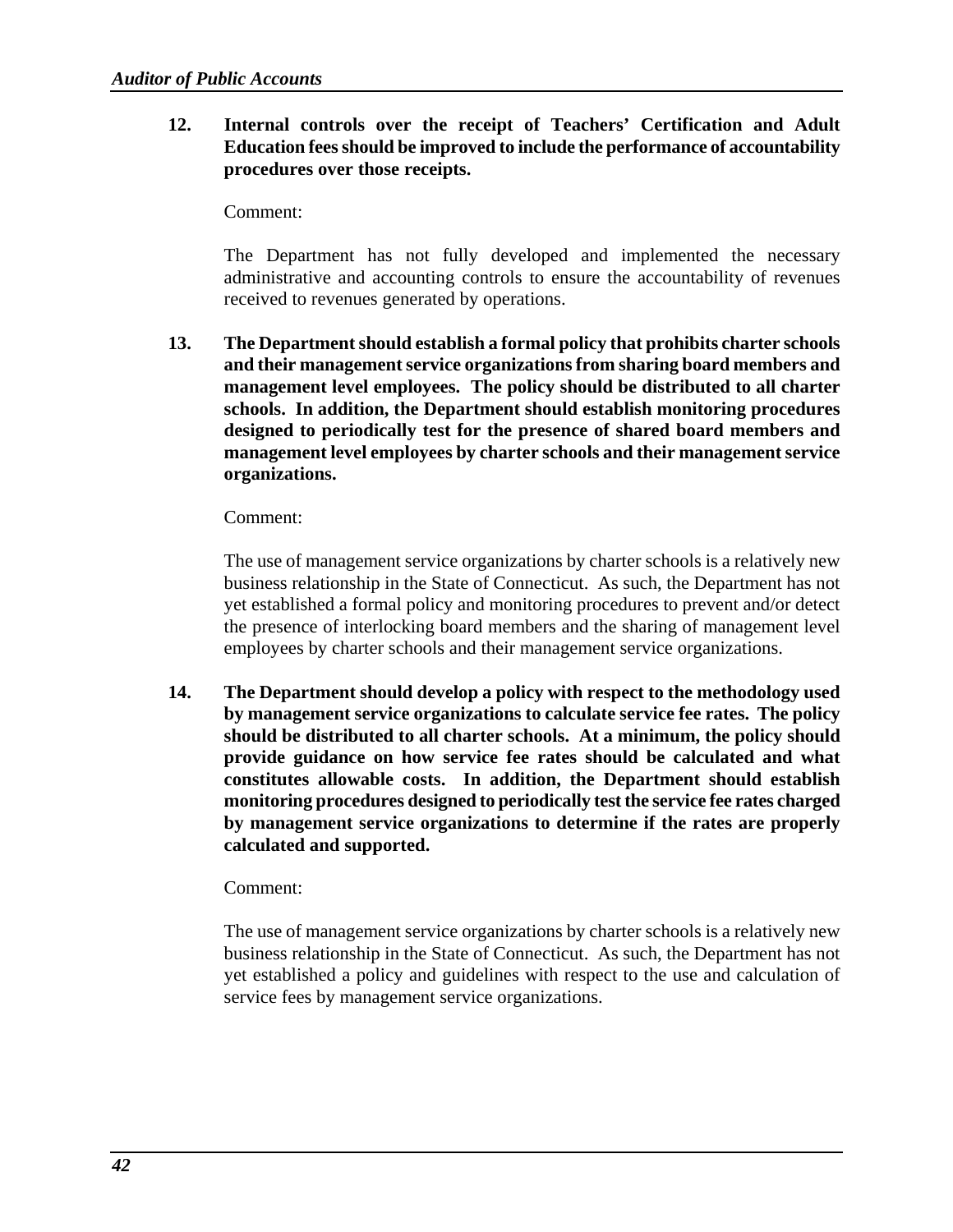**12. Internal controls over the receipt of Teachers' Certification and Adult Education fees should be improved to include the performance of accountability procedures over those receipts.** 

Comment:

The Department has not fully developed and implemented the necessary administrative and accounting controls to ensure the accountability of revenues received to revenues generated by operations.

**13. The Department should establish a formal policy that prohibits charter schools and their management service organizations from sharing board members and management level employees. The policy should be distributed to all charter schools. In addition, the Department should establish monitoring procedures designed to periodically test for the presence of shared board members and management level employees by charter schools and their management service organizations.**

### Comment:

The use of management service organizations by charter schools is a relatively new business relationship in the State of Connecticut. As such, the Department has not yet established a formal policy and monitoring procedures to prevent and/or detect the presence of interlocking board members and the sharing of management level employees by charter schools and their management service organizations.

**14. The Department should develop a policy with respect to the methodology used by management service organizations to calculate service fee rates. The policy should be distributed to all charter schools. At a minimum, the policy should provide guidance on how service fee rates should be calculated and what constitutes allowable costs. In addition, the Department should establish monitoring procedures designed to periodically test the service fee rates charged by management service organizations to determine if the rates are properly calculated and supported.** 

### Comment:

The use of management service organizations by charter schools is a relatively new business relationship in the State of Connecticut. As such, the Department has not yet established a policy and guidelines with respect to the use and calculation of service fees by management service organizations.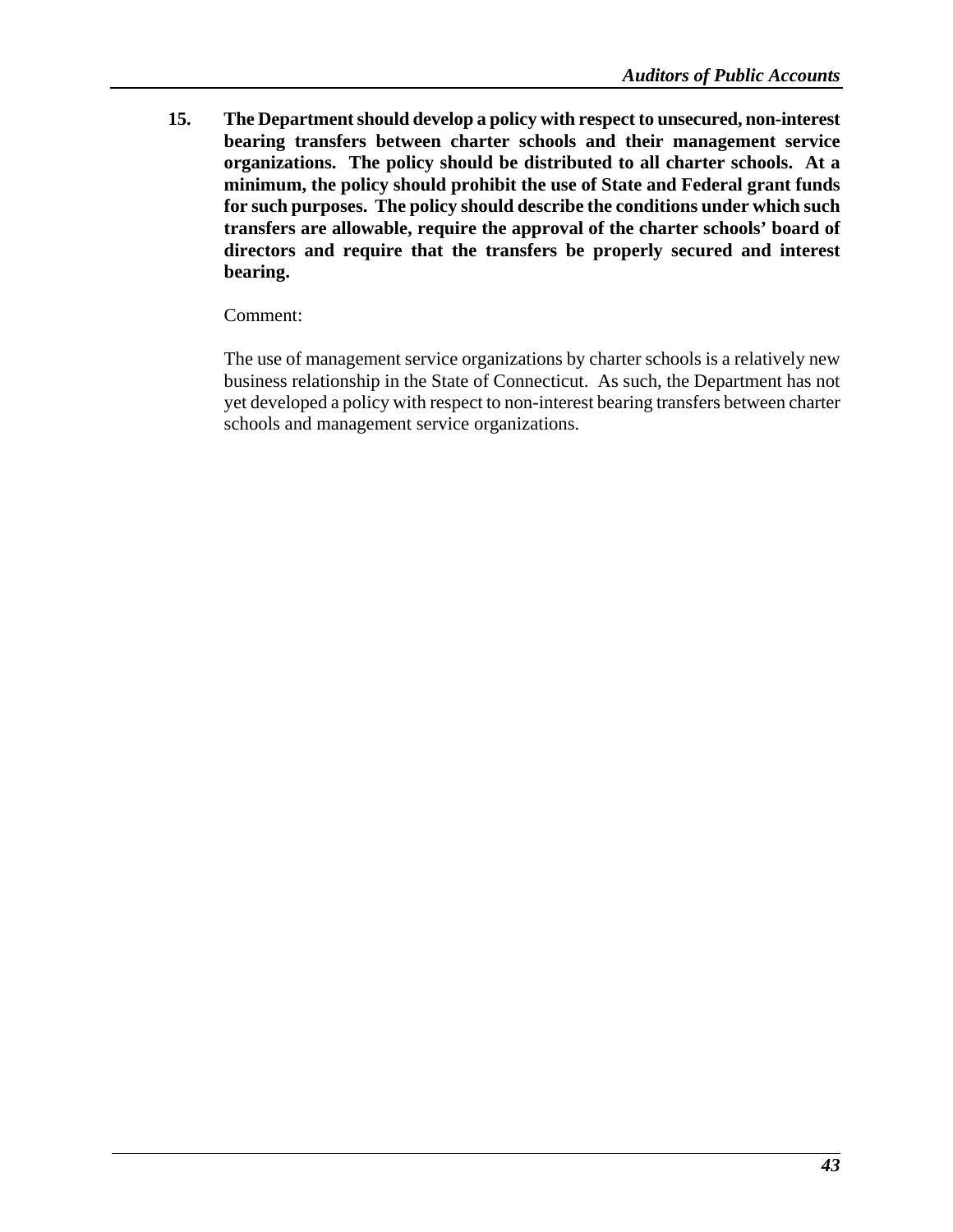**15. The Department should develop a policy with respect to unsecured, non-interest bearing transfers between charter schools and their management service organizations. The policy should be distributed to all charter schools. At a minimum, the policy should prohibit the use of State and Federal grant funds for such purposes. The policy should describe the conditions under which such transfers are allowable, require the approval of the charter schools' board of directors and require that the transfers be properly secured and interest bearing.** 

Comment:

The use of management service organizations by charter schools is a relatively new business relationship in the State of Connecticut. As such, the Department has not yet developed a policy with respect to non-interest bearing transfers between charter schools and management service organizations.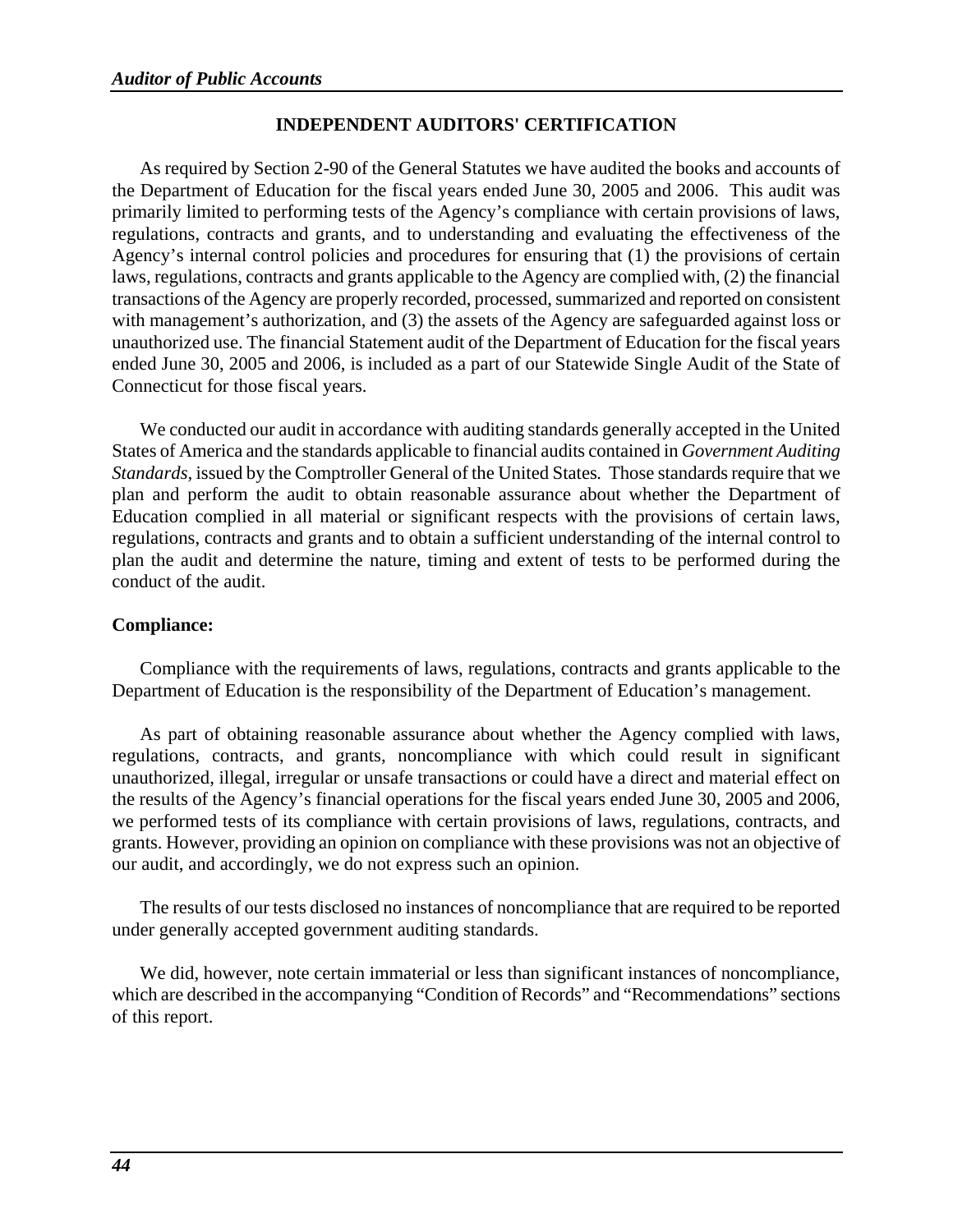### **INDEPENDENT AUDITORS' CERTIFICATION**

As required by Section 2-90 of the General Statutes we have audited the books and accounts of the Department of Education for the fiscal years ended June 30, 2005 and 2006. This audit was primarily limited to performing tests of the Agency's compliance with certain provisions of laws, regulations, contracts and grants, and to understanding and evaluating the effectiveness of the Agency's internal control policies and procedures for ensuring that (1) the provisions of certain laws, regulations, contracts and grants applicable to the Agency are complied with, (2) the financial transactions of the Agency are properly recorded, processed, summarized and reported on consistent with management's authorization, and (3) the assets of the Agency are safeguarded against loss or unauthorized use. The financial Statement audit of the Department of Education for the fiscal years ended June 30, 2005 and 2006, is included as a part of our Statewide Single Audit of the State of Connecticut for those fiscal years.

We conducted our audit in accordance with auditing standards generally accepted in the United States of America and the standards applicable to financial audits contained in *Government Auditing Standards,* issued by the Comptroller General of the United States*.* Those standards require that we plan and perform the audit to obtain reasonable assurance about whether the Department of Education complied in all material or significant respects with the provisions of certain laws, regulations, contracts and grants and to obtain a sufficient understanding of the internal control to plan the audit and determine the nature, timing and extent of tests to be performed during the conduct of the audit.

### **Compliance:**

Compliance with the requirements of laws, regulations, contracts and grants applicable to the Department of Education is the responsibility of the Department of Education's management.

As part of obtaining reasonable assurance about whether the Agency complied with laws, regulations, contracts, and grants, noncompliance with which could result in significant unauthorized, illegal, irregular or unsafe transactions or could have a direct and material effect on the results of the Agency's financial operations for the fiscal years ended June 30, 2005 and 2006, we performed tests of its compliance with certain provisions of laws, regulations, contracts, and grants. However, providing an opinion on compliance with these provisions was not an objective of our audit, and accordingly, we do not express such an opinion.

The results of our tests disclosed no instances of noncompliance that are required to be reported under generally accepted government auditing standards.

We did, however, note certain immaterial or less than significant instances of noncompliance, which are described in the accompanying "Condition of Records" and "Recommendations" sections of this report.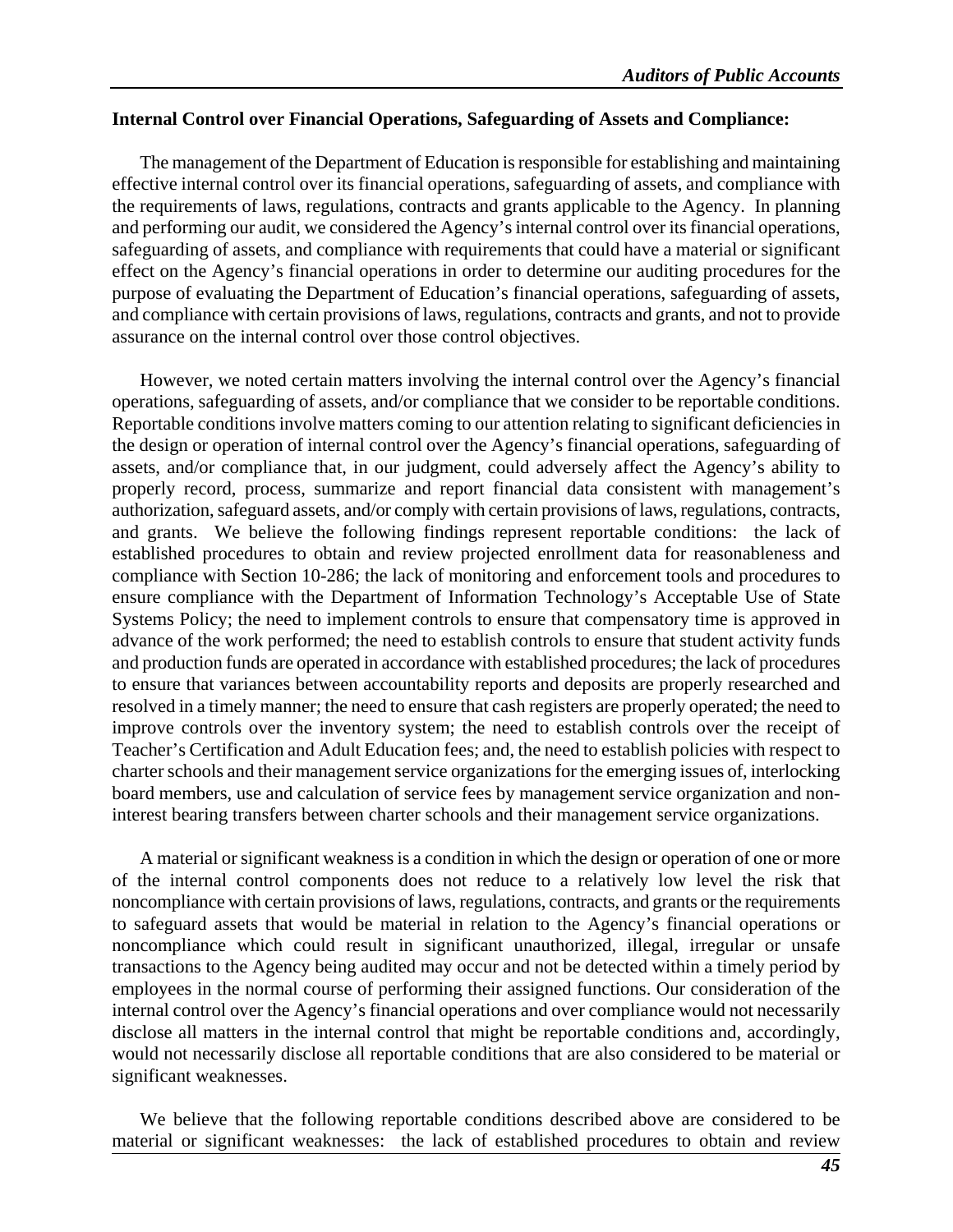### **Internal Control over Financial Operations, Safeguarding of Assets and Compliance:**

The management of the Department of Education is responsible for establishing and maintaining effective internal control over its financial operations, safeguarding of assets, and compliance with the requirements of laws, regulations, contracts and grants applicable to the Agency. In planning and performing our audit, we considered the Agency's internal control over its financial operations, safeguarding of assets, and compliance with requirements that could have a material or significant effect on the Agency's financial operations in order to determine our auditing procedures for the purpose of evaluating the Department of Education's financial operations, safeguarding of assets, and compliance with certain provisions of laws, regulations, contracts and grants, and not to provide assurance on the internal control over those control objectives.

However, we noted certain matters involving the internal control over the Agency's financial operations, safeguarding of assets, and/or compliance that we consider to be reportable conditions. Reportable conditions involve matters coming to our attention relating to significant deficiencies in the design or operation of internal control over the Agency's financial operations, safeguarding of assets, and/or compliance that, in our judgment, could adversely affect the Agency's ability to properly record, process, summarize and report financial data consistent with management's authorization, safeguard assets, and/or comply with certain provisions of laws, regulations, contracts, and grants. We believe the following findings represent reportable conditions: the lack of established procedures to obtain and review projected enrollment data for reasonableness and compliance with Section 10-286; the lack of monitoring and enforcement tools and procedures to ensure compliance with the Department of Information Technology's Acceptable Use of State Systems Policy; the need to implement controls to ensure that compensatory time is approved in advance of the work performed; the need to establish controls to ensure that student activity funds and production funds are operated in accordance with established procedures; the lack of procedures to ensure that variances between accountability reports and deposits are properly researched and resolved in a timely manner; the need to ensure that cash registers are properly operated; the need to improve controls over the inventory system; the need to establish controls over the receipt of Teacher's Certification and Adult Education fees; and, the need to establish policies with respect to charter schools and their management service organizations for the emerging issues of, interlocking board members, use and calculation of service fees by management service organization and noninterest bearing transfers between charter schools and their management service organizations.

A material or significant weakness is a condition in which the design or operation of one or more of the internal control components does not reduce to a relatively low level the risk that noncompliance with certain provisions of laws, regulations, contracts, and grants or the requirements to safeguard assets that would be material in relation to the Agency's financial operations or noncompliance which could result in significant unauthorized, illegal, irregular or unsafe transactions to the Agency being audited may occur and not be detected within a timely period by employees in the normal course of performing their assigned functions. Our consideration of the internal control over the Agency's financial operations and over compliance would not necessarily disclose all matters in the internal control that might be reportable conditions and, accordingly, would not necessarily disclose all reportable conditions that are also considered to be material or significant weaknesses.

We believe that the following reportable conditions described above are considered to be material or significant weaknesses: the lack of established procedures to obtain and review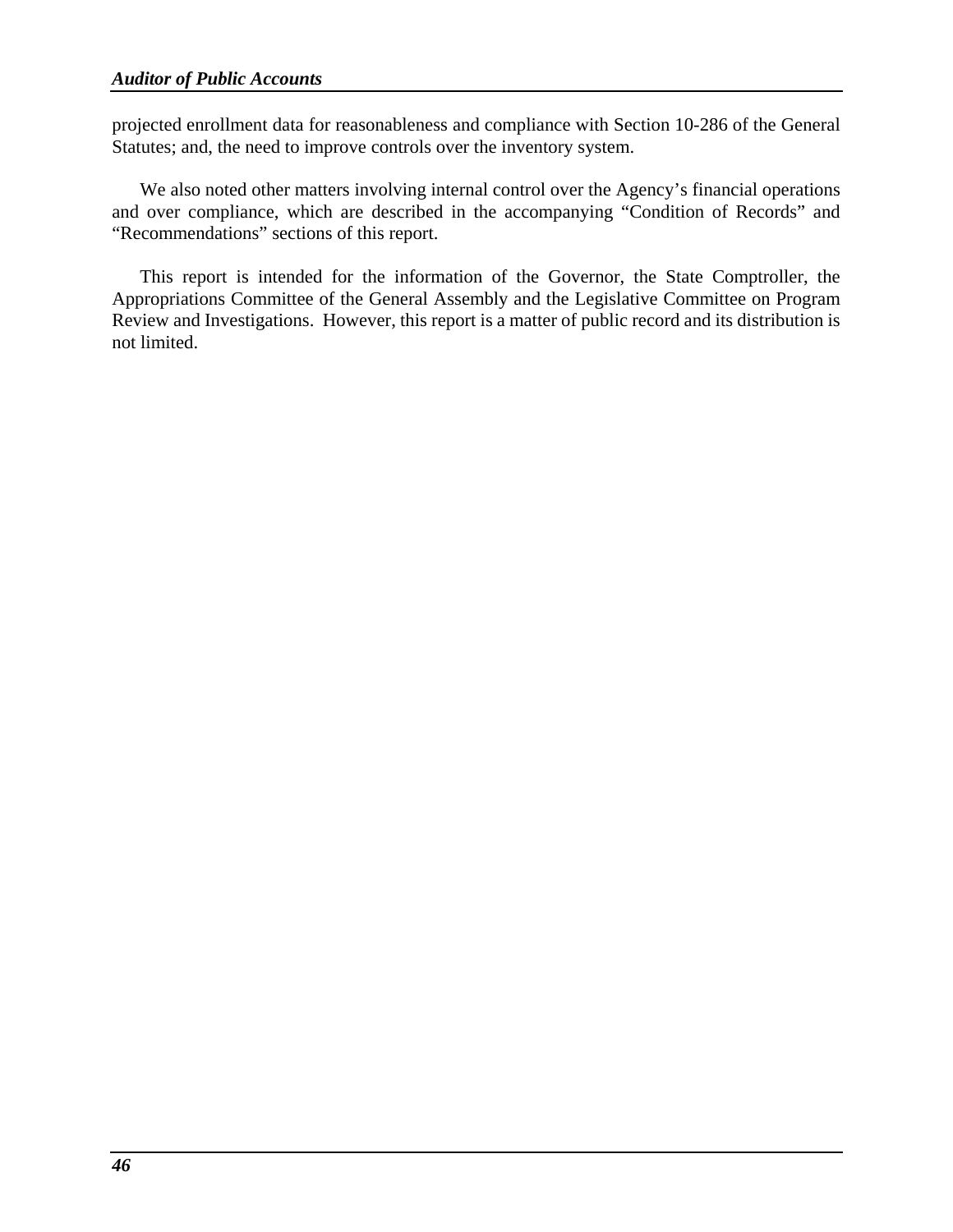projected enrollment data for reasonableness and compliance with Section 10-286 of the General Statutes; and, the need to improve controls over the inventory system.

We also noted other matters involving internal control over the Agency's financial operations and over compliance, which are described in the accompanying "Condition of Records" and "Recommendations" sections of this report.

This report is intended for the information of the Governor, the State Comptroller, the Appropriations Committee of the General Assembly and the Legislative Committee on Program Review and Investigations. However, this report is a matter of public record and its distribution is not limited.